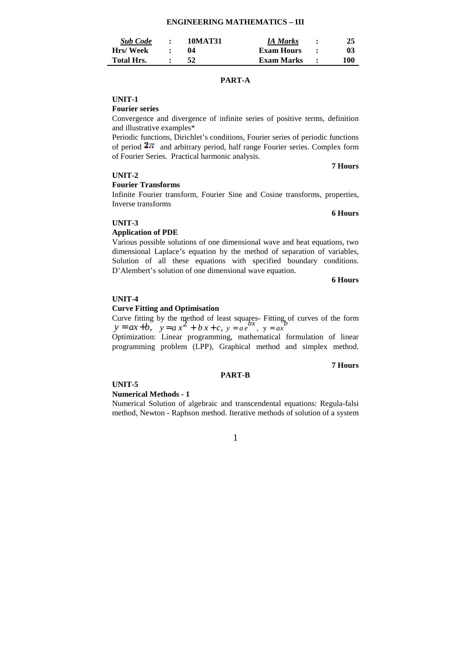# **ENGINEERING MATHEMATICS – III**

| <b>Sub Code</b>   | $\bullet$ | 10MAT31 | <b>IA Marks</b>   | 25  |
|-------------------|-----------|---------|-------------------|-----|
| Hrs/Week          |           | 04      | <b>Exam Hours</b> | 03  |
| <b>Total Hrs.</b> |           | 52      | Exam Marks        | 100 |

### **PART-A**

# **UNIT-1**

**Fourier series**

Convergence and divergence of infinite series of positive terms, definition and illustrative examples\*

Periodic functions, Dirichlet's conditions, Fourier series of periodic functions of period  $2\pi$  and arbitrary period, half range Fourier series. Complex form of Fourier Series. Practical harmonic analysis.

#### **UNIT-2**

#### **Fourier Transforms**

Infinite Fourier transform, Fourier Sine and Cosine transforms, properties, Inverse transforms

#### **UNIT-3**

#### **Application of PDE**

Various possible solutions of one dimensional wave and heat equations, two dimensional Laplace's equation by the method of separation of variables, Solution of all these equations with specified boundary conditions. D'Alembert's solution of one dimensional wave equation.

#### **6 Hours**

**7 Hours**

**6 Hours**

#### **UNIT-4**

#### **Curve Fitting and Optimisation**

Curve fitting by the method of least squares- Fitting of curves of the form  $y = ax + b$ ,  $y = a x^2 + b x + c$ ,  $y = a e^{bx}$ ,  $y = ax^b$ 

Optimization: Linear programming, mathematical formulation of linear programming problem (LPP), Graphical method and simplex method.

**PART-B** 

#### **7 Hours**

### **UNIT-5**

#### **Numerical Methods - 1**

Numerical Solution of algebraic and transcendental equations: Regula-falsi method, Newton - Raphson method. Iterative methods of solution of a system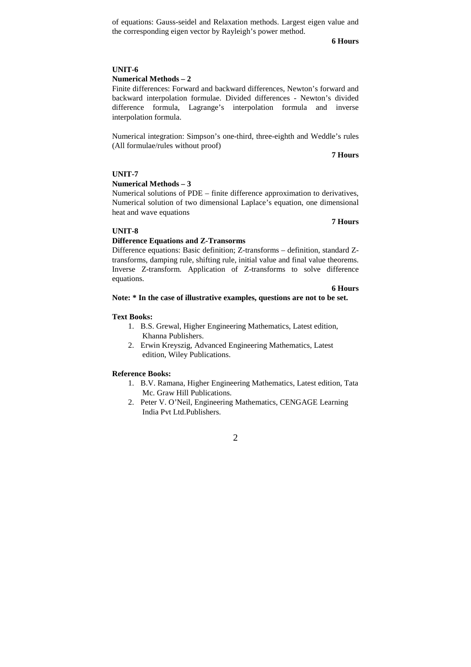of equations: Gauss-seidel and Relaxation methods. Largest eigen value and the corresponding eigen vector by Rayleigh's power method.

**6 Hours**

# **UNIT-6**

#### **Numerical Methods – 2**

Finite differences: Forward and backward differences, Newton's forward and backward interpolation formulae. Divided differences - Newton's divided difference formula, Lagrange's interpolation formula and inverse interpolation formula.

Numerical integration: Simpson's one-third, three-eighth and Weddle's rules (All formulae/rules without proof)

**7 Hours** 

**7 Hours** 

### **UNIT-7**

#### **Numerical Methods – 3**

Numerical solutions of PDE – finite difference approximation to derivatives, Numerical solution of two dimensional Laplace's equation, one dimensional heat and wave equations

### **UNIT-8**

# **Difference Equations and Z-Transorms**

Difference equations: Basic definition; Z-transforms – definition, standard Ztransforms, damping rule, shifting rule, initial value and final value theorems. Inverse Z-transform. Application of Z-transforms to solve difference equations.

#### **6 Hours**

#### **Note: \* In the case of illustrative examples, questions are not to be set.**

#### **Text Books:**

- 1. B.S. Grewal, Higher Engineering Mathematics, Latest edition, Khanna Publishers.
- 2. Erwin Kreyszig, Advanced Engineering Mathematics, Latest edition, Wiley Publications.

#### **Reference Books:**

- 1. B.V. Ramana, Higher Engineering Mathematics, Latest edition, Tata Mc. Graw Hill Publications.
- 2. Peter V. O'Neil, Engineering Mathematics, CENGAGE Learning India Pvt Ltd.Publishers.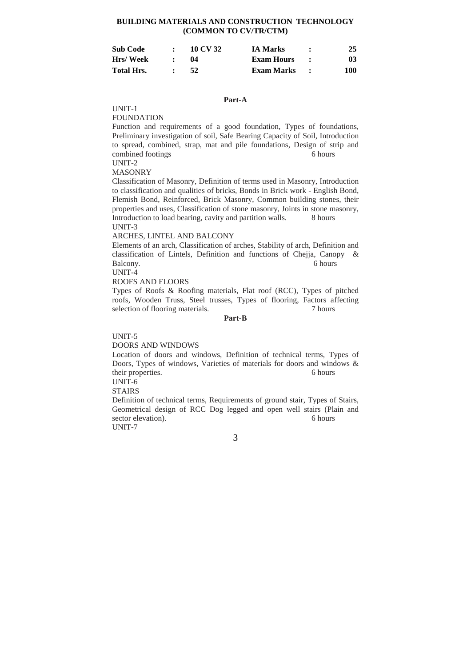# **BUILDING MATERIALS AND CONSTRUCTION TECHNOLOGY (COMMON TO CV/TR/CTM)**

| Sub Code   | 10 CV 32 | <b>IA Marks</b>   | 25  |
|------------|----------|-------------------|-----|
| Hrs/ Week  | 04       | <b>Exam Hours</b> | 03  |
| Total Hrs. | 52       | Exam Marks        | 100 |

#### **Part-A**

UNIT-1

FOUNDATION

Function and requirements of a good foundation, Types of foundations, Preliminary investigation of soil, Safe Bearing Capacity of Soil, Introduction to spread, combined, strap, mat and pile foundations, Design of strip and combined footings 6 hours

UNIT-2

MASONRY

Classification of Masonry, Definition of terms used in Masonry, Introduction to classification and qualities of bricks, Bonds in Brick work - English Bond, Flemish Bond, Reinforced, Brick Masonry, Common building stones, their properties and uses, Classification of stone masonry, Joints in stone masonry, Introduction to load bearing, cavity and partition walls. 8 hours UNIT-3

#### ARCHES, LINTEL AND BALCONY

Elements of an arch, Classification of arches, Stability of arch, Definition and classification of Lintels, Definition and functions of Chejja, Canopy & Balcony. 6 hours

UNIT-4

ROOFS AND FLOORS

Types of Roofs & Roofing materials, Flat roof (RCC), Types of pitched roofs, Wooden Truss, Steel trusses, Types of flooring, Factors affecting selection of flooring materials. 7 hours

**Part-B** 

UNIT-5

DOORS AND WINDOWS

Location of doors and windows, Definition of technical terms, Types of Doors, Types of windows, Varieties of materials for doors and windows & their properties. 6 hours UNIT-6

STAIRS

Definition of technical terms, Requirements of ground stair, Types of Stairs, Geometrical design of RCC Dog legged and open well stairs (Plain and sector elevation). 6 hours UNIT-7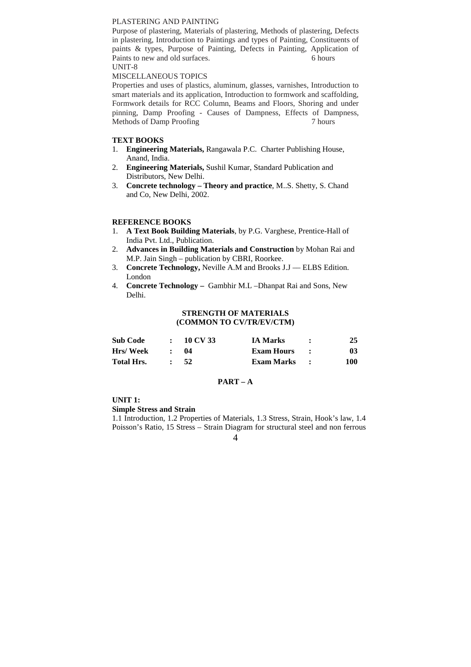### PLASTERING AND PAINTING

Purpose of plastering, Materials of plastering, Methods of plastering, Defects in plastering, Introduction to Paintings and types of Painting, Constituents of paints & types, Purpose of Painting, Defects in Painting, Application of Paints to new and old surfaces. 6 hours UNIT-8

#### MISCELLANEOUS TOPICS

Properties and uses of plastics, aluminum, glasses, varnishes, Introduction to smart materials and its application, Introduction to formwork and scaffolding, Formwork details for RCC Column, Beams and Floors, Shoring and under pinning, Damp Proofing - Causes of Dampness, Effects of Dampness, Methods of Damp Proofing 7 hours 7

# **TEXT BOOKS**

- 1. **Engineering Materials,** Rangawala P.C. Charter Publishing House, Anand, India.
- 2. **Engineering Materials,** Sushil Kumar, Standard Publication and Distributors, New Delhi.
- 3. **Concrete technology Theory and practice**, M..S. Shetty, S. Chand and Co, New Delhi, 2002.

#### **REFERENCE BOOKS**

- 1. **A Text Book Building Materials**, by P.G. Varghese, Prentice-Hall of India Pvt. Ltd., Publication.
- 2. **Advances in Building Materials and Construction** by Mohan Rai and M.P. Jain Singh – publication by CBRI, Roorkee.
- 3. **Concrete Technology,** Neville A.M and Brooks J.J –– ELBS Edition. London
- 4. **Concrete Technology** Gambhir M.L –Dhanpat Rai and Sons, New Delhi.

### **STRENGTH OF MATERIALS (COMMON TO CV/TR/EV/CTM)**

| <b>Sub Code</b> | 10 CV 33 | <b>IA Marks</b> | 25  |
|-----------------|----------|-----------------|-----|
| Hrs/Week        | 04       | Exam Hours      | 03  |
| Total Hrs.      | -52      | Exam Marks      | 100 |

#### **PART – A**

**UNIT 1:** 

**Simple Stress and Strain** 

1.1 Introduction, 1.2 Properties of Materials, 1.3 Stress, Strain, Hook's law, 1.4 Poisson's Ratio, 15 Stress – Strain Diagram for structural steel and non ferrous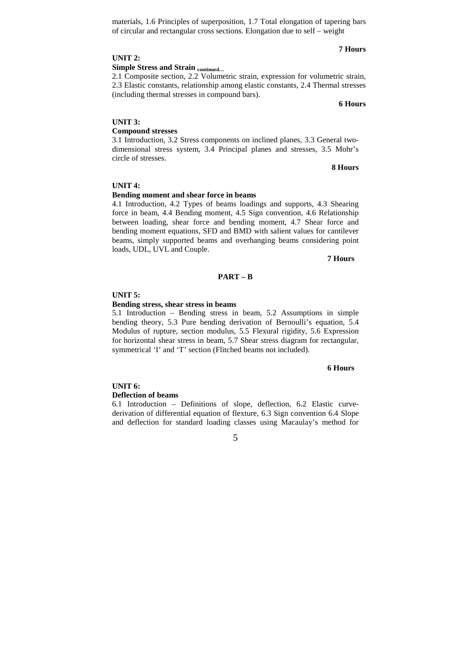materials, 1.6 Principles of superposition, 1.7 Total elongation of tapering bars of circular and rectangular cross sections. Elongation due to self – weight

# **7 Hours**

**6 Hours**

2.1 Composite section, 2.2 Volumetric strain, expression for volumetric strain, 2.3 Elastic constants, relationship among elastic constants, 2.4 Thermal stresses (including thermal stresses in compound bars).

# **UNIT 3:**

# **Compound stresses**

3.1 Introduction, 3.2 Stress components on inclined planes, 3.3 General twodimensional stress system, 3.4 Principal planes and stresses, 3.5 Mohr's circle of stresses.

**8 Hours** 

# **UNIT 4:**

#### **Bending moment and shear force in beams**

4.1 Introduction, 4.2 Types of beams loadings and supports, 4.3 Shearing force in beam, 4.4 Bending moment, 4.5 Sign convention, 4.6 Relationship between loading, shear force and bending moment, 4.7 Shear force and bending moment equations, SFD and BMD with salient values for cantilever beams, simply supported beams and overhanging beams considering point loads, UDL, UVL and Couple.

**7 Hours** 

#### **PART – B**

#### **UNIT 5:**

#### **Bending stress, shear stress in beams**

5.1 Introduction – Bending stress in beam, 5.2 Assumptions in simple bending theory, 5.3 Pure bending derivation of Bernoulli's equation, 5.4 Modulus of rupture, section modulus, 5.5 Flexural rigidity, 5.6 Expression for horizontal shear stress in beam, 5.7 Shear stress diagram for rectangular, symmetrical 'I' and 'T' section (Flitched beams not included).

#### **6 Hours**

# **UNIT 6: Deflection of beams**

6.1 Introduction – Definitions of slope, deflection, 6.2 Elastic curvederivation of differential equation of flexture, 6.3 Sign convention 6.4 Slope and deflection for standard loading classes using Macaulay's method for

5

# **UNIT 2:**

# **Simple Stress and Strain continued…**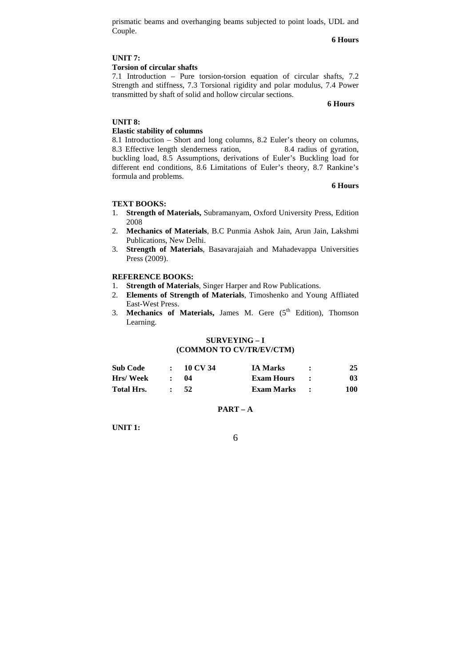prismatic beams and overhanging beams subjected to point loads, UDL and Couple.

**6 Hours** 

### **UNIT 7:**

# **Torsion of circular shafts**

7.1 Introduction – Pure torsion-torsion equation of circular shafts, 7.2 Strength and stiffness, 7.3 Torsional rigidity and polar modulus, 7.4 Power transmitted by shaft of solid and hollow circular sections.

#### **6 Hours**

#### **UNIT 8:**

#### **Elastic stability of columns**

8.1 Introduction – Short and long columns, 8.2 Euler's theory on columns, 8.3 Effective length slenderness ration, 8.4 radius of gyration, buckling load, 8.5 Assumptions, derivations of Euler's Buckling load for different end conditions, 8.6 Limitations of Euler's theory, 8.7 Rankine's formula and problems.

**6 Hours** 

#### **TEXT BOOKS:**

- 1. **Strength of Materials,** Subramanyam, Oxford University Press, Edition 2008
- 2. **Mechanics of Materials**, B.C Punmia Ashok Jain, Arun Jain, Lakshmi Publications, New Delhi.
- 3. **Strength of Materials**, Basavarajaiah and Mahadevappa Universities Press (2009).

### **REFERENCE BOOKS:**

- 1. **Strength of Materials**, Singer Harper and Row Publications.
- 2. **Elements of Strength of Materials**, Timoshenko and Young Affliated East-West Press.
- 3. Mechanics of Materials, James M. Gere (5<sup>th</sup> Edition), Thomson Learning.

### **SURVEYING – I (COMMON TO CV/TR/EV/CTM)**

| <b>Sub Code</b>   | 10 CV 34 | <b>IA Marks</b>   | 25  |
|-------------------|----------|-------------------|-----|
| <b>Hrs/Week</b>   | 04       | <b>Exam Hours</b> | 03  |
| <b>Total Hrs.</b> | 52       | Exam Marks        | 100 |

#### **PART – A**

**UNIT 1:**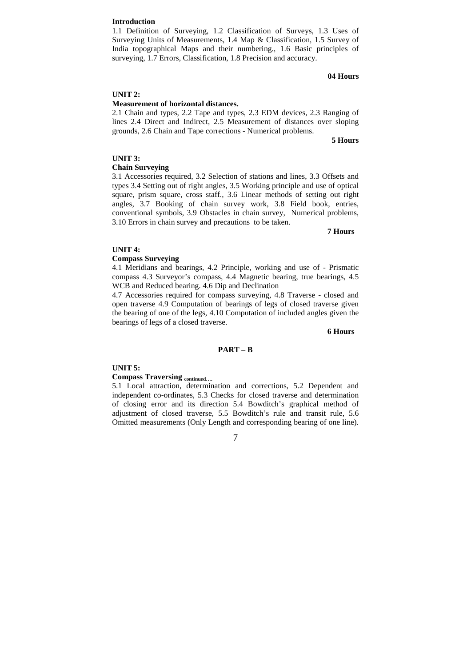#### **Introduction**

1.1 Definition of Surveying, 1.2 Classification of Surveys, 1.3 Uses of Surveying Units of Measurements, 1.4 Map & Classification, 1.5 Survey of India topographical Maps and their numbering., 1.6 Basic principles of surveying, 1.7 Errors, Classification, 1.8 Precision and accuracy.

# **04 Hours**

#### **UNIT 2:**

#### **Measurement of horizontal distances.**

2.1 Chain and types, 2.2 Tape and types, 2.3 EDM devices, 2.3 Ranging of lines 2.4 Direct and Indirect, 2.5 Measurement of distances over sloping grounds, 2.6 Chain and Tape corrections - Numerical problems.

**5 Hours** 

#### **UNIT 3:**

### **Chain Surveying**

3.1 Accessories required, 3.2 Selection of stations and lines, 3.3 Offsets and types 3.4 Setting out of right angles, 3.5 Working principle and use of optical square, prism square, cross staff., 3.6 Linear methods of setting out right angles, 3.7 Booking of chain survey work, 3.8 Field book, entries, conventional symbols, 3.9 Obstacles in chain survey, Numerical problems, 3.10 Errors in chain survey and precautions to be taken.

#### **7 Hours**

#### **UNIT 4:**

# **Compass Surveying**

4.1 Meridians and bearings, 4.2 Principle, working and use of - Prismatic compass 4.3 Surveyor's compass, 4.4 Magnetic bearing, true bearings, 4.5 WCB and Reduced bearing. 4.6 Dip and Declination

4.7 Accessories required for compass surveying, 4.8 Traverse - closed and open traverse 4.9 Computation of bearings of legs of closed traverse given the bearing of one of the legs, 4.10 Computation of included angles given the bearings of legs of a closed traverse.

#### **6 Hours**

#### **PART – B**

#### **UNIT 5:**

#### **Compass Traversing continued….**

5.1 Local attraction, determination and corrections, 5.2 Dependent and independent co-ordinates, 5.3 Checks for closed traverse and determination of closing error and its direction 5.4 Bowditch's graphical method of adjustment of closed traverse, 5.5 Bowditch's rule and transit rule, 5.6 Omitted measurements (Only Length and corresponding bearing of one line).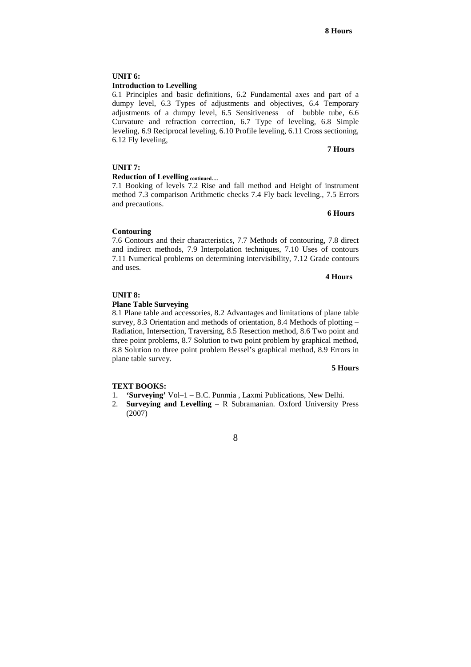### **UNIT 6: Introduction to Levelling**

6.1 Principles and basic definitions, 6.2 Fundamental axes and part of a dumpy level, 6.3 Types of adjustments and objectives, 6.4 Temporary adjustments of a dumpy level, 6.5 Sensitiveness of bubble tube, 6.6 Curvature and refraction correction, 6.7 Type of leveling, 6.8 Simple leveling, 6.9 Reciprocal leveling, 6.10 Profile leveling, 6.11 Cross sectioning, 6.12 Fly leveling,

#### **7 Hours**

### **UNIT 7:**

# **Reduction of Levelling continued….**

7.1 Booking of levels 7.2 Rise and fall method and Height of instrument method 7.3 comparison Arithmetic checks 7.4 Fly back leveling., 7.5 Errors and precautions.

### **6 Hours**

### **Contouring**

7.6 Contours and their characteristics, 7.7 Methods of contouring, 7.8 direct and indirect methods, 7.9 Interpolation techniques, 7.10 Uses of contours 7.11 Numerical problems on determining intervisibility, 7.12 Grade contours and uses.

#### **4 Hours**

#### **UNIT 8:**

#### **Plane Table Surveying**

8.1 Plane table and accessories, 8.2 Advantages and limitations of plane table survey, 8.3 Orientation and methods of orientation, 8.4 Methods of plotting – Radiation, Intersection, Traversing, 8.5 Resection method, 8.6 Two point and three point problems, 8.7 Solution to two point problem by graphical method, 8.8 Solution to three point problem Bessel's graphical method, 8.9 Errors in plane table survey.

#### **5 Hours**

### **TEXT BOOKS:**

- 1. **'Surveying'** Vol–1 B.C. Punmia , Laxmi Publications, New Delhi.
- 2. **Surveying and Levelling** R Subramanian. Oxford University Press (2007)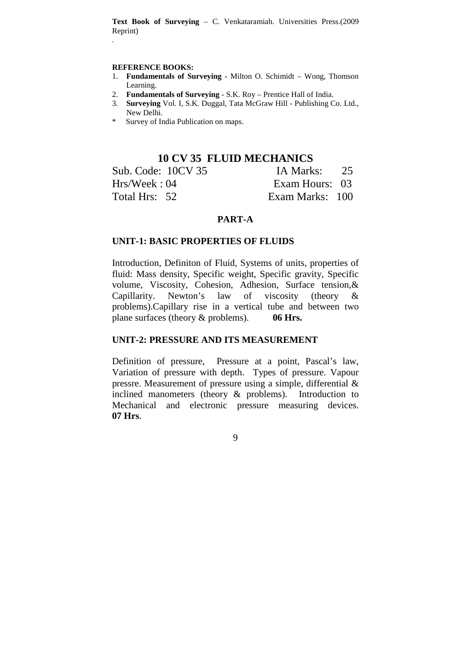**Text Book of Surveying** – C. Venkataramiah. Universities Press.(2009 Reprint)

### **REFERENCE BOOKS:**

.

- 1. **Fundamentals of Surveying -** Milton O. Schimidt Wong, Thomson Learning.
- 2. **Fundamentals of Surveying**  S.K. Roy Prentice Hall of India.
- 3. **Surveying** Vol. I, S.K. Duggal, Tata McGraw Hill Publishing Co. Ltd., New Delhi.
- \* Survey of India Publication on maps.

# **10 CV 35 FLUID MECHANICS**

| Sub. Code: 10CV 35 | IA Marks: 25    |  |
|--------------------|-----------------|--|
| Hrs/Week: 04       | Exam Hours: 03  |  |
| Total Hrs: 52      | Exam Marks: 100 |  |

# **PART-A**

# **UNIT-1: BASIC PROPERTIES OF FLUIDS**

Introduction, Definiton of Fluid, Systems of units, properties of fluid: Mass density, Specific weight, Specific gravity, Specific volume, Viscosity, Cohesion, Adhesion, Surface tension,& Capillarity. Newton's law of viscosity (theory & problems).Capillary rise in a vertical tube and between two plane surfaces (theory & problems). **06 Hrs.**

# **UNIT-2: PRESSURE AND ITS MEASUREMENT**

Definition of pressure, Pressure at a point, Pascal's law, Variation of pressure with depth. Types of pressure. Vapour pressre. Measurement of pressure using a simple, differential & inclined manometers (theory & problems). Introduction to Mechanical and electronic pressure measuring devices. **07 Hrs**.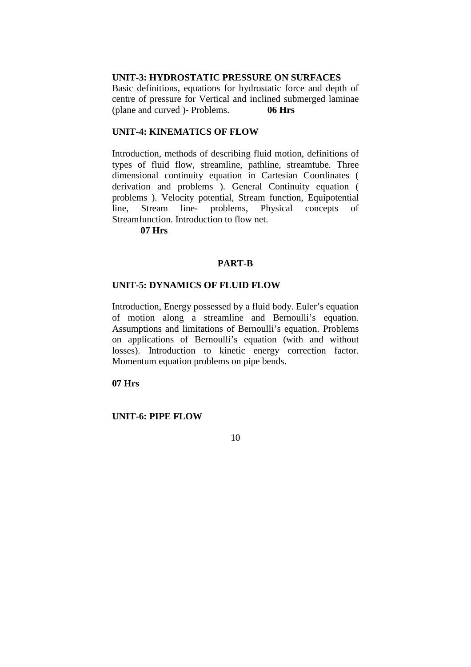# **UNIT-3: HYDROSTATIC PRESSURE ON SURFACES**

Basic definitions, equations for hydrostatic force and depth of centre of pressure for Vertical and inclined submerged laminae (plane and curved )- Problems. **06 Hrs**

# **UNIT-4: KINEMATICS OF FLOW**

Introduction, methods of describing fluid motion, definitions of types of fluid flow, streamline, pathline, streamtube. Three dimensional continuity equation in Cartesian Coordinates ( derivation and problems ). General Continuity equation ( problems ). Velocity potential, Stream function, Equipotential line, Stream line- problems, Physical concepts of Streamfunction. Introduction to flow net.

**07 Hrs**

# **PART-B**

# **UNIT-5: DYNAMICS OF FLUID FLOW**

Introduction, Energy possessed by a fluid body. Euler's equation of motion along a streamline and Bernoulli's equation. Assumptions and limitations of Bernoulli's equation. Problems on applications of Bernoulli's equation (with and without losses). Introduction to kinetic energy correction factor. Momentum equation problems on pipe bends.

# **07 Hrs**

# **UNIT-6: PIPE FLOW**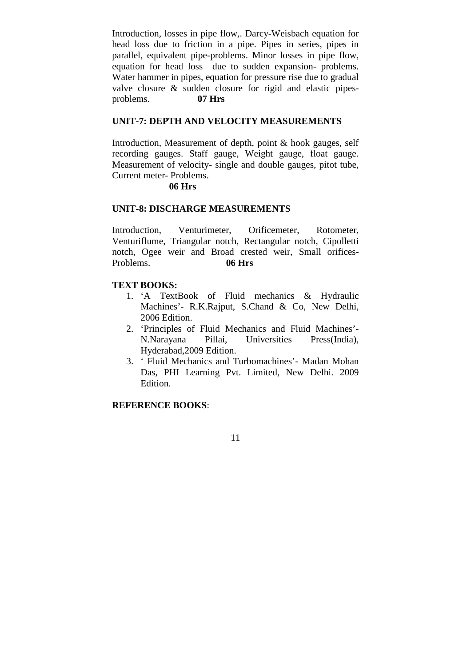Introduction, losses in pipe flow,. Darcy-Weisbach equation for head loss due to friction in a pipe. Pipes in series, pipes in parallel, equivalent pipe-problems. Minor losses in pipe flow, equation for head loss due to sudden expansion- problems. Water hammer in pipes, equation for pressure rise due to gradual valve closure & sudden closure for rigid and elastic pipesproblems. **07 Hrs**

# **UNIT-7: DEPTH AND VELOCITY MEASUREMENTS**

Introduction, Measurement of depth, point & hook gauges, self recording gauges. Staff gauge, Weight gauge, float gauge. Measurement of velocity- single and double gauges, pitot tube, Current meter- Problems.

# **06 Hrs**

# **UNIT-8: DISCHARGE MEASUREMENTS**

Introduction, Venturimeter, Orificemeter, Rotometer, Venturiflume, Triangular notch, Rectangular notch, Cipolletti notch, Ogee weir and Broad crested weir, Small orifices-Problems. **06 Hrs**

# **TEXT BOOKS:**

- 1. 'A TextBook of Fluid mechanics & Hydraulic Machines'- R.K.Rajput, S.Chand & Co, New Delhi, 2006 Edition.
- 2. 'Principles of Fluid Mechanics and Fluid Machines'- N.Narayana Pillai, Universities Press(India), Hyderabad,2009 Edition.
- 3. ' Fluid Mechanics and Turbomachines'- Madan Mohan Das, PHI Learning Pvt. Limited, New Delhi. 2009 Edition.

# **REFERENCE BOOKS**: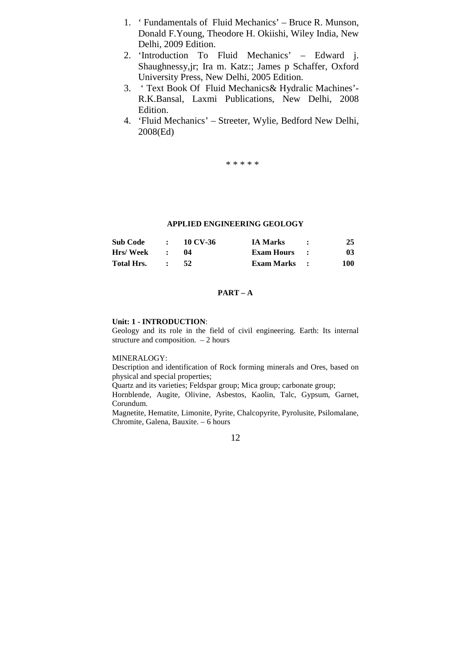- 1. ' Fundamentals of Fluid Mechanics' Bruce R. Munson, Donald F.Young, Theodore H. Okiishi, Wiley India, New Delhi, 2009 Edition.
- 2. 'Introduction To Fluid Mechanics' Edward j. Shaughnessy,jr; Ira m. Katz:; James p Schaffer, Oxford University Press, New Delhi, 2005 Edition.
- 3. ' Text Book Of Fluid Mechanics& Hydralic Machines'- R.K.Bansal, Laxmi Publications, New Delhi, 2008 Edition.
- 4. 'Fluid Mechanics' Streeter, Wylie, Bedford New Delhi, 2008(Ed)

\* \* \* \* \*

# **APPLIED ENGINEERING GEOLOGY**

| <b>Sub Code</b>   | $\bullet$ | 10 CV-36 | <b>IA Marks</b>     | 25  |
|-------------------|-----------|----------|---------------------|-----|
| <b>Hrs/Week</b>   |           |          | Exam Hours :        | 03  |
| <b>Total Hrs.</b> |           |          | <b>Exam Marks</b> : | 100 |

# **PART – A**

#### **Unit: 1 - INTRODUCTION**:

Geology and its role in the field of civil engineering. Earth: Its internal structure and composition. – 2 hours

#### MINERALOGY:

Description and identification of Rock forming minerals and Ores, based on physical and special properties;

Quartz and its varieties; Feldspar group; Mica group; carbonate group;

Hornblende, Augite, Olivine, Asbestos, Kaolin, Talc, Gypsum, Garnet, Corundum.

Magnetite, Hematite, Limonite, Pyrite, Chalcopyrite, Pyrolusite, Psilomalane, Chromite, Galena, Bauxite. – 6 hours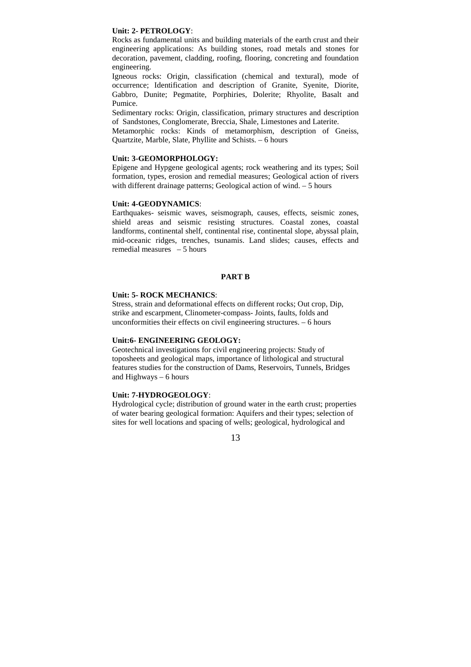#### **Unit: 2- PETROLOGY**:

Rocks as fundamental units and building materials of the earth crust and their engineering applications: As building stones, road metals and stones for decoration, pavement, cladding, roofing, flooring, concreting and foundation engineering.

Igneous rocks: Origin, classification (chemical and textural), mode of occurrence; Identification and description of Granite, Syenite, Diorite, Gabbro, Dunite; Pegmatite, Porphiries, Dolerite; Rhyolite, Basalt and Pumice.

Sedimentary rocks: Origin, classification, primary structures and description of Sandstones, Conglomerate, Breccia, Shale, Limestones and Laterite.

Metamorphic rocks: Kinds of metamorphism, description of Gneiss, Quartzite, Marble, Slate, Phyllite and Schists. – 6 hours

#### **Unit: 3-GEOMORPHOLOGY:**

Epigene and Hypgene geological agents; rock weathering and its types; Soil formation, types, erosion and remedial measures; Geological action of rivers with different drainage patterns; Geological action of wind. – 5 hours

#### **Unit: 4-GEODYNAMICS**:

Earthquakes- seismic waves, seismograph, causes, effects, seismic zones, shield areas and seismic resisting structures. Coastal zones, coastal landforms, continental shelf, continental rise, continental slope, abyssal plain, mid-oceanic ridges, trenches, tsunamis. Land slides; causes, effects and remedial measures – 5 hours

#### **PART B**

#### **Unit: 5- ROCK MECHANICS**:

Stress, strain and deformational effects on different rocks; Out crop, Dip, strike and escarpment, Clinometer-compass- Joints, faults, folds and unconformities their effects on civil engineering structures. – 6 hours

#### **Unit:6- ENGINEERING GEOLOGY:**

Geotechnical investigations for civil engineering projects: Study of toposheets and geological maps, importance of lithological and structural features studies for the construction of Dams, Reservoirs, Tunnels, Bridges and Highways – 6 hours

### **Unit: 7-HYDROGEOLOGY**:

Hydrological cycle; distribution of ground water in the earth crust; properties of water bearing geological formation: Aquifers and their types; selection of sites for well locations and spacing of wells; geological, hydrological and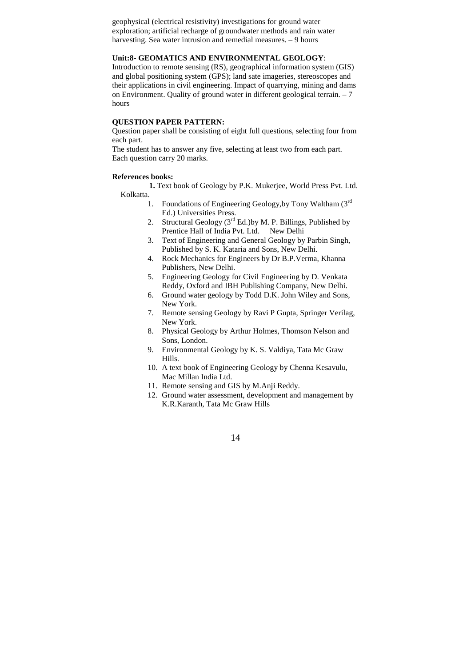geophysical (electrical resistivity) investigations for ground water exploration; artificial recharge of groundwater methods and rain water harvesting. Sea water intrusion and remedial measures. – 9 hours

# **Unit:8- GEOMATICS AND ENVIRONMENTAL GEOLOGY**:

Introduction to remote sensing (RS), geographical information system (GIS) and global positioning system (GPS); land sate imageries, stereoscopes and their applications in civil engineering. Impact of quarrying, mining and dams on Environment. Quality of ground water in different geological terrain. – 7 hours

### **QUESTION PAPER PATTERN:**

Question paper shall be consisting of eight full questions, selecting four from each part.

The student has to answer any five, selecting at least two from each part. Each question carry 20 marks.

### **References books:**

**1.** Text book of Geology by P.K. Mukerjee, World Press Pvt. Ltd. Kolkatta.

- 1. Foundations of Engineering Geology, by Tony Waltham  $(3<sup>rd</sup>$ Ed.) Universities Press.
- 2. Structural Geology  $(3<sup>rd</sup> Ed.)$ by M. P. Billings, Published by Prentice Hall of India Pvt. Ltd. New Delhi
- 3. Text of Engineering and General Geology by Parbin Singh, Published by S. K. Kataria and Sons, New Delhi.
- 4. Rock Mechanics for Engineers by Dr B.P.Verma, Khanna Publishers, New Delhi.
- 5. Engineering Geology for Civil Engineering by D. Venkata Reddy, Oxford and IBH Publishing Company, New Delhi.
- 6. Ground water geology by Todd D.K. John Wiley and Sons, New York.
- 7. Remote sensing Geology by Ravi P Gupta, Springer Verilag, New York.
- 8. Physical Geology by Arthur Holmes, Thomson Nelson and Sons, London.
- 9. Environmental Geology by K. S. Valdiya, Tata Mc Graw Hills.
- 10. A text book of Engineering Geology by Chenna Kesavulu, Mac Millan India Ltd.
- 11. Remote sensing and GIS by M.Anji Reddy.
- 12. Ground water assessment, development and management by K.R.Karanth, Tata Mc Graw Hills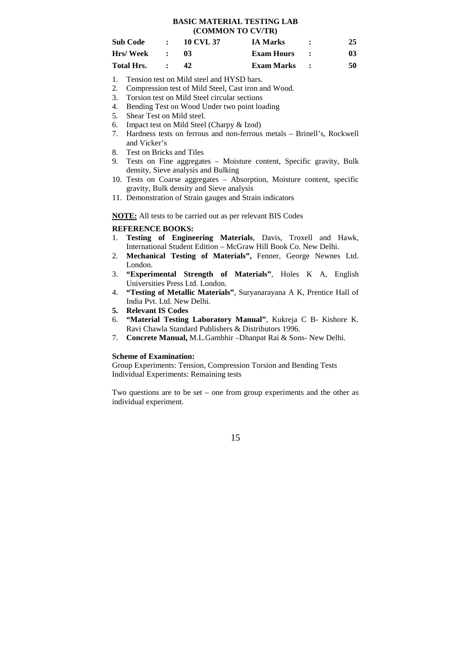#### **BASIC MATERIAL TESTING LAB (COMMON TO CV/TR)**

| <b>Sub Code</b> | $\sim$ 100 $\pm$ | 10 CVL 37 | <b>IA Marks</b>     | 25 |
|-----------------|------------------|-----------|---------------------|----|
| Hrs/ Week       | $\mathcal{L}$    | -03       | Exam Hours :        | 03 |
| Total Hrs.      |                  |           | <b>Exam Marks :</b> | 50 |

- 1. Tension test on Mild steel and HYSD bars.
- 2. Compression test of Mild Steel, Cast iron and Wood.
- 3. Torsion test on Mild Steel circular sections
- 4. Bending Test on Wood Under two point loading
- 5. Shear Test on Mild steel.
- 6. Impact test on Mild Steel (Charpy & Izod)
- 7. Hardness tests on ferrous and non-ferrous metals Brinell's, Rockwell and Vicker's
- 8. Test on Bricks and Tiles
- 9. Tests on Fine aggregates Moisture content, Specific gravity, Bulk density, Sieve analysis and Bulking
- 10. Tests on Coarse aggregates Absorption, Moisture content, specific gravity, Bulk density and Sieve analysis
- 11. Demonstration of Strain gauges and Strain indicators

**NOTE:** All tests to be carried out as per relevant BIS Codes

# **REFERENCE BOOKS:**

- 1. **Testing of Engineering Materials**, Davis, Troxell and Hawk, International Student Edition – McGraw Hill Book Co. New Delhi.
- 2. **Mechanical Testing of Materials",** Fenner, George Newnes Ltd. London.
- 3. **"Experimental Strength of Materials"**, Holes K A, English Universities Press Ltd. London.
- 4. **"Testing of Metallic Materials"**, Suryanarayana A K, Prentice Hall of India Pvt. Ltd. New Delhi.
- **5. Relevant IS Codes**
- 6. **"Material Testing Laboratory Manual"**, Kukreja C B- Kishore K. Ravi Chawla Standard Publishers & Distributors 1996.
- 7. **Concrete Manual,** M.L.Gambhir –Dhanpat Rai & Sons- New Delhi.

#### **Scheme of Examination:**

Group Experiments: Tension, Compression Torsion and Bending Tests Individual Experiments: Remaining tests

Two questions are to be set – one from group experiments and the other as individual experiment.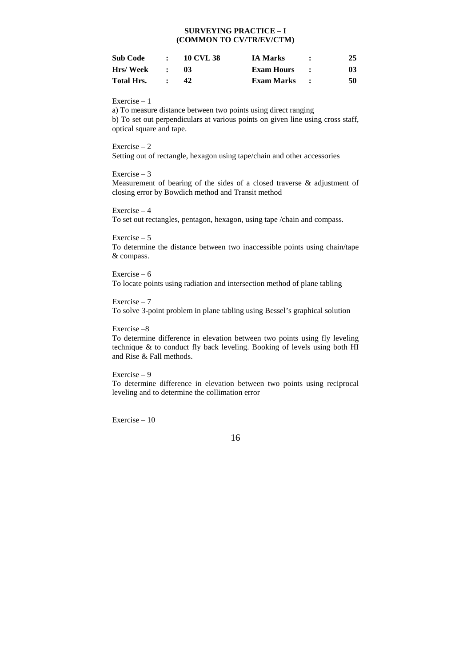# **SURVEYING PRACTICE – I (COMMON TO CV/TR/EV/CTM)**

| Sub Code   | $\bullet$ | <b>10 CVL 38</b> | <b>IA Marks</b> | 25 |
|------------|-----------|------------------|-----------------|----|
| Hrs/ Week  |           | 03               | Exam Hours      | 03 |
| Total Hrs. |           |                  | Exam Marks      | 50 |

Exercise – 1

a) To measure distance between two points using direct ranging b) To set out perpendiculars at various points on given line using cross staff, optical square and tape.

Exercise – 2

Setting out of rectangle, hexagon using tape/chain and other accessories

### Exercise – 3

Measurement of bearing of the sides of a closed traverse & adjustment of closing error by Bowdich method and Transit method

Exercise – 4

To set out rectangles, pentagon, hexagon, using tape /chain and compass.

# Exercise – 5

To determine the distance between two inaccessible points using chain/tape & compass.

Exercise – 6 To locate points using radiation and intersection method of plane tabling

Exercise – 7

To solve 3-point problem in plane tabling using Bessel's graphical solution

#### Exercise –8

To determine difference in elevation between two points using fly leveling technique & to conduct fly back leveling. Booking of levels using both HI and Rise & Fall methods.

#### Exercise – 9

To determine difference in elevation between two points using reciprocal leveling and to determine the collimation error

Exercise – 10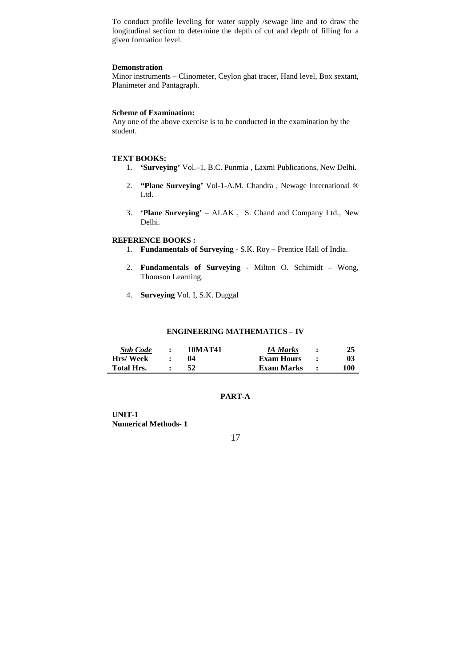To conduct profile leveling for water supply /sewage line and to draw the longitudinal section to determine the depth of cut and depth of filling for a given formation level.

### **Demonstration**

Minor instruments – Clinometer, Ceylon ghat tracer, Hand level, Box sextant, Planimeter and Pantagraph.

# **Scheme of Examination:**

Any one of the above exercise is to be conducted in the examination by the student.

### **TEXT BOOKS:**

- 1. **'Surveying'** Vol.–1, B.C. Punmia , Laxmi Publications, New Delhi.
- 2. **"Plane Surveying'** Vol-1-A.M. Chandra , Newage International ® Ltd.
- 3. **'Plane Surveying'** ALAK , S. Chand and Company Ltd., New Delhi.

### **REFERENCE BOOKS :**

- 1. **Fundamentals of Surveying** S.K. Roy Prentice Hall of India.
- 2. **Fundamentals of Surveying** Milton O. Schimidt Wong, Thomson Learning.
- 4. **Surveying** Vol. I, S.K. Duggal

# **ENGINEERING MATHEMATICS – IV**

| <b>Sub Code</b>   | $\bullet$ | 10MAT41 | IA Marks          | 25  |
|-------------------|-----------|---------|-------------------|-----|
| <b>Hrs/Week</b>   |           | 04      | <b>Exam Hours</b> | 03  |
| <b>Total Hrs.</b> |           |         | Exam Marks        | 100 |

# **PART-A**

**UNIT-1 Numerical Methods- 1**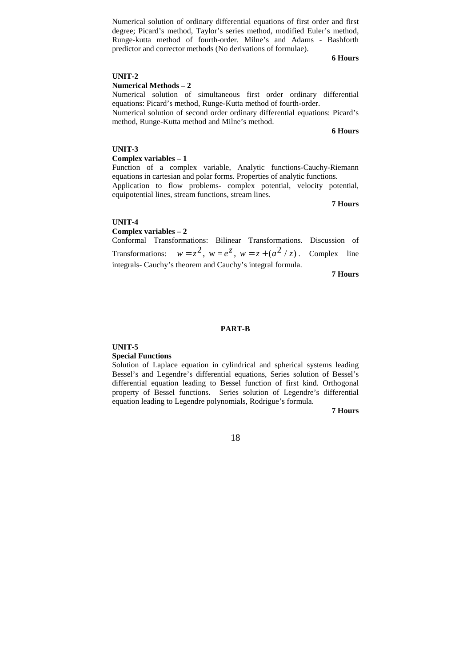#### **6 Hours**

#### **UNIT-2**

### **Numerical Methods – 2**

Numerical solution of simultaneous first order ordinary differential equations: Picard's method, Runge-Kutta method of fourth-order.

Numerical solution of ordinary differential equations of first order and first degree; Picard's method, Taylor's series method, modified Euler's method, Runge-kutta method of fourth-order. Milne's and Adams - Bashforth

predictor and corrector methods (No derivations of formulae).

Numerical solution of second order ordinary differential equations: Picard's method, Runge-Kutta method and Milne's method.

**6 Hours** 

### **UNIT-3**

#### **Complex variables – 1**

Function of a complex variable, Analytic functions-Cauchy-Riemann equations in cartesian and polar forms. Properties of analytic functions. Application to flow problems- complex potential, velocity potential,

equipotential lines, stream functions, stream lines.

**7 Hours** 

#### **UNIT-4**

**Complex variables – 2** 

Conformal Transformations: Bilinear Transformations. Discussion of Transformations:  $w = z^2$ ,  $w = e^z$ ,  $w = z + (a^2 / z)$ . Complex line integrals- Cauchy's theorem and Cauchy's integral formula.

**7 Hours** 

#### **PART-B**

#### **UNIT-5**

#### **Special Functions**

Solution of Laplace equation in cylindrical and spherical systems leading Bessel's and Legendre's differential equations, Series solution of Bessel's differential equation leading to Bessel function of first kind. Orthogonal property of Bessel functions. Series solution of Legendre's differential equation leading to Legendre polynomials, Rodrigue's formula.

#### **7 Hours**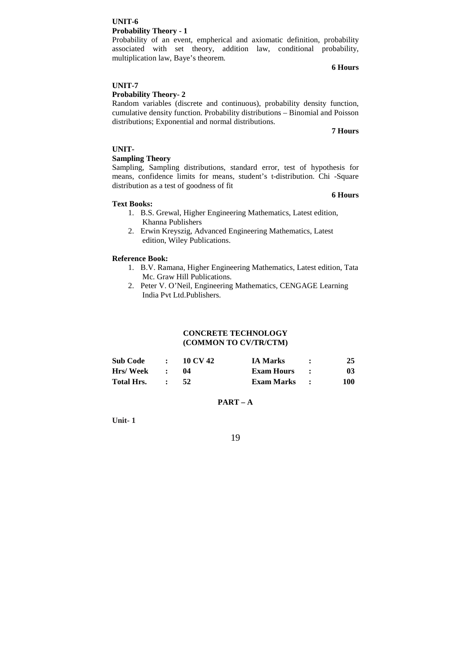### **UNIT-6 Probability Theory - 1**

Probability of an event, empherical and axiomatic definition, probability associated with set theory, addition law, conditional probability, multiplication law, Baye's theorem.

# **UNIT-7**

# **Probability Theory- 2**

Random variables (discrete and continuous), probability density function, cumulative density function. Probability distributions – Binomial and Poisson distributions; Exponential and normal distributions.

#### **7 Hours**

**6 Hours**

# **UNIT-**

# **Sampling Theory**

Sampling, Sampling distributions, standard error, test of hypothesis for means, confidence limits for means, student's t-distribution. Chi -Square distribution as a test of goodness of fit

# **Text Books:**

- 1. B.S. Grewal, Higher Engineering Mathematics, Latest edition, Khanna Publishers
- 2. Erwin Kreyszig, Advanced Engineering Mathematics, Latest edition, Wiley Publications.

# **Reference Book:**

- 1. B.V. Ramana, Higher Engineering Mathematics, Latest edition, Tata Mc. Graw Hill Publications.
- 2. Peter V. O'Neil, Engineering Mathematics, CENGAGE Learning India Pvt Ltd.Publishers.

### **CONCRETE TECHNOLOGY (COMMON TO CV/TR/CTM)**

| <b>Sub Code</b> |        | $\therefore$ 10 CV 42 | <b>IA Marks</b>   | 25  |
|-----------------|--------|-----------------------|-------------------|-----|
| Hrs/ Week       | $\sim$ |                       | <b>Exam Hours</b> | 03  |
| Total Hrs.      |        |                       | Exam Marks :      | 100 |

# **PART – A**

**Unit- 1**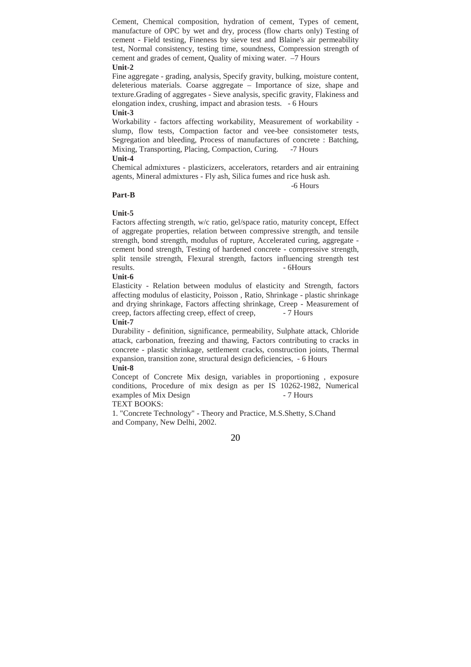Cement, Chemical composition, hydration of cement, Types of cement, manufacture of OPC by wet and dry, process (flow charts only) Testing of cement - Field testing, Fineness by sieve test and Blaine's air permeability test, Normal consistency, testing time, soundness, Compression strength of cement and grades of cement, Quality of mixing water. –7 Hours **Unit-2** 

Fine aggregate - grading, analysis, Specify gravity, bulking, moisture content, deleterious materials. Coarse aggregate – Importance of size, shape and texture.Grading of aggregates - Sieve analysis, specific gravity, Flakiness and elongation index, crushing, impact and abrasion tests. - 6 Hours **Unit-3** 

Workability - factors affecting workability, Measurement of workability slump, flow tests, Compaction factor and vee-bee consistometer tests, Segregation and bleeding, Process of manufactures of concrete : Batching, Mixing, Transporting, Placing, Compaction, Curing. -7 Hours **Unit-4** 

Chemical admixtures - plasticizers, accelerators, retarders and air entraining agents, Mineral admixtures - Fly ash, Silica fumes and rice husk ash.

#### -6 Hours

#### **Part-B**

### **Unit-5**

Factors affecting strength, w/c ratio, gel/space ratio, maturity concept, Effect of aggregate properties, relation between compressive strength, and tensile strength, bond strength, modulus of rupture, Accelerated curing, aggregate cement bond strength, Testing of hardened concrete - compressive strength, split tensile strength, Flexural strength, factors influencing strength test results.  $-6$ Hours

# **Unit-6**

Elasticity - Relation between modulus of elasticity and Strength, factors affecting modulus of elasticity, Poisson , Ratio, Shrinkage - plastic shrinkage and drying shrinkage, Factors affecting shrinkage, Creep - Measurement of creep, factors affecting creep, effect of creep,  $-7$  Hours

#### **Unit-7**

Durability - definition, significance, permeability, Sulphate attack, Chloride attack, carbonation, freezing and thawing, Factors contributing to cracks in concrete - plastic shrinkage, settlement cracks, construction joints, Thermal expansion, transition zone, structural design deficiencies, - 6 Hours

#### **Unit-8**

Concept of Concrete Mix design, variables in proportioning , exposure conditions, Procedure of mix design as per IS 10262-1982, Numerical examples of Mix Design - 7 Hours TEXT BOOKS:

1. "Concrete Technology" - Theory and Practice, M.S.Shetty, S.Chand

and Company, New Delhi, 2002.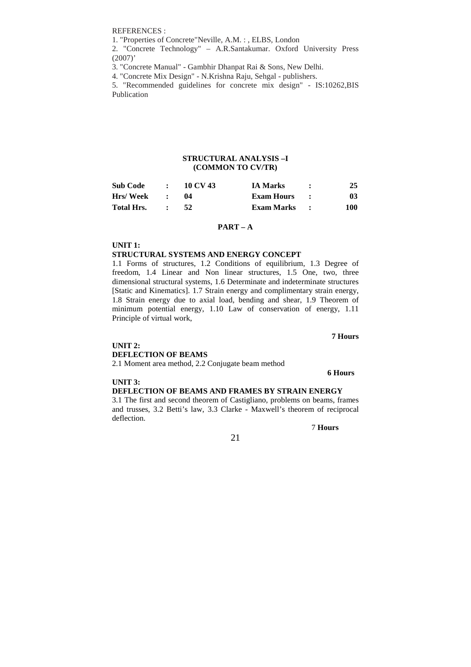REFERENCES :

1. "Properties of Concrete"Neville, A.M. : , ELBS, London

2. "Concrete Technology" – A.R.Santakumar. Oxford University Press  $(2007)$ <sup>'</sup>

3. "Concrete Manual" - Gambhir Dhanpat Rai & Sons, New Delhi.

4. "Concrete Mix Design" - N.Krishna Raju, Sehgal - publishers.

5. "Recommended guidelines for concrete mix design" - IS:10262,BIS Publication

### **STRUCTURAL ANALYSIS –I (COMMON TO CV/TR)**

| <b>Sub Code</b>   | $\cdot$ | 10 CV 43 | <b>IA Marks</b>   | 25  |
|-------------------|---------|----------|-------------------|-----|
| Hrs/ Week         |         |          | Exam Hours :      | 03  |
| <b>Total Hrs.</b> |         |          | <b>Exam Marks</b> | 100 |

### **PART – A**

**UNIT 1:** 

#### **STRUCTURAL SYSTEMS AND ENERGY CONCEPT**

1.1 Forms of structures, 1.2 Conditions of equilibrium, 1.3 Degree of freedom, 1.4 Linear and Non linear structures, 1.5 One, two, three dimensional structural systems, 1.6 Determinate and indeterminate structures [Static and Kinematics]. 1.7 Strain energy and complimentary strain energy, 1.8 Strain energy due to axial load, bending and shear, 1.9 Theorem of minimum potential energy, 1.10 Law of conservation of energy, 1.11 Principle of virtual work,

**7 Hours** 

# **UNIT 2. DEFLECTION OF BEAMS**

2.1 Moment area method, 2.2 Conjugate beam method

**6 Hours** 

### **UNIT 3:**

**DEFLECTION OF BEAMS AND FRAMES BY STRAIN ENERGY**

3.1 The first and second theorem of Castigliano, problems on beams, frames and trusses, 3.2 Betti's law, 3.3 Clarke - Maxwell's theorem of reciprocal deflection.

21

7 **Hours**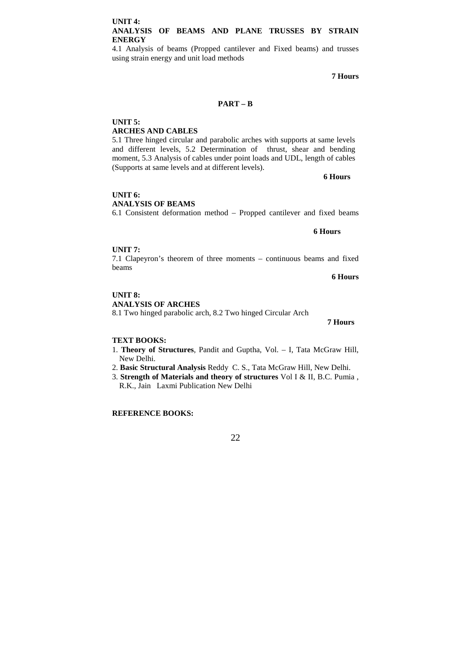4.1 Analysis of beams (Propped cantilever and Fixed beams) and trusses using strain energy and unit load methods

**7 Hours** 

# **PART – B**

**UNIT 5: ARCHES AND CABLES**  5.1 Three hinged circular and parabolic arches with supports at same levels and different levels, 5.2 Determination of thrust, shear and bending moment, 5.3 Analysis of cables under point loads and UDL, length of cables (Supports at same levels and at different levels).

**6 Hours** 

**UNIT 6: ANALYSIS OF BEAMS**  6.1 Consistent deformation method – Propped cantilever and fixed beams

**6 Hours**

#### **UNIT 7:**

7.1 Clapeyron's theorem of three moments – continuous beams and fixed beams

**6 Hours** 

**UNIT 8: ANALYSIS OF ARCHES**  8.1 Two hinged parabolic arch, 8.2 Two hinged Circular Arch

 **7 Hours** 

#### **TEXT BOOKS:**

- 1. **Theory of Structures**, Pandit and Guptha, Vol. I, Tata McGraw Hill, New Delhi.
- 2. **Basic Structural Analysis** Reddy C. S., Tata McGraw Hill, New Delhi.
- 3. **Strength of Materials and theory of structures** Vol I & II, B.C. Pumia , R.K., Jain Laxmi Publication New Delhi

# **REFERENCE BOOKS:**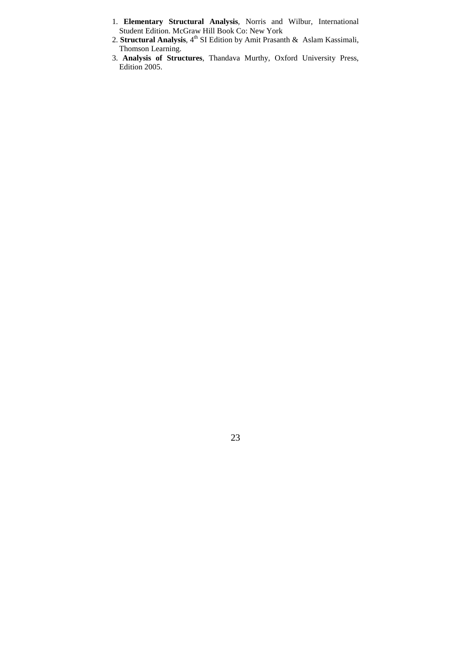- 1. **Elementary Structural Analysis**, Norris and Wilbur, International Student Edition. McGraw Hill Book Co: New York
- 2. **Structural Analysis**, 4<sup>th</sup> SI Edition by Amit Prasanth & Aslam Kassimali, Thomson Learning.
- 3. **Analysis of Structures**, Thandava Murthy, Oxford University Press, Edition 2005.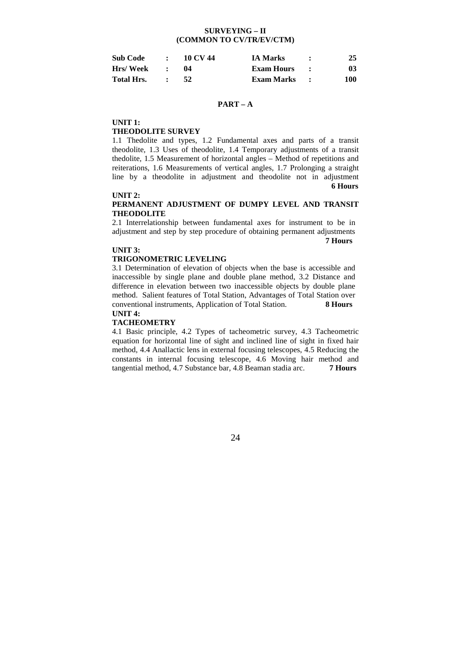### **SURVEYING – II (COMMON TO CV/TR/EV/CTM)**

| <b>Sub Code</b>   | $\bullet$ | 10 CV 44 | <b>IA Marks</b>   | 25  |
|-------------------|-----------|----------|-------------------|-----|
| Hrs/Week          |           |          | Exam Hours        | 03  |
| <b>Total Hrs.</b> |           |          | <b>Exam Marks</b> | 100 |

### **PART – A**

**UNIT 1:** 

#### **THEODOLITE SURVEY**

1.1 Thedolite and types, 1.2 Fundamental axes and parts of a transit theodolite, 1.3 Uses of theodolite, 1.4 Temporary adjustments of a transit thedolite, 1.5 Measurement of horizontal angles – Method of repetitions and reiterations, 1.6 Measurements of vertical angles, 1.7 Prolonging a straight line by a theodolite in adjustment and theodolite not in adjustment  **6 Hours** 

#### **UNIT 2:**

### **PERMANENT ADJUSTMENT OF DUMPY LEVEL AND TRANSIT THEODOLITE**

2.1 Interrelationship between fundamental axes for instrument to be in adjustment and step by step procedure of obtaining permanent adjustments  **7 Hours** 

#### **UNIT 3:**

#### **TRIGONOMETRIC LEVELING**

3.1 Determination of elevation of objects when the base is accessible and inaccessible by single plane and double plane method, 3.2 Distance and difference in elevation between two inaccessible objects by double plane method. Salient features of Total Station, Advantages of Total Station over conventional instruments, Application of Total Station. **8 Hours**

# **UNIT 4:**

# **TACHEOMETRY**

4.1 Basic principle, 4.2 Types of tacheometric survey, 4.3 Tacheometric equation for horizontal line of sight and inclined line of sight in fixed hair method, 4.4 Anallactic lens in external focusing telescopes, 4.5 Reducing the constants in internal focusing telescope, 4.6 Moving hair method and tangential method, 4.7 Substance bar, 4.8 Beaman stadia arc. **7 Hours**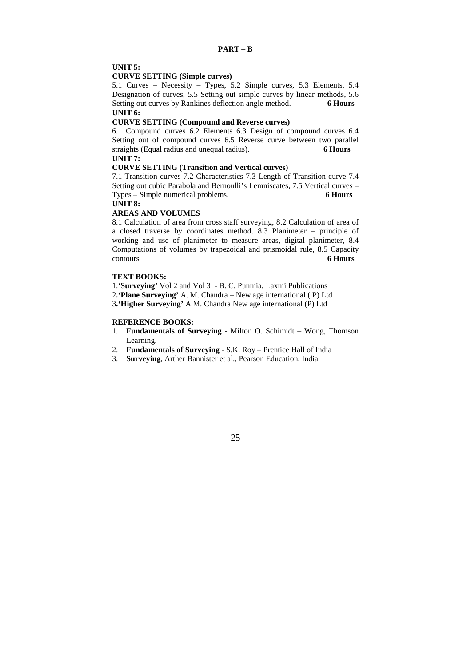# **UNIT 5:**

#### **CURVE SETTING (Simple curves)**

5.1 Curves – Necessity – Types, 5.2 Simple curves, 5.3 Elements, 5.4 Designation of curves, 5.5 Setting out simple curves by linear methods, 5.6 Setting out curves by Rankines deflection angle method. **6 Hours UNIT 6:** 

#### **CURVE SETTING (Compound and Reverse curves)**

6.1 Compound curves 6.2 Elements 6.3 Design of compound curves 6.4 Setting out of compound curves 6.5 Reverse curve between two parallel straights (Equal radius and unequal radius). **6 Hours UNIT 7:** 

### **CURVE SETTING (Transition and Vertical curves)**

7.1 Transition curves 7.2 Characteristics 7.3 Length of Transition curve 7.4 Setting out cubic Parabola and Bernoulli's Lemniscates, 7.5 Vertical curves – Types – Simple numerical problems. **6 Hours**

**UNIT 8:**

# **AREAS AND VOLUMES**

8.1 Calculation of area from cross staff surveying, 8.2 Calculation of area of a closed traverse by coordinates method. 8.3 Planimeter – principle of working and use of planimeter to measure areas, digital planimeter, 8.4 Computations of volumes by trapezoidal and prismoidal rule, 8.5 Capacity contours **6 Hours**

### **TEXT BOOKS:**

1.'**Surveying'** Vol 2 and Vol 3 - B. C. Punmia, Laxmi Publications

2**.'Plane Surveying'** A. M. Chandra – New age international ( P) Ltd

3**.'Higher Surveying'** A.M. Chandra New age international (P) Ltd

#### **REFERENCE BOOKS:**

- 1. **Fundamentals of Surveying**  Milton O. Schimidt Wong, Thomson Learning.
- 2. **Fundamentals of Surveying**  S.K. Roy Prentice Hall of India
- 3. **Surveying**, Arther Bannister et al., Pearson Education, India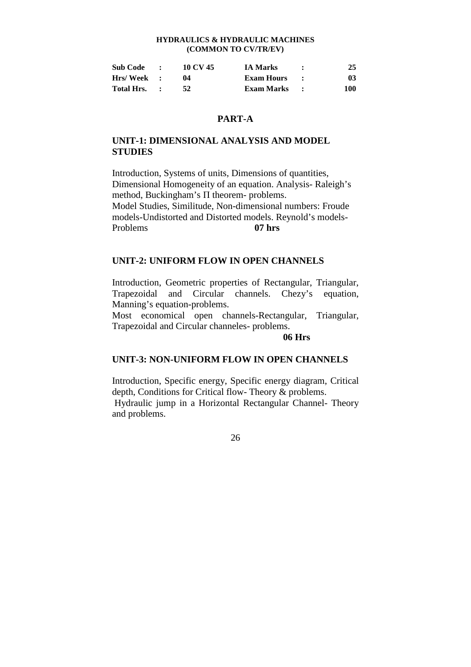# **HYDRAULICS & HYDRAULIC MACHINES (COMMON TO CV/TR/EV)**

| <b>Sub Code</b> | $\bullet$ | 10 CV 45 | <b>IA Marks</b>     | 25  |
|-----------------|-----------|----------|---------------------|-----|
| Hrs/Week :      |           | 04       | <b>Exam Hours</b>   | 03  |
| Total Hrs.      |           | 52       | <b>Exam Marks :</b> | 100 |

# **PART-A**

# **UNIT-1: DIMENSIONAL ANALYSIS AND MODEL STUDIES**

Introduction, Systems of units, Dimensions of quantities, Dimensional Homogeneity of an equation. Analysis- Raleigh's method, Buckingham's Π theorem- problems. Model Studies, Similitude, Non-dimensional numbers: Froude models-Undistorted and Distorted models. Reynold's models-Problems **07 hrs**

# **UNIT-2: UNIFORM FLOW IN OPEN CHANNELS**

Introduction, Geometric properties of Rectangular, Triangular, Trapezoidal and Circular channels. Chezy's equation, Manning's equation-problems.

Most economical open channels-Rectangular, Triangular, Trapezoidal and Circular channeles- problems.

# **06 Hrs**

# **UNIT-3: NON-UNIFORM FLOW IN OPEN CHANNELS**

Introduction, Specific energy, Specific energy diagram, Critical depth, Conditions for Critical flow- Theory & problems. Hydraulic jump in a Horizontal Rectangular Channel- Theory and problems.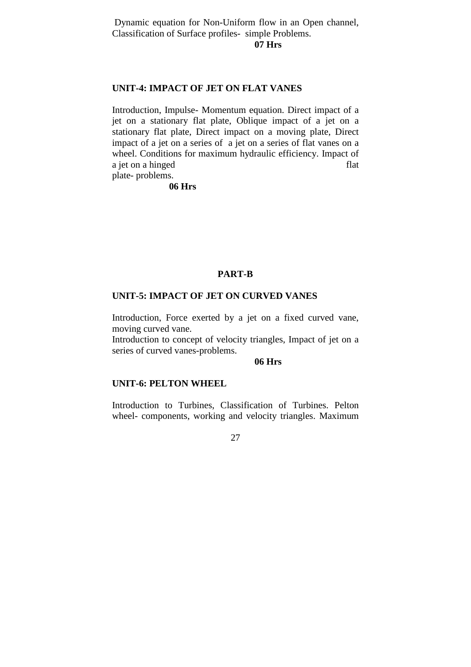Dynamic equation for Non-Uniform flow in an Open channel, Classification of Surface profiles- simple Problems.

### **07 Hrs**

# **UNIT-4: IMPACT OF JET ON FLAT VANES**

Introduction, Impulse- Momentum equation. Direct impact of a jet on a stationary flat plate, Oblique impact of a jet on a stationary flat plate, Direct impact on a moving plate, Direct impact of a jet on a series of a jet on a series of flat vanes on a wheel. Conditions for maximum hydraulic efficiency. Impact of a jet on a hinged flat plate- problems.

**06 Hrs**

# **PART-B**

# **UNIT-5: IMPACT OF JET ON CURVED VANES**

Introduction, Force exerted by a jet on a fixed curved vane, moving curved vane.

Introduction to concept of velocity triangles, Impact of jet on a series of curved vanes-problems.

# **06 Hrs**

# **UNIT-6: PELTON WHEEL**

Introduction to Turbines, Classification of Turbines. Pelton wheel- components, working and velocity triangles. Maximum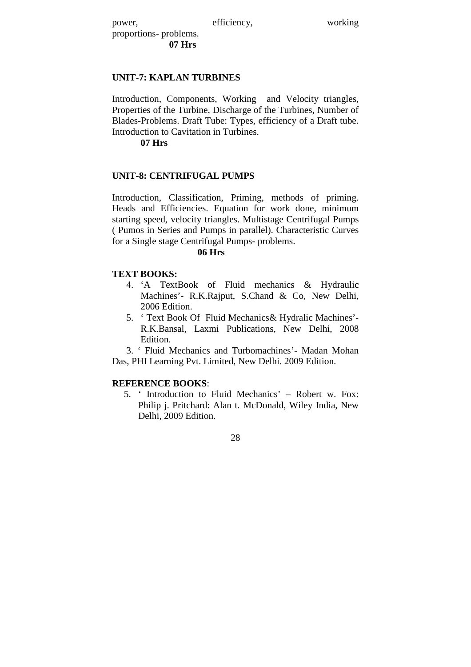power, efficiency, working

proportions- problems. **07 Hrs**

# **UNIT-7: KAPLAN TURBINES**

Introduction, Components, Working and Velocity triangles, Properties of the Turbine, Discharge of the Turbines, Number of Blades-Problems. Draft Tube: Types, efficiency of a Draft tube. Introduction to Cavitation in Turbines.

**07 Hrs**

# **UNIT-8: CENTRIFUGAL PUMPS**

Introduction, Classification, Priming, methods of priming. Heads and Efficiencies. Equation for work done, minimum starting speed, velocity triangles. Multistage Centrifugal Pumps ( Pumos in Series and Pumps in parallel). Characteristic Curves for a Single stage Centrifugal Pumps- problems.

# **06 Hrs**

# **TEXT BOOKS:**

- 4. 'A TextBook of Fluid mechanics & Hydraulic Machines'- R.K.Rajput, S.Chand & Co, New Delhi, 2006 Edition.
- 5. ' Text Book Of Fluid Mechanics& Hydralic Machines'- R.K.Bansal, Laxmi Publications, New Delhi, 2008 Edition.

 3. ' Fluid Mechanics and Turbomachines'- Madan Mohan Das, PHI Learning Pvt. Limited, New Delhi. 2009 Edition.

# **REFERENCE BOOKS**:

5. ' Introduction to Fluid Mechanics' – Robert w. Fox: Philip j. Pritchard: Alan t. McDonald, Wiley India, New Delhi, 2009 Edition.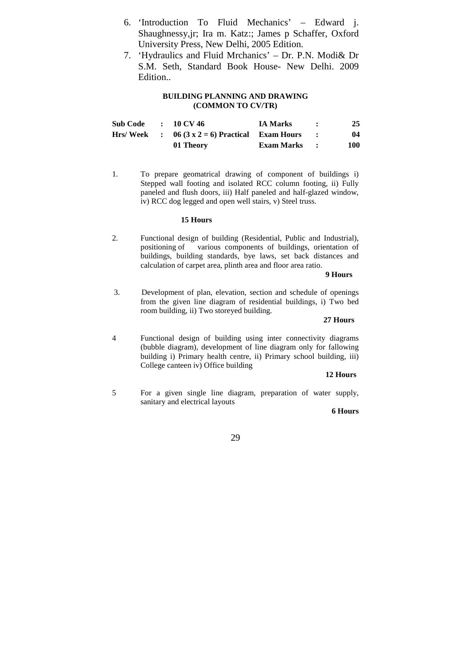- 6. 'Introduction To Fluid Mechanics' Edward j. Shaughnessy,jr; Ira m. Katz:; James p Schaffer, Oxford University Press, New Delhi, 2005 Edition.
- 7. 'Hydraulics and Fluid Mrchanics' Dr. P.N. Modi& Dr S.M. Seth, Standard Book House- New Delhi. 2009 Edition..

# **BUILDING PLANNING AND DRAWING (COMMON TO CV/TR)**

| <b>Sub Code</b> | $\therefore$ 10 CV 46                            | <b>IA Marks</b> | 25  |
|-----------------|--------------------------------------------------|-----------------|-----|
|                 | Hrs/Week : $06 (3 x 2=6)$ Practical Exam Hours : |                 | 04  |
|                 | 01 Theory                                        | Exam Marks :    | 100 |

1. To prepare geomatrical drawing of component of buildings i) Stepped wall footing and isolated RCC column footing, ii) Fully paneled and flush doors, iii) Half paneled and half-glazed window, iv) RCC dog legged and open well stairs, v) Steel truss.

# **15 Hours**

2. Functional design of building (Residential, Public and Industrial), positioning of various components of buildings, orientation of various components of buildings, orientation of buildings, building standards, bye laws, set back distances and calculation of carpet area, plinth area and floor area ratio.

#### **9 Hours**

 3. Development of plan, elevation, section and schedule of openings from the given line diagram of residential buildings, i) Two bed room building, ii) Two storeyed building.

#### **27 Hours**

4 Functional design of building using inter connectivity diagrams (bubble diagram), development of line diagram only for fallowing building i) Primary health centre, ii) Primary school building, iii) College canteen iv) Office building

### **12 Hours**

5 For a given single line diagram, preparation of water supply, sanitary and electrical layouts

### **6 Hours**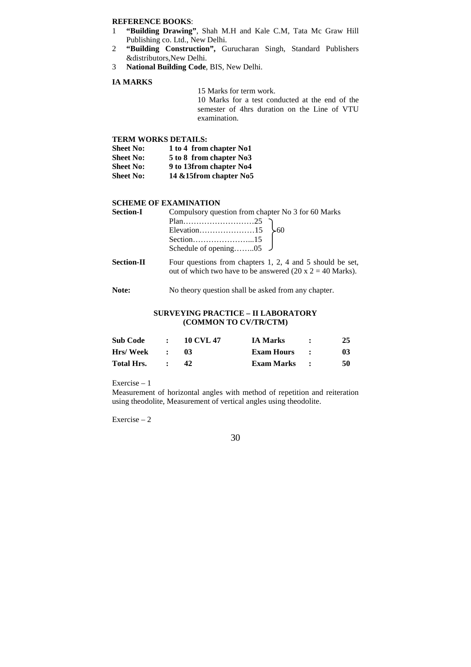#### **REFERENCE BOOKS**:

- 1 **"Building Drawing"**, Shah M.H and Kale C.M, Tata Mc Graw Hill Publishing co. Ltd., New Delhi.
- 2 **"Building Construction",** Gurucharan Singh, Standard Publishers &distributors,New Delhi.
- 3 **National Building Code**, BIS, New Delhi.

### **IA MARKS**

 15 Marks for term work. 10 Marks for a test conducted at the end of the semester of 4hrs duration on the Line of VTU examination.

# **TERM WORKS DETAILS:**

| <b>Sheet No:</b> | 1 to 4 from chapter No1  |
|------------------|--------------------------|
| <b>Sheet No:</b> | 5 to 8 from chapter No3  |
| <b>Sheet No:</b> | 9 to 13from chapter No4  |
| <b>Sheet No:</b> | 14 & 15 from chapter No5 |

#### **SCHEME OF EXAMINATION**

| <b>Section-I</b>  | Compulsory question from chapter No 3 for 60 Marks                                                                                     |  |  |  |
|-------------------|----------------------------------------------------------------------------------------------------------------------------------------|--|--|--|
|                   |                                                                                                                                        |  |  |  |
|                   |                                                                                                                                        |  |  |  |
|                   |                                                                                                                                        |  |  |  |
|                   | Schedule of opening $05 \quad J$                                                                                                       |  |  |  |
| <b>Section-II</b> | Four questions from chapters 1, 2, 4 and 5 should be set,<br>out of which two have to be answered $(20 \times 2 = 40 \text{ Marks})$ . |  |  |  |
| Note:             | No theory question shall be asked from any chapter.                                                                                    |  |  |  |

### **SURVEYING PRACTICE – II LABORATORY (COMMON TO CV/TR/CTM)**

| <b>Sub Code</b>   | $\bullet$ | <b>10 CVL 47</b> | <b>IA Marks</b> | 25 |
|-------------------|-----------|------------------|-----------------|----|
| Hrs/Week          |           | 03               | Exam Hours      | 03 |
| <b>Total Hrs.</b> |           |                  | Exam Marks :    | 50 |

Exercise – 1

Measurement of horizontal angles with method of repetition and reiteration using theodolite, Measurement of vertical angles using theodolite.

Exercise – 2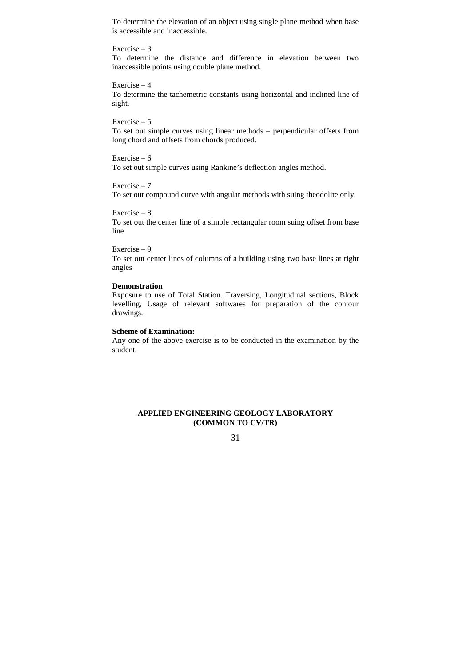To determine the elevation of an object using single plane method when base is accessible and inaccessible.

#### Exercise – 3

To determine the distance and difference in elevation between two inaccessible points using double plane method.

# Exercise – 4

To determine the tachemetric constants using horizontal and inclined line of sight.

#### Exercise – 5

To set out simple curves using linear methods – perpendicular offsets from long chord and offsets from chords produced.

# Exercise – 6

To set out simple curves using Rankine's deflection angles method.

# Exercise – 7

To set out compound curve with angular methods with suing theodolite only.

#### Exercise – 8

To set out the center line of a simple rectangular room suing offset from base line

# Exercise – 9

To set out center lines of columns of a building using two base lines at right angles

#### **Demonstration**

Exposure to use of Total Station. Traversing, Longitudinal sections, Block levelling, Usage of relevant softwares for preparation of the contour drawings.

#### **Scheme of Examination:**

Any one of the above exercise is to be conducted in the examination by the student.

# **APPLIED ENGINEERING GEOLOGY LABORATORY (COMMON TO CV/TR)**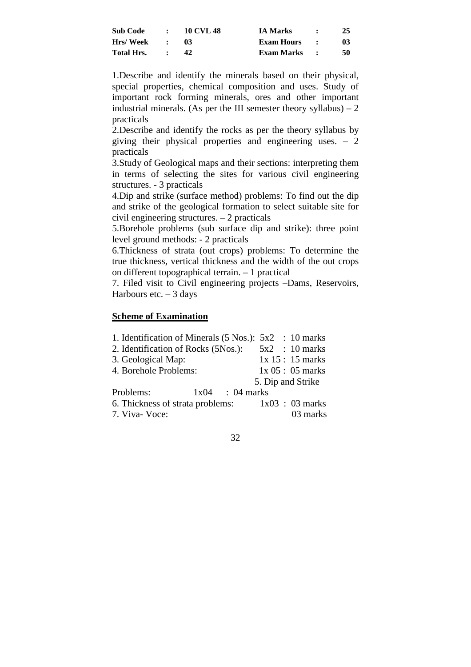| Sub Code   |                          | $\therefore$ 10 CVL 48 | <b>IA Marks</b> | 25 |
|------------|--------------------------|------------------------|-----------------|----|
| Hrs/ Week  | $\sim$ 1.1               | -03                    | Exam Hours :    | 03 |
| Total Hrs. | <b><i>Contractor</i></b> | 42.                    | Exam Marks :    | 50 |

1.Describe and identify the minerals based on their physical, special properties, chemical composition and uses. Study of important rock forming minerals, ores and other important industrial minerals. (As per the III semester theory syllabus)  $-2$ practicals

2.Describe and identify the rocks as per the theory syllabus by giving their physical properties and engineering uses. – 2 practicals

3.Study of Geological maps and their sections: interpreting them in terms of selecting the sites for various civil engineering structures. - 3 practicals

4.Dip and strike (surface method) problems: To find out the dip and strike of the geological formation to select suitable site for civil engineering structures. – 2 practicals

5.Borehole problems (sub surface dip and strike): three point level ground methods: - 2 practicals

6.Thickness of strata (out crops) problems: To determine the true thickness, vertical thickness and the width of the out crops on different topographical terrain. – 1 practical

7. Filed visit to Civil engineering projects –Dams, Reservoirs, Harbours etc.  $-3$  days

# **Scheme of Examination**

| 1. Identification of Minerals (5 Nos.): 5x2 : 10 marks |                   |
|--------------------------------------------------------|-------------------|
| 2. Identification of Rocks (5Nos.):                    | 5x2 : 10 marks    |
| 3. Geological Map:                                     | 1x 15: 15 marks   |
| 4. Borehole Problems:                                  | $1x\,05:05$ marks |
|                                                        | 5. Dip and Strike |
| Problems:<br>$1x04$ : 04 marks                         |                   |
| 6. Thickness of strata problems: $1x03 : 03$ marks     |                   |
| 7. Viva-Voce:                                          | 03 marks          |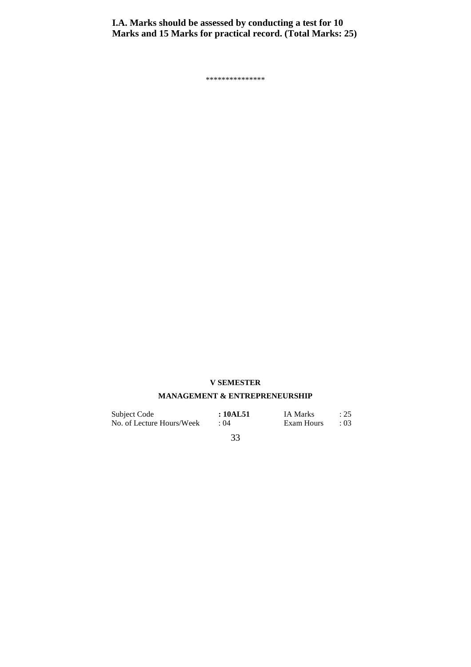**I.A. Marks should be assessed by conducting a test for 10 Marks and 15 Marks for practical record. (Total Marks: 25)** 

\*\*\*\*\*\*\*\*\*\*\*\*\*\*\*

# **V SEMESTER**

# **MANAGEMENT & ENTREPRENEURSHIP**

| Subject Code              | : 10AL51 | <b>IA Marks</b> | $\therefore$ 25 |
|---------------------------|----------|-----------------|-----------------|
| No. of Lecture Hours/Week | : 04     | Exam Hours      | : 03            |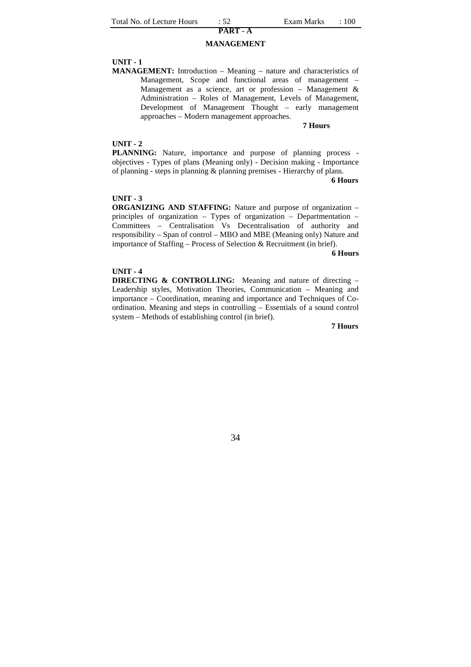# **PART - A MANAGEMENT**

#### **UNIT - 1**

**MANAGEMENT:** Introduction – Meaning – nature and characteristics of Management, Scope and functional areas of management – Management as a science, art or profession – Management & Administration – Roles of Management, Levels of Management, Development of Management Thought – early management approaches – Modern management approaches.

#### **7 Hours**

#### **UNIT - 2**

**PLANNING:** Nature, importance and purpose of planning process objectives - Types of plans (Meaning only) - Decision making - Importance of planning - steps in planning & planning premises - Hierarchy of plans.

#### **6 Hours**

### **UNIT - 3**

**ORGANIZING AND STAFFING:** Nature and purpose of organization – principles of organization – Types of organization – Departmentation – Committees – Centralisation Vs Decentralisation of authority and responsibility – Span of control – MBO and MBE (Meaning only) Nature and importance of Staffing – Process of Selection & Recruitment (in brief).

#### **6 Hours**

#### **UNIT - 4**

**DIRECTING & CONTROLLING:** Meaning and nature of directing – Leadership styles, Motivation Theories, Communication – Meaning and importance – Coordination, meaning and importance and Techniques of Coordination. Meaning and steps in controlling – Essentials of a sound control system – Methods of establishing control (in brief).

**7 Hours**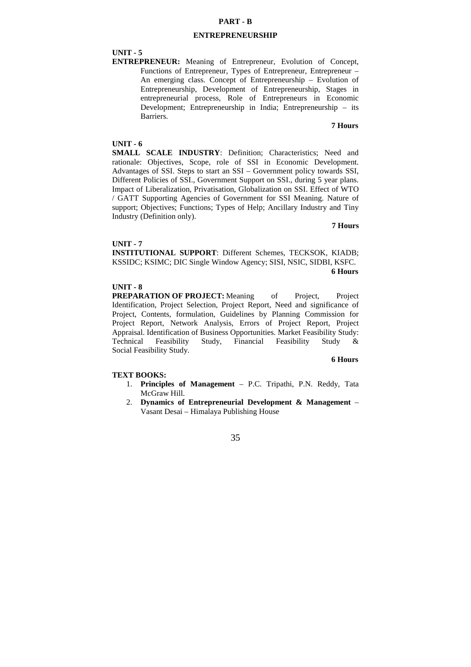### **PART - B**

#### **ENTREPRENEURSHIP**

#### **UNIT - 5**

**ENTREPRENEUR:** Meaning of Entrepreneur, Evolution of Concept, Functions of Entrepreneur, Types of Entrepreneur, Entrepreneur – An emerging class. Concept of Entrepreneurship – Evolution of Entrepreneurship, Development of Entrepreneurship, Stages in entrepreneurial process, Role of Entrepreneurs in Economic Development; Entrepreneurship in India; Entrepreneurship – its Barriers.

# **7 Hours**

#### **UNIT - 6**

**SMALL SCALE INDUSTRY**: Definition; Characteristics; Need and rationale: Objectives, Scope, role of SSI in Economic Development. Advantages of SSI. Steps to start an SSI – Government policy towards SSI, Different Policies of SSI., Government Support on SSI., during 5 year plans. Impact of Liberalization, Privatisation, Globalization on SSI. Effect of WTO / GATT Supporting Agencies of Government for SSI Meaning. Nature of support; Objectives; Functions; Types of Help; Ancillary Industry and Tiny Industry (Definition only).

**7 Hours** 

#### **UNIT - 7**

**INSTITUTIONAL SUPPORT**: Different Schemes, TECKSOK, KIADB; KSSIDC; KSIMC; DIC Single Window Agency; SISI, NSIC, SIDBI, KSFC. **6 Hours** 

#### **UNIT - 8**

**PREPARATION OF PROJECT:** Meaning of Project. Project Identification, Project Selection, Project Report, Need and significance of Project, Contents, formulation, Guidelines by Planning Commission for Project Report, Network Analysis, Errors of Project Report, Project Appraisal. Identification of Business Opportunities. Market Feasibility Study: Technical Feasibility Study, Financial Feasibility Study & Social Feasibility Study.

#### **6 Hours**

#### **TEXT BOOKS:**

- 1. **Principles of Management** P.C. Tripathi, P.N. Reddy, Tata McGraw Hill.
- 2. **Dynamics of Entrepreneurial Development & Management** Vasant Desai – Himalaya Publishing House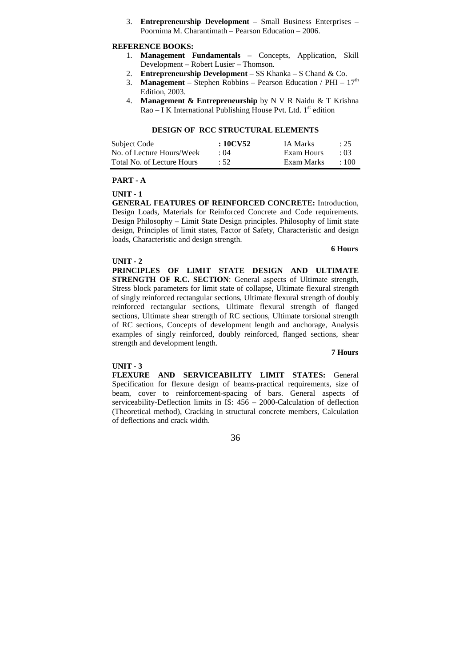3. **Entrepreneurship Development** – Small Business Enterprises – Poornima M. Charantimath – Pearson Education – 2006.

### **REFERENCE BOOKS:**

- 1. **Management Fundamentals** Concepts, Application, Skill Development – Robert Lusier – Thomson.
- 2. **Entrepreneurship Development**  SS Khanka S Chand & Co.
- 3. **Management** Stephen Robbins Pearson Education / PHI  $17<sup>th</sup>$ Edition, 2003.
- 4. **Management & Entrepreneurship** by N V R Naidu & T Krishna  $Rao - I K$  International Publishing House Pvt. Ltd.  $1<sup>st</sup>$  edition

### **DESIGN OF RCC STRUCTURAL ELEMENTS**

| Subject Code               | : 10CV52    | <b>IA Marks</b> | : 25        |
|----------------------------|-------------|-----------------|-------------|
| No. of Lecture Hours/Week  | $\cdot$ ()4 | Exam Hours      | $\cdot$ 03  |
| Total No. of Lecture Hours | :52         | Exam Marks      | $\cdot$ 100 |

# **PART - A**

**UNIT - 1** 

**GENERAL FEATURES OF REINFORCED CONCRETE:** Introduction, Design Loads, Materials for Reinforced Concrete and Code requirements. Design Philosophy – Limit State Design principles. Philosophy of limit state design, Principles of limit states, Factor of Safety, Characteristic and design loads, Characteristic and design strength.

#### **UNIT - 2**

**6 Hours**

**PRINCIPLES OF LIMIT STATE DESIGN AND ULTIMATE STRENGTH OF R.C. SECTION**: General aspects of Ultimate strength, Stress block parameters for limit state of collapse, Ultimate flexural strength of singly reinforced rectangular sections, Ultimate flexural strength of doubly reinforced rectangular sections, Ultimate flexural strength of flanged sections, Ultimate shear strength of RC sections, Ultimate torsional strength of RC sections, Concepts of development length and anchorage, Analysis examples of singly reinforced, doubly reinforced, flanged sections, shear strength and development length.

#### **7 Hours**

### **UNIT - 3**

**FLEXURE AND SERVICEABILITY LIMIT STATES:** General Specification for flexure design of beams-practical requirements, size of beam, cover to reinforcement-spacing of bars. General aspects of serviceability-Deflection limits in IS: 456 – 2000-Calculation of deflection (Theoretical method), Cracking in structural concrete members, Calculation of deflections and crack width.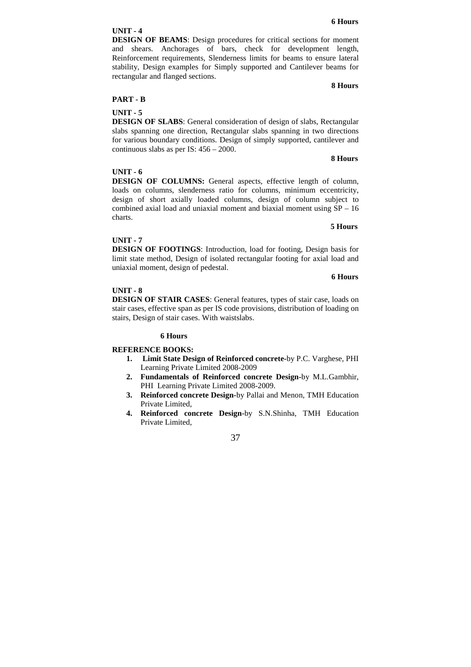# **UNIT - 4**

**DESIGN OF BEAMS**: Design procedures for critical sections for moment and shears. Anchorages of bars, check for development length, Reinforcement requirements, Slenderness limits for beams to ensure lateral stability, Design examples for Simply supported and Cantilever beams for rectangular and flanged sections.

**8 Hours**

## **PART - B**

# **UNIT - 5**

**DESIGN OF SLABS**: General consideration of design of slabs, Rectangular slabs spanning one direction, Rectangular slabs spanning in two directions for various boundary conditions. Design of simply supported, cantilever and continuous slabs as per IS: 456 – 2000.

#### **8 Hours**

# **UNIT - 6**

**DESIGN OF COLUMNS:** General aspects, effective length of column, loads on columns, slenderness ratio for columns, minimum eccentricity, design of short axially loaded columns, design of column subject to combined axial load and uniaxial moment and biaxial moment using  $SP - 16$ charts.

#### **5 Hours**

# **UNIT - 7**

**DESIGN OF FOOTINGS**: Introduction, load for footing, Design basis for limit state method, Design of isolated rectangular footing for axial load and uniaxial moment, design of pedestal.

#### **6 Hours**

#### **UNIT - 8**

**DESIGN OF STAIR CASES**: General features, types of stair case, loads on stair cases, effective span as per IS code provisions, distribution of loading on stairs, Design of stair cases. With waistslabs.

## **6 Hours**

# **REFERENCE BOOKS:**

- **1. Limit State Design of Reinforced concrete-**by P.C. Varghese, PHI Learning Private Limited 2008-2009
- **2. Fundamentals of Reinforced concrete Design-**by M.L.Gambhir, PHI Learning Private Limited 2008-2009.
- **3. Reinforced concrete Design-**by Pallai and Menon, TMH Education Private Limited,
- **4. Reinforced concrete Design-**by S.N.Shinha, TMH Education Private Limited,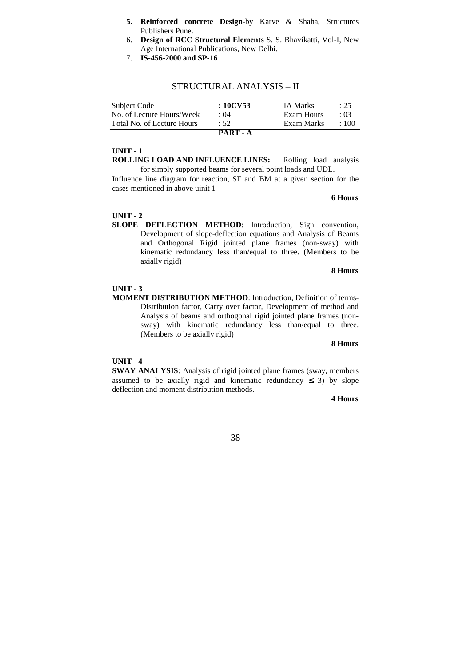- **5. Reinforced concrete Design-**by Karve & Shaha, Structures Publishers Pune.
- 6. **Design of RCC Structural Elements** S. S. Bhavikatti, Vol-I, New Age International Publications, New Delhi.
- 7. **IS-456-2000 and SP-16**

## STRUCTURAL ANALYSIS – II

| Subject Code               | :10CV53         | <b>IA Marks</b> | : 25 |
|----------------------------|-----------------|-----------------|------|
| No. of Lecture Hours/Week  | : 04            | Exam Hours      | .03  |
| Total No. of Lecture Hours | :52             | Exam Marks      | :100 |
|                            | <b>PART - A</b> |                 |      |

## **UNIT - 1**

**ROLLING LOAD AND INFLUENCE LINES:** Rolling load analysis for simply supported beams for several point loads and UDL.

Influence line diagram for reaction, SF and BM at a given section for the cases mentioned in above uinit 1

**6 Hours** 

#### **UNIT - 2**

**SLOPE DEFLECTION METHOD**: Introduction, Sign convention, Development of slope-deflection equations and Analysis of Beams and Orthogonal Rigid jointed plane frames (non-sway) with kinematic redundancy less than/equal to three. (Members to be axially rigid)

#### **8 Hours**

#### **UNIT - 3**

**MOMENT DISTRIBUTION METHOD**: Introduction, Definition of terms-Distribution factor, Carry over factor, Development of method and Analysis of beams and orthogonal rigid jointed plane frames (nonsway) with kinematic redundancy less than/equal to three. (Members to be axially rigid)

#### **8 Hours**

#### **UNIT - 4**

**SWAY ANALYSIS**: Analysis of rigid jointed plane frames (sway, members assumed to be axially rigid and kinematic redundancy  $\leq$  3) by slope deflection and moment distribution methods.

#### **4 Hours**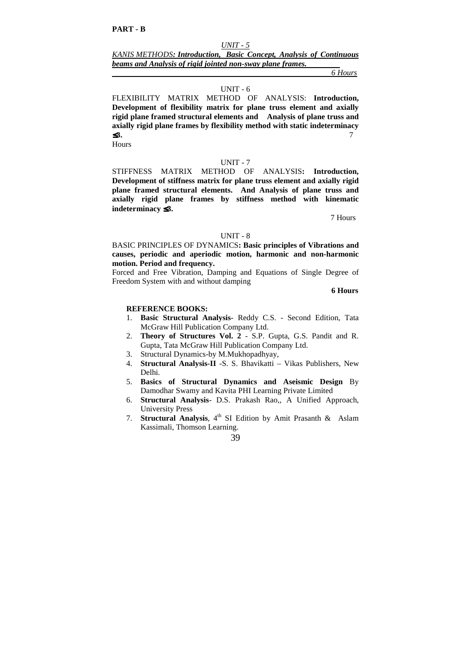*KANIS METHODS: Introduction, Basic Concept, Analysis of Continuous beams and Analysis of rigid jointed non-sway plane frames.* 

 *6 Hours*

#### UNIT - 6

FLEXIBILITY MATRIX METHOD OF ANALYSIS: **Introduction, Development of flexibility matrix for plane truss element and axially rigid plane framed structural elements and Analysis of plane truss and axially rigid plane frames by flexibility method with static indeterminacy**  ≤**3.** 7

Hours

#### UNIT - 7

STIFFNESS MATRIX METHOD OF ANALYSIS**: Introduction, Development of stiffness matrix for plane truss element and axially rigid plane framed structural elements. And Analysis of plane truss and axially rigid plane frames by stiffness method with kinematic indeterminacy** ≤**3.** 

7 Hours

#### UNIT - 8

BASIC PRINCIPLES OF DYNAMICS**: Basic principles of Vibrations and causes, periodic and aperiodic motion, harmonic and non-harmonic motion. Period and frequency.** 

Forced and Free Vibration, Damping and Equations of Single Degree of Freedom System with and without damping

**6 Hours** 

#### **REFERENCE BOOKS:**

- 1. **Basic Structural Analysis** Reddy C.S. Second Edition, Tata McGraw Hill Publication Company Ltd.
- 2. **Theory of Structures Vol. 2** S.P. Gupta, G.S. Pandit and R. Gupta, Tata McGraw Hill Publication Company Ltd.
- 3. Structural Dynamics-by M.Mukhopadhyay,
- 4. **Structural Analysis-II** -S. S. Bhavikatti Vikas Publishers, New Delhi.
- 5. **Basics of Structural Dynamics and Aseismic Design** By Damodhar Swamy and Kavita PHI Learning Private Limited
- 6. **Structural Analysis** D.S. Prakash Rao,, A Unified Approach, University Press
- 7. **Structural Analysis**, 4<sup>th</sup> SI Edition by Amit Prasanth & Aslam Kassimali, Thomson Learning.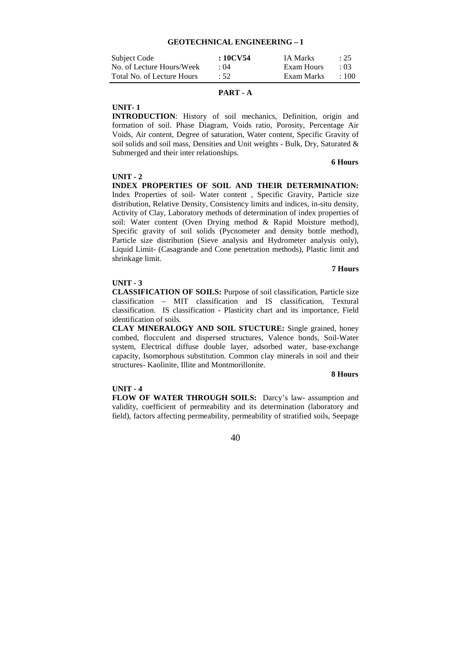#### **GEOTECHNICAL ENGINEERING – I**

| Subject Code               | :10CV54     | IA Marks   | : 25        |
|----------------------------|-------------|------------|-------------|
| No. of Lecture Hours/Week  | $\cdot$ ()4 | Exam Hours | $\cdot$ 03  |
| Total No. of Lecture Hours | $\cdot$ 52  | Exam Marks | $\cdot$ 100 |

## **PART - A**

**UNIT- 1** 

**INTRODUCTION**: History of soil mechanics, Definition, origin and formation of soil. Phase Diagram, Voids ratio, Porosity, Percentage Air Voids, Air content, Degree of saturation, Water content, Specific Gravity of soil solids and soil mass, Densities and Unit weights - Bulk, Dry, Saturated & Submerged and their inter relationships.

**6 Hours** 

#### **UNIT - 2**

**INDEX PROPERTIES OF SOIL AND THEIR DETERMINATION:**  Index Properties of soil- Water content , Specific Gravity, Particle size distribution, Relative Density, Consistency limits and indices, in-situ density, Activity of Clay, Laboratory methods of determination of index properties of soil: Water content (Oven Drying method & Rapid Moisture method), Specific gravity of soil solids (Pycnometer and density bottle method), Particle size distribution (Sieve analysis and Hydrometer analysis only), Liquid Limit- (Casagrande and Cone penetration methods), Plastic limit and shrinkage limit.

#### **7 Hours**

## **UNIT - 3**

**CLASSIFICATION OF SOILS:** Purpose of soil classification, Particle size classification – MIT classification and IS classification, Textural classification. IS classification - Plasticity chart and its importance, Field identification of soils.

**CLAY MINERALOGY AND SOIL STUCTURE:** Single grained, honey combed, flocculent and dispersed structures, Valence bonds, Soil-Water system, Electrical diffuse double layer, adsorbed water, base-exchange capacity, Isomorphous substitution. Common clay minerals in soil and their structures- Kaolinite, Illite and Montmorillonite.

#### **8 Hours**

#### **UNIT - 4**

**FLOW OF WATER THROUGH SOILS:** Darcy's law- assumption and validity, coefficient of permeability and its determination (laboratory and field), factors affecting permeability, permeability of stratified soils, Seepage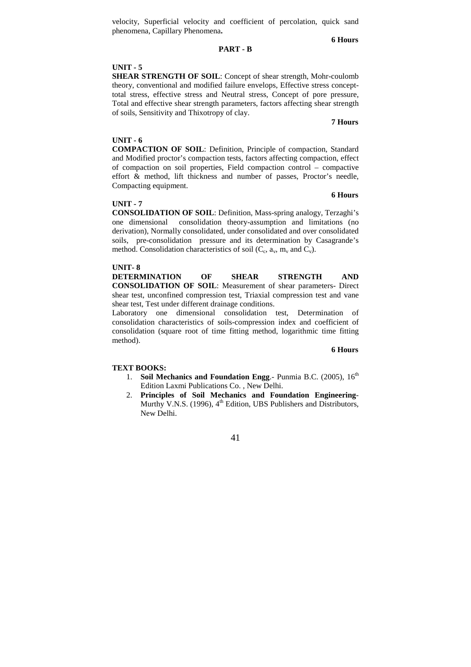velocity, Superficial velocity and coefficient of percolation, quick sand phenomena, Capillary Phenomena**.** 

#### **6 Hours**

# **PART - B**

#### **UNIT - 5**

**SHEAR STRENGTH OF SOIL**: Concept of shear strength, Mohr-coulomb theory, conventional and modified failure envelops, Effective stress concepttotal stress, effective stress and Neutral stress, Concept of pore pressure, Total and effective shear strength parameters, factors affecting shear strength of soils, Sensitivity and Thixotropy of clay.

#### **7 Hours**

#### **UNIT - 6**

**COMPACTION OF SOIL**: Definition, Principle of compaction, Standard and Modified proctor's compaction tests, factors affecting compaction, effect of compaction on soil properties, Field compaction control – compactive effort & method, lift thickness and number of passes, Proctor's needle, Compacting equipment.

#### **UNIT - 7**

 **6 Hours** 

**CONSOLIDATION OF SOIL**: Definition, Mass-spring analogy, Terzaghi's one dimensional consolidation theory-assumption and limitations (no derivation), Normally consolidated, under consolidated and over consolidated soils, pre-consolidation pressure and its determination by Casagrande's method. Consolidation characteristics of soil  $(C_c, a_v, m_v$  and  $C_v$ ).

#### **UNIT- 8**

**DETERMINATION OF SHEAR STRENGTH AND CONSOLIDATION OF SOIL**: Measurement of shear parameters- Direct shear test, unconfined compression test, Triaxial compression test and vane shear test, Test under different drainage conditions.

Laboratory one dimensional consolidation test, Determination of consolidation characteristics of soils-compression index and coefficient of consolidation (square root of time fitting method, logarithmic time fitting method).

#### **6 Hours**

#### **TEXT BOOKS:**

- 1. **Soil Mechanics and Foundation Engg.** Punmia B.C. (2005),  $16<sup>th</sup>$ Edition Laxmi Publications Co. , New Delhi.
- 2. **Principles of Soil Mechanics and Foundation Engineering**-Murthy V.N.S. (1996),  $4<sup>th</sup>$  Edition, UBS Publishers and Distributors, New Delhi.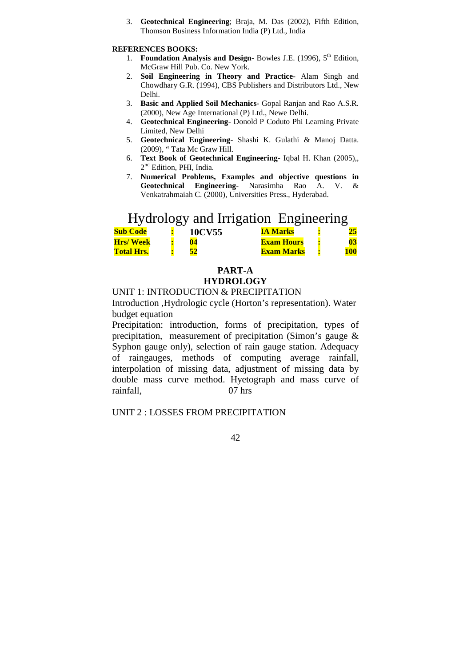3. **Geotechnical Engineering**; Braja, M. Das (2002), Fifth Edition, Thomson Business Information India (P) Ltd., India

## **REFERENCES BOOKS:**

- 1. **Foundation Analysis and Design-Bowles J.E.** (1996),  $5^{\text{th}}$  Edition. McGraw Hill Pub. Co. New York.
- 2. **Soil Engineering in Theory and Practice** Alam Singh and Chowdhary G.R. (1994), CBS Publishers and Distributors Ltd., New Delhi.
- 3. **Basic and Applied Soil Mechanics** Gopal Ranjan and Rao A.S.R. (2000), New Age International (P) Ltd., Newe Delhi.
- 4. **Geotechnical Engineering** Donold P Coduto Phi Learning Private Limited, New Delhi
- 5. **Geotechnical Engineering** Shashi K. Gulathi & Manoj Datta. (2009), " Tata Mc Graw Hill.
- 6. **Text Book of Geotechnical Engineering** Iqbal H. Khan (2005),, 2<sup>nd</sup> Edition, PHI, India.
- 7. **Numerical Problems, Examples and objective questions in Geotechnical Engineering**- Narasimha Rao A. V. & Venkatrahmaiah C. (2000), Universities Press., Hyderabad.

# Hydrology and Irrigation Engineering

|                   | ---- |        |                   |     |
|-------------------|------|--------|-------------------|-----|
| <b>Sub Code</b>   |      | 10CV55 | IA Marks          |     |
| <b>Hrs/Week</b>   |      |        | <b>Exam Hours</b> |     |
| <b>Total Hrs.</b> |      |        | <b>Exam Marks</b> | 100 |

# **PART-A HYDROLOGY**

# UNIT 1: INTRODUCTION & PRECIPITATION

Introduction ,Hydrologic cycle (Horton's representation). Water budget equation

Precipitation: introduction, forms of precipitation, types of precipitation, measurement of precipitation (Simon's gauge & Syphon gauge only), selection of rain gauge station. Adequacy of raingauges, methods of computing average rainfall, interpolation of missing data, adjustment of missing data by double mass curve method. Hyetograph and mass curve of rainfall, 07 hrs

UNIT 2 : LOSSES FROM PRECIPITATION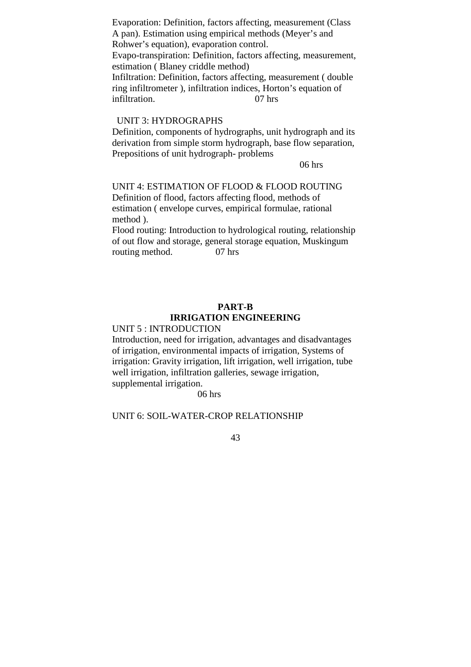Evaporation: Definition, factors affecting, measurement (Class A pan). Estimation using empirical methods (Meyer's and Rohwer's equation), evaporation control. Evapo-transpiration: Definition, factors affecting, measurement, estimation ( Blaney criddle method) Infiltration: Definition, factors affecting, measurement ( double ring infiltrometer ), infiltration indices, Horton's equation of infiltration. 07 hrs

# UNIT 3: HYDROGRAPHS

Definition, components of hydrographs, unit hydrograph and its derivation from simple storm hydrograph, base flow separation, Prepositions of unit hydrograph- problems

06 hrs

UNIT 4: ESTIMATION OF FLOOD & FLOOD ROUTING Definition of flood, factors affecting flood, methods of estimation ( envelope curves, empirical formulae, rational method ).

Flood routing: Introduction to hydrological routing, relationship of out flow and storage, general storage equation, Muskingum routing method. 07 hrs

# **PART-B IRRIGATION ENGINEERING**

# UNIT 5 : INTRODUCTION

Introduction, need for irrigation, advantages and disadvantages of irrigation, environmental impacts of irrigation, Systems of irrigation: Gravity irrigation, lift irrigation, well irrigation, tube well irrigation, infiltration galleries, sewage irrigation, supplemental irrigation.

06 hrs

# UNIT 6: SOIL-WATER-CROP RELATIONSHIP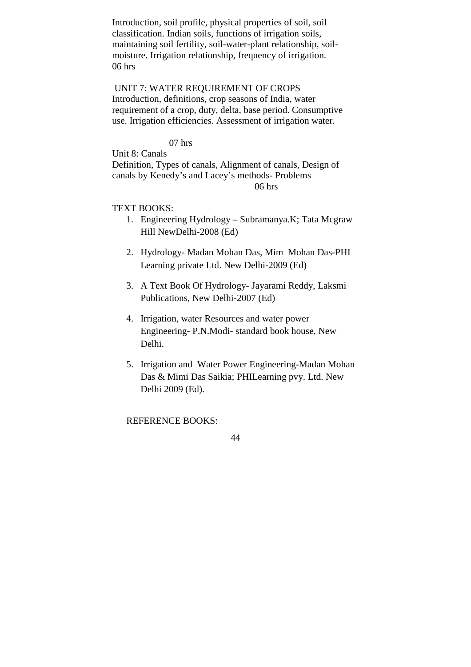Introduction, soil profile, physical properties of soil, soil classification. Indian soils, functions of irrigation soils, maintaining soil fertility, soil-water-plant relationship, soilmoisture. Irrigation relationship, frequency of irrigation. 06 hrs

 UNIT 7: WATER REQUIREMENT OF CROPS Introduction, definitions, crop seasons of India, water requirement of a crop, duty, delta, base period. Consumptive use. Irrigation efficiencies. Assessment of irrigation water.

07 hrs

Unit 8: Canals

Definition, Types of canals, Alignment of canals, Design of canals by Kenedy's and Lacey's methods- Problems 06 hrs

# TEXT BOOKS:

- 1. Engineering Hydrology Subramanya.K; Tata Mcgraw Hill NewDelhi-2008 (Ed)
- 2. Hydrology- Madan Mohan Das, Mim Mohan Das-PHI Learning private Ltd. New Delhi-2009 (Ed)
- 3. A Text Book Of Hydrology- Jayarami Reddy, Laksmi Publications, New Delhi-2007 (Ed)
- 4. Irrigation, water Resources and water power Engineering- P.N.Modi- standard book house, New Delhi.
- 5. Irrigation and Water Power Engineering-Madan Mohan Das & Mimi Das Saikia; PHILearning pvy. Ltd. New Delhi 2009 (Ed).

REFERENCE BOOKS: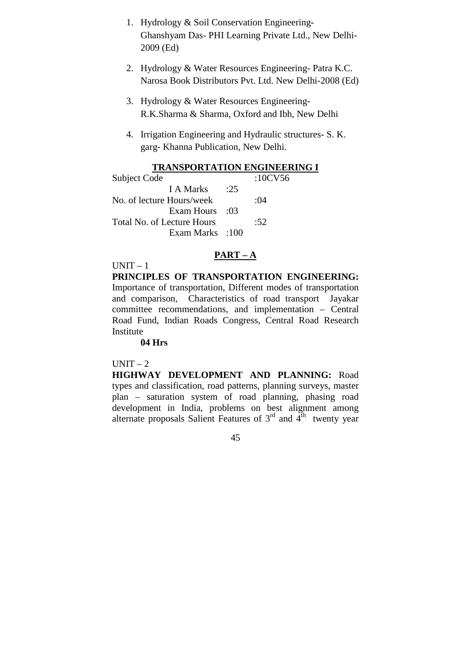- 1. Hydrology & Soil Conservation Engineering-Ghanshyam Das- PHI Learning Private Ltd., New Delhi-2009 (Ed)
- 2. Hydrology & Water Resources Engineering- Patra K.C. Narosa Book Distributors Pvt. Ltd. New Delhi-2008 (Ed)
- 3. Hydrology & Water Resources Engineering-R.K.Sharma & Sharma, Oxford and Ibh, New Delhi
- 4. Irrigation Engineering and Hydraulic structures- S. K. garg- Khanna Publication, New Delhi.

# **TRANSPORTATION ENGINEERING I**

|                 | :10CV56    |
|-----------------|------------|
| :25             |            |
|                 | $\cdot 04$ |
| $\cdot$ 03      |            |
|                 | :52        |
| Exam Marks :100 |            |
|                 |            |

# **PART – A**

 $UNIT - 1$ 

**PRINCIPLES OF TRANSPORTATION ENGINEERING:**  Importance of transportation, Different modes of transportation and comparison, Characteristics of road transport Jayakar committee recommendations, and implementation – Central Road Fund, Indian Roads Congress, Central Road Research Institute

# **04 Hrs**

# $UNIT - 2$

**HIGHWAY DEVELOPMENT AND PLANNING:** Road types and classification, road patterns, planning surveys, master plan – saturation system of road planning, phasing road development in India, problems on best alignment among alternate proposals Salient Features of  $3<sup>rd</sup>$  and  $4<sup>th</sup>$  twenty year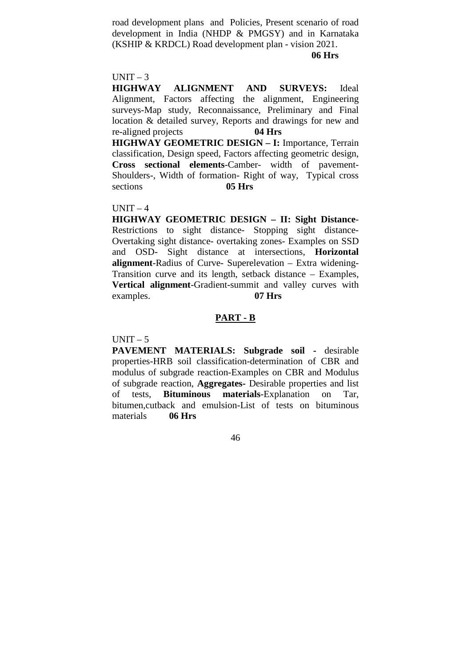road development plans and Policies, Present scenario of road development in India (NHDP & PMGSY) and in Karnataka (KSHIP & KRDCL) Road development plan - vision 2021.

# **06 Hrs**

# $UNIT - 3$

**HIGHWAY ALIGNMENT AND SURVEYS:** Ideal Alignment, Factors affecting the alignment, Engineering surveys-Map study, Reconnaissance, Preliminary and Final location & detailed survey, Reports and drawings for new and re-aligned projects **04 Hrs HIGHWAY GEOMETRIC DESIGN – I:** Importance, Terrain classification, Design speed, Factors affecting geometric design,

**Cross sectional elements**-Camber- width of pavement-Shoulders-, Width of formation- Right of way, Typical cross sections **05 Hrs** 

# $UNIT - 4$

**HIGHWAY GEOMETRIC DESIGN – II: Sight Distance**-Restrictions to sight distance- Stopping sight distance-Overtaking sight distance- overtaking zones- Examples on SSD and OSD- Sight distance at intersections, **Horizontal alignment**-Radius of Curve- Superelevation – Extra widening-Transition curve and its length, setback distance – Examples, **Vertical alignment**-Gradient-summit and valley curves with examples. **07 Hrs**

# **PART - B**

 $UNIT - 5$ 

**PAVEMENT MATERIALS: Subgrade soil -** desirable properties-HRB soil classification-determination of CBR and modulus of subgrade reaction-Examples on CBR and Modulus of subgrade reaction, **Aggregates-** Desirable properties and list of tests, **Bituminous materials**-Explanation on Tar, bitumen,cutback and emulsion-List of tests on bituminous materials **06 Hrs**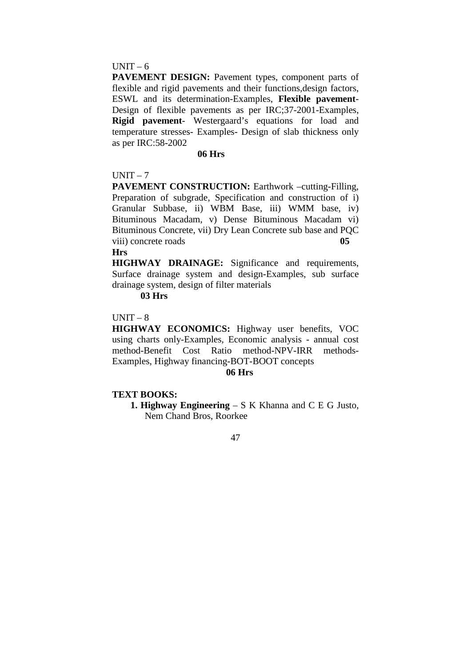# $UNIT - 6$

**PAVEMENT DESIGN:** Pavement types, component parts of flexible and rigid pavements and their functions,design factors, ESWL and its determination-Examples, **Flexible pavement**-Design of flexible pavements as per IRC;37-2001-Examples, **Rigid pavement**- Westergaard's equations for load and temperature stresses- Examples- Design of slab thickness only as per IRC:58-2002

# **06 Hrs**

# $UNIT - 7$

**PAVEMENT CONSTRUCTION:** Earthwork –cutting-Filling, Preparation of subgrade, Specification and construction of i) Granular Subbase, ii) WBM Base, iii) WMM base, iv) Bituminous Macadam, v) Dense Bituminous Macadam vi) Bituminous Concrete, vii) Dry Lean Concrete sub base and PQC viii) concrete roads **05** 

# **Hrs**

**HIGHWAY DRAINAGE:** Significance and requirements, Surface drainage system and design-Examples, sub surface drainage system, design of filter materials

# **03 Hrs**

 $UNIT - 8$ 

**HIGHWAY ECONOMICS:** Highway user benefits, VOC using charts only-Examples, Economic analysis - annual cost method-Benefit Cost Ratio method-NPV-IRR methods-Examples, Highway financing-BOT-BOOT concepts

# **06 Hrs**

# **TEXT BOOKS:**

**1. Highway Engineering** – S K Khanna and C E G Justo, Nem Chand Bros, Roorkee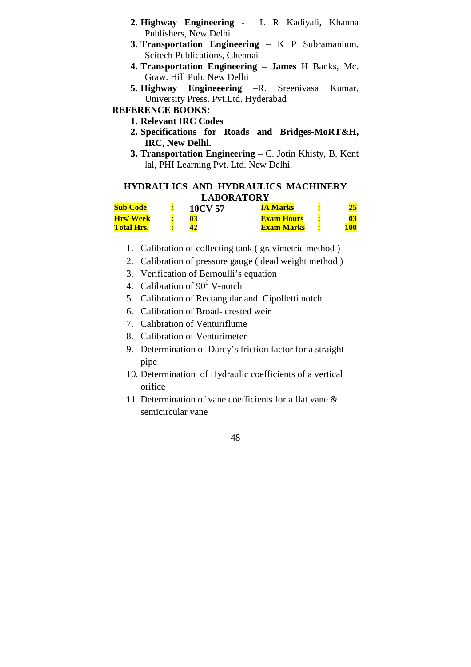- **2. Highway Engineering** L R Kadiyali, Khanna Publishers, New Delhi
- **3. Transportation Engineering** K P Subramanium, Scitech Publications, Chennai
- **4. Transportation Engineering James** H Banks, Mc. Graw. Hill Pub. New Delhi
- **5. Highway Engineeering –**R. Sreenivasa Kumar, University Press. Pvt.Ltd. Hyderabad

# **REFERENCE BOOKS:**

- **1. Relevant IRC Codes**
- **2. Specifications for Roads and Bridges-MoRT&H, IRC, New Delhi.**
- **3. Transportation Engineering** C. Jotin Khisty, B. Kent lal, PHI Learning Pvt. Ltd. New Delhi.

# **HYDRAULICS AND HYDRAULICS MACHINERY LABORATORY**

| <b>Sub Code</b>   | 10CV 57 | IA Marks          |     |
|-------------------|---------|-------------------|-----|
| <b>Hrs/Week</b>   |         | <b>Exam Hours</b> |     |
| <b>Total Hrs.</b> |         | <b>Exam Marks</b> | 100 |

- 1. Calibration of collecting tank ( gravimetric method )
- 2. Calibration of pressure gauge ( dead weight method )
- 3. Verification of Bernoulli's equation
- 4. Calibration of  $90^0$  V-notch
- 5. Calibration of Rectangular and Cipolletti notch
- 6. Calibration of Broad- crested weir
- 7. Calibration of Venturiflume
- 8. Calibration of Venturimeter
- 9. Determination of Darcy's friction factor for a straight pipe
- 10. Determination of Hydraulic coefficients of a vertical orifice
- 11. Determination of vane coefficients for a flat vane & semicircular vane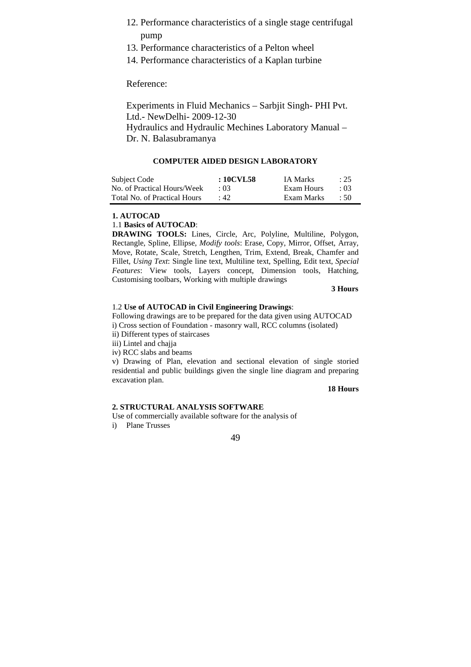- 12. Performance characteristics of a single stage centrifugal pump
- 13. Performance characteristics of a Pelton wheel
- 14. Performance characteristics of a Kaplan turbine

Reference:

Experiments in Fluid Mechanics – Sarbjit Singh- PHI Pvt. Ltd.- NewDelhi- 2009-12-30 Hydraulics and Hydraulic Mechines Laboratory Manual – Dr. N. Balasubramanya

# **COMPUTER AIDED DESIGN LABORATORY**

| Subject Code                 | : 10CVL58   | <b>IA Marks</b> | $\div 25$ |
|------------------------------|-------------|-----------------|-----------|
| No. of Practical Hours/Week  | $+03$       | Exam Hours      | $+03$     |
| Total No. of Practical Hours | $\cdot$ 42. | Exam Marks      | $\div$ 50 |

#### **1. AUTOCAD**

## 1.1 **Basics of AUTOCAD**:

**DRAWING TOOLS:** Lines, Circle, Arc, Polyline, Multiline, Polygon, Rectangle, Spline, Ellipse, *Modify tools*: Erase, Copy, Mirror, Offset, Array, Move, Rotate, Scale, Stretch, Lengthen, Trim, Extend, Break, Chamfer and Fillet, *Using Text*: Single line text, Multiline text, Spelling, Edit text, *Special Features*: View tools, Layers concept, Dimension tools, Hatching, Customising toolbars, Working with multiple drawings

#### **3 Hours**

## 1.2 **Use of AUTOCAD in Civil Engineering Drawings**:

Following drawings are to be prepared for the data given using AUTOCAD i) Cross section of Foundation - masonry wall, RCC columns (isolated)

ii) Different types of staircases

iii) Lintel and chajja

iv) RCC slabs and beams

v) Drawing of Plan, elevation and sectional elevation of single storied residential and public buildings given the single line diagram and preparing excavation plan.

### **18 Hours**

#### **2. STRUCTURAL ANALYSIS SOFTWARE**

Use of commercially available software for the analysis of

i) Plane Trusses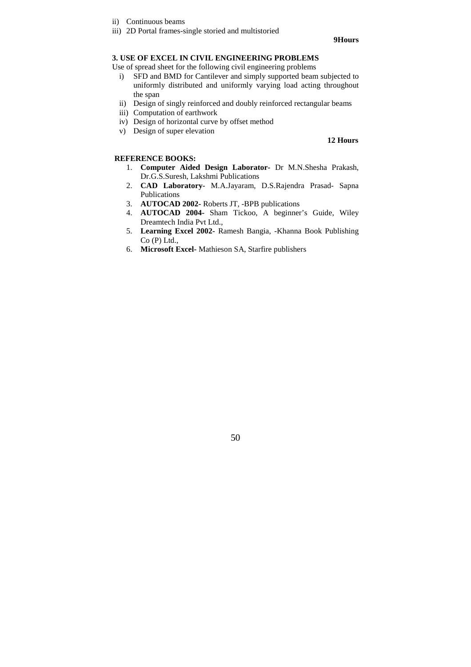- ii) Continuous beams
- iii) 2D Portal frames-single storied and multistoried

#### **9Hours**

## **3. USE OF EXCEL IN CIVIL ENGINEERING PROBLEMS**

Use of spread sheet for the following civil engineering problems

- i) SFD and BMD for Cantilever and simply supported beam subjected to uniformly distributed and uniformly varying load acting throughout the span
- ii) Design of singly reinforced and doubly reinforced rectangular beams
- iii) Computation of earthwork
- iv) Design of horizontal curve by offset method
- v) Design of super elevation

#### **12 Hours**

## **REFERENCE BOOKS:**

- 1. **Computer Aided Design Laborator-** Dr M.N.Shesha Prakash, Dr.G.S.Suresh, Lakshmi Publications
- 2. **CAD Laboratory** M.A.Jayaram, D.S.Rajendra Prasad- Sapna Publications
- 3. **AUTOCAD 2002-** Roberts JT, -BPB publications
- 4. **AUTOCAD 2004-** Sham Tickoo, A beginner's Guide, Wiley Dreamtech India Pvt Ltd.,
- 5. **Learning Excel 2002-** Ramesh Bangia, -Khanna Book Publishing Co (P) Ltd.,
- 6. **Microsoft Excel-** Mathieson SA, Starfire publishers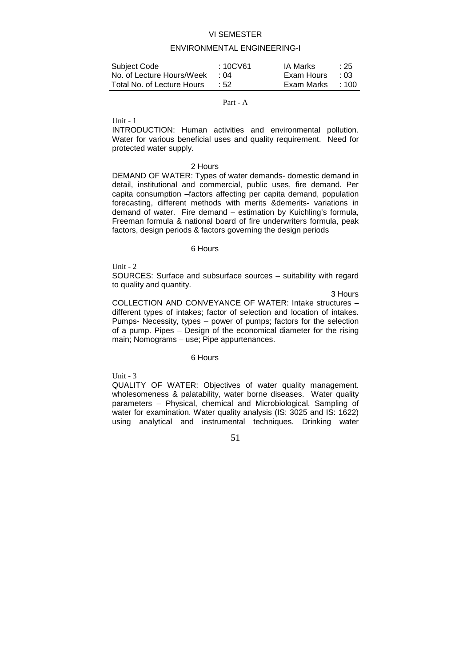# VI SEMESTER

# ENVIRONMENTAL ENGINEERING-I

| Subject Code               | : 10CV61 | IA Marks   | :25         |
|----------------------------|----------|------------|-------------|
| No. of Lecture Hours/Week  | ∴ ∩4     | Exam Hours | $\pm 0.3$   |
| Total No. of Lecture Hours | $\pm 52$ | Exam Marks | $\cdot$ 100 |

#### Part - A

 $Unit - 1$ 

INTRODUCTION: Human activities and environmental pollution. Water for various beneficial uses and quality requirement. Need for protected water supply.

#### 2 Hours

DEMAND OF WATER: Types of water demands- domestic demand in detail, institutional and commercial, public uses, fire demand. Per capita consumption –factors affecting per capita demand, population forecasting, different methods with merits &demerits- variations in demand of water. Fire demand – estimation by Kuichling's formula, Freeman formula & national board of fire underwriters formula, peak factors, design periods & factors governing the design periods

#### 6 Hours

Unit  $-2$ 

SOURCES: Surface and subsurface sources – suitability with regard to quality and quantity.

3 Hours

COLLECTION AND CONVEYANCE OF WATER: Intake structures – different types of intakes; factor of selection and location of intakes. Pumps- Necessity, types – power of pumps; factors for the selection of a pump. Pipes – Design of the economical diameter for the rising main; Nomograms – use; Pipe appurtenances.

#### 6 Hours

Unit  $-3$ 

QUALITY OF WATER: Objectives of water quality management. wholesomeness & palatability, water borne diseases. Water quality parameters – Physical, chemical and Microbiological. Sampling of water for examination. Water quality analysis (IS: 3025 and IS: 1622) using analytical and instrumental techniques. Drinking water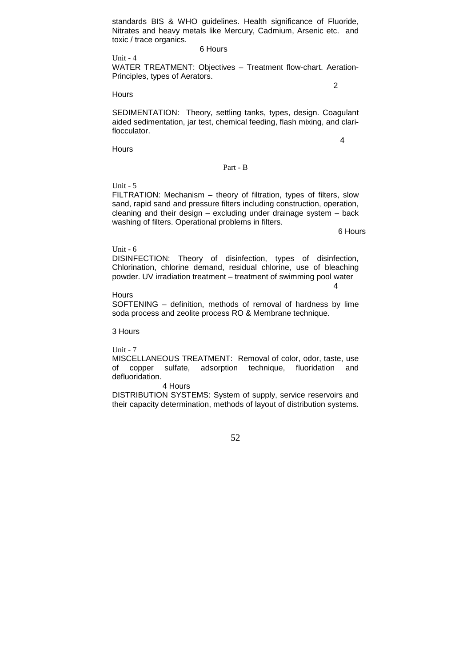standards BIS & WHO guidelines. Health significance of Fluoride, Nitrates and heavy metals like Mercury, Cadmium, Arsenic etc. and toxic / trace organics.

#### 6 Hours

Unit - 4 WATER TREATMENT: Objectives – Treatment flow-chart. Aeration-Principles, types of Aerators.

2

#### Hours

SEDIMENTATION: Theory, settling tanks, types, design. Coagulant aided sedimentation, jar test, chemical feeding, flash mixing, and clariflocculator.

4

**Hours** 

#### Part - B

Unit - 5

FILTRATION: Mechanism – theory of filtration, types of filters, slow sand, rapid sand and pressure filters including construction, operation, cleaning and their design – excluding under drainage system – back washing of filters. Operational problems in filters.

6 Hours

#### Unit - 6

DISINFECTION: Theory of disinfection, types of disinfection, Chlorination, chlorine demand, residual chlorine, use of bleaching powder. UV irradiation treatment – treatment of swimming pool water 4

#### **Hours**

SOFTENING – definition, methods of removal of hardness by lime soda process and zeolite process RO & Membrane technique.

3 Hours

Unit - 7

MISCELLANEOUS TREATMENT: Removal of color, odor, taste, use of copper sulfate, adsorption technique, fluoridation and defluoridation.

#### 4 Hours

DISTRIBUTION SYSTEMS: System of supply, service reservoirs and their capacity determination, methods of layout of distribution systems.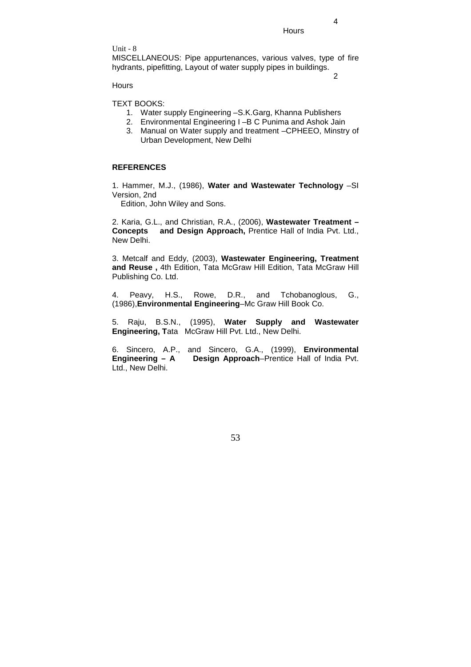**Hours** 

Unit - 8

MISCELLANEOUS: Pipe appurtenances, various valves, type of fire hydrants, pipefitting, Layout of water supply pipes in buildings.

2

4

**Hours** 

TEXT BOOKS:

- 1. Water supply Engineering –S.K.Garg, Khanna Publishers
- 2. Environmental Engineering I –B C Punima and Ashok Jain
- 3. Manual on Water supply and treatment –CPHEEO, Minstry of Urban Development, New Delhi

## **REFERENCES**

1. Hammer, M.J., (1986), **Water and Wastewater Technology** –SI Version, 2nd

Edition, John Wiley and Sons.

2. Karia, G.L., and Christian, R.A., (2006), **Wastewater Treatment – Concepts and Design Approach,** Prentice Hall of India Pvt. Ltd., New Delhi.

3. Metcalf and Eddy, (2003), **Wastewater Engineering, Treatment and Reuse ,** 4th Edition, Tata McGraw Hill Edition, Tata McGraw Hill Publishing Co. Ltd.

4. Peavy, H.S., Rowe, D.R., and Tchobanoglous, G., (1986),**Environmental Engineering**–Mc Graw Hill Book Co.

5. Raju, B.S.N., (1995), **Water Supply and Wastewater Engineering, T**ata McGraw Hill Pvt. Ltd., New Delhi.

6. Sincero, A.P., and Sincero, G.A., (1999), **Environmental Engineering – A Design Approach**–Prentice Hall of India Pvt. Ltd., New Delhi.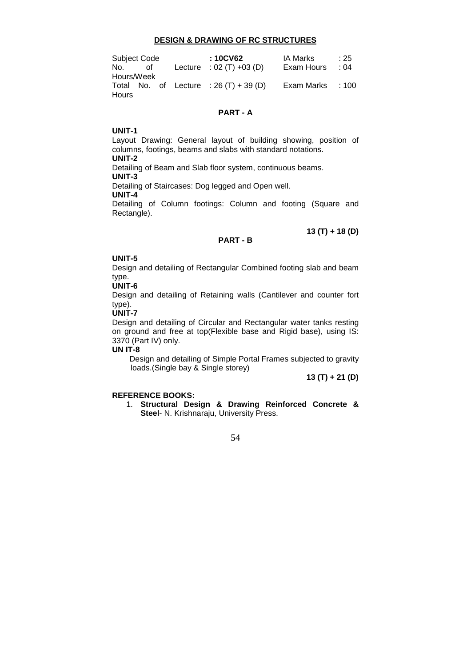#### **DESIGN & DRAWING OF RC STRUCTURES**

| Subject Code |    |  | : 10CV62                               | IA Marks         | $\div 25$ |
|--------------|----|--|----------------------------------------|------------------|-----------|
| No. I        | of |  | Lecture : $02 (T) +03 (D)$             | Exam Hours       | $\div 04$ |
| Hours/Week   |    |  |                                        |                  |           |
|              |    |  | Total No. of Lecture : $26(T) + 39(D)$ | Exam Marks : 100 |           |
| Hours        |    |  |                                        |                  |           |

## **PART - A**

#### **UNIT-1**

Layout Drawing: General layout of building showing, position of columns, footings, beams and slabs with standard notations. **UNIT-2**  Detailing of Beam and Slab floor system, continuous beams. **UNIT-3**  Detailing of Staircases: Dog legged and Open well. **UNIT-4**  Detailing of Column footings: Column and footing (Square and Rectangle).

# **13 (T) + 18 (D)**

# **PART - B**

## **UNIT-5**

Design and detailing of Rectangular Combined footing slab and beam type.

#### **UNIT-6**

Design and detailing of Retaining walls (Cantilever and counter fort type).

# **UNIT-7**

Design and detailing of Circular and Rectangular water tanks resting on ground and free at top(Flexible base and Rigid base), using IS: 3370 (Part IV) only.

#### **UN IT-8**

Design and detailing of Simple Portal Frames subjected to gravity loads.(Single bay & Single storey)

**13 (T) + 21 (D)**

# **REFERENCE BOOKS:**

1. **Structural Design & Drawing Reinforced Concrete & Steel**- N. Krishnaraju, University Press.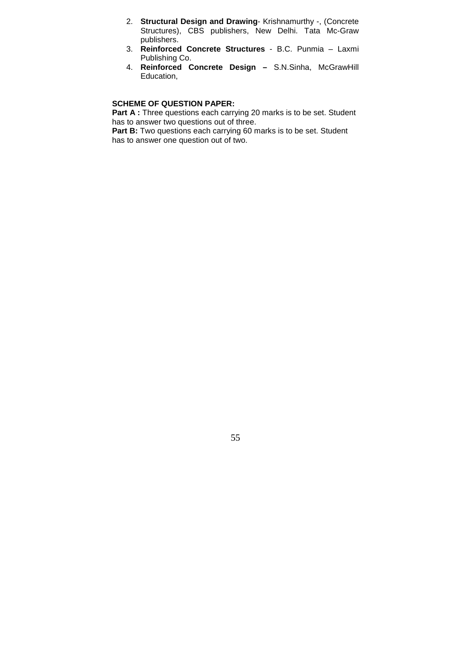- 2. **Structural Design and Drawing** Krishnamurthy -, (Concrete Structures), CBS publishers, New Delhi. Tata Mc-Graw publishers.
- 3. **Reinforced Concrete Structures** B.C. Punmia Laxmi Publishing Co.
- 4. **Reinforced Concrete Design** S.N.Sinha, McGrawHill Education,

# **SCHEME OF QUESTION PAPER:**

**Part A :** Three questions each carrying 20 marks is to be set. Student has to answer two questions out of three.

**Part B:** Two questions each carrying 60 marks is to be set. Student has to answer one question out of two.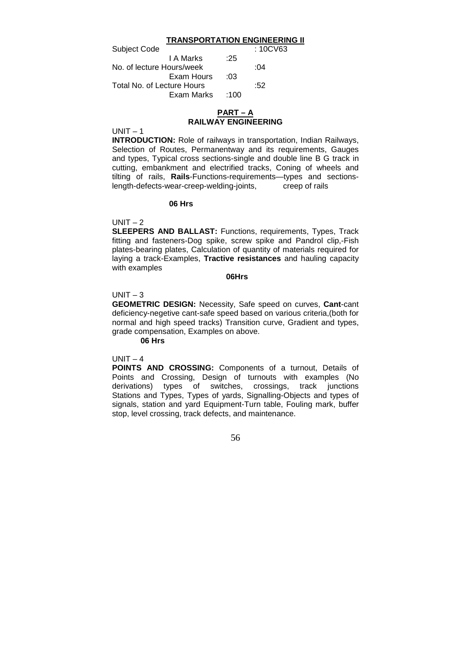#### **TRANSPORTATION ENGINEERING II**

| <b>Subject Code</b>        |      | : 10CV63 |
|----------------------------|------|----------|
| I A Marks                  | :25  |          |
| No. of lecture Hours/week  |      | :04      |
| Exam Hours                 | :03  |          |
| Total No. of Lecture Hours |      | :52      |
| Exam Marks                 | :100 |          |

# **PART – A RAILWAY ENGINEERING**

 $UNIT - 1$ 

**INTRODUCTION:** Role of railways in transportation, Indian Railways, Selection of Routes, Permanentway and its requirements, Gauges and types, Typical cross sections-single and double line B G track in cutting, embankment and electrified tracks, Coning of wheels and tilting of rails, **Rails**-Functions-requirements—types and sectionslength-defects-wear-creep-welding-joints, creep of rails

#### **06 Hrs**

 $UNIT - 2$ 

**SLEEPERS AND BALLAST:** Functions, requirements, Types, Track fitting and fasteners-Dog spike, screw spike and Pandrol clip,-Fish plates-bearing plates, Calculation of quantity of materials required for laying a track-Examples, **Tractive resistances** and hauling capacity with examples

#### **06Hrs**

#### $UNIT - 3$

**GEOMETRIC DESIGN:** Necessity, Safe speed on curves, **Cant**-cant deficiency-negetive cant-safe speed based on various criteria,(both for normal and high speed tracks) Transition curve, Gradient and types, grade compensation, Examples on above.

**06 Hrs**

# $UNIT - 4$

**POINTS AND CROSSING:** Components of a turnout, Details of Points and Crossing, Design of turnouts with examples (No derivations) types of switches, crossings, track junctions Stations and Types, Types of yards, Signalling-Objects and types of signals, station and yard Equipment-Turn table, Fouling mark, buffer stop, level crossing, track defects, and maintenance.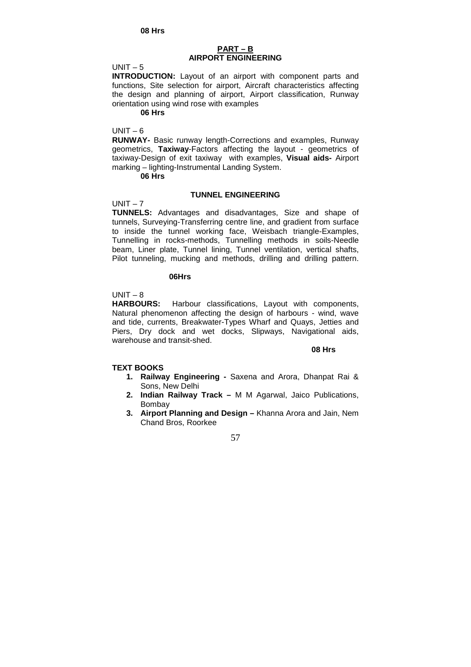## **PART – B AIRPORT ENGINEERING**

#### $UNIT - 5$

**INTRODUCTION:** Layout of an airport with component parts and functions, Site selection for airport, Aircraft characteristics affecting the design and planning of airport, Airport classification, Runway orientation using wind rose with examples

#### **06 Hrs**

#### $UNIT - 6$

**RUNWAY-** Basic runway length-Corrections and examples, Runway geometrics, **Taxiway**-Factors affecting the layout - geometrics of taxiway-Design of exit taxiway with examples, **Visual aids-** Airport marking – lighting-Instrumental Landing System.

# **06 Hrs**

## **TUNNEL ENGINEERING**

# $UNIT - 7$

**TUNNELS:** Advantages and disadvantages, Size and shape of tunnels, Surveying-Transferring centre line, and gradient from surface to inside the tunnel working face, Weisbach triangle-Examples, Tunnelling in rocks-methods, Tunnelling methods in soils-Needle beam, Liner plate, Tunnel lining, Tunnel ventilation, vertical shafts, Pilot tunneling, mucking and methods, drilling and drilling pattern.

#### **06Hrs**

# $UNIT - 8$

**HARBOURS:** Harbour classifications, Layout with components, Natural phenomenon affecting the design of harbours - wind, wave and tide, currents, Breakwater-Types Wharf and Quays, Jetties and Piers, Dry dock and wet docks, Slipways, Navigational aids, warehouse and transit-shed.

#### **08 Hrs 08 Hrs**

# **TEXT BOOKS**

- **1. Railway Engineering** Saxena and Arora, Dhanpat Rai & Sons, New Delhi
- **2. Indian Railway Track** M M Agarwal, Jaico Publications, Bombay
- **3. Airport Planning and Design –** Khanna Arora and Jain, Nem Chand Bros, Roorkee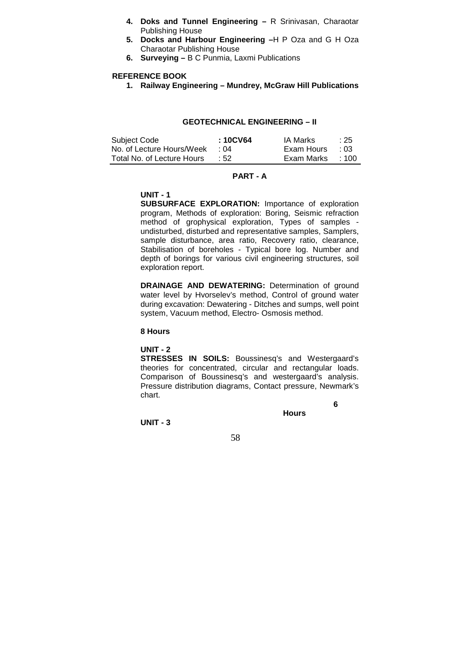- **4. Doks and Tunnel Engineering –** R Srinivasan, Charaotar Publishing House
- **5. Docks and Harbour Engineering –**H P Oza and G H Oza Charaotar Publishing House
- **6. Surveying –** B C Punmia, Laxmi Publications

## **REFERENCE BOOK**

**1. Railway Engineering – Mundrey, McGraw Hill Publications** 

#### **GEOTECHNICAL ENGINEERING – II**

| Subject Code               | : 10CV64   | IA Marks   | :25         |
|----------------------------|------------|------------|-------------|
| No. of Lecture Hours/Week  | $\cdot$ 04 | Exam Hours | $\cdot$ 0.3 |
| Total No. of Lecture Hours | $\cdot$ 52 | Exam Marks | $\cdot$ 100 |

# **PART - A**

# **UNIT - 1**

**SUBSURFACE EXPLORATION:** Importance of exploration program, Methods of exploration: Boring, Seismic refraction method of grophysical exploration, Types of samples undisturbed, disturbed and representative samples, Samplers, sample disturbance, area ratio, Recovery ratio, clearance, Stabilisation of boreholes - Typical bore log. Number and depth of borings for various civil engineering structures, soil exploration report.

**DRAINAGE AND DEWATERING:** Determination of ground water level by Hvorselev's method, Control of ground water during excavation: Dewatering - Ditches and sumps, well point system, Vacuum method, Electro- Osmosis method.

#### **8 Hours**

# **UNIT - 2**

**STRESSES IN SOILS:** Boussinesq's and Westergaard's theories for concentrated, circular and rectangular loads. Comparison of Boussinesq's and westergaard's analysis. Pressure distribution diagrams, Contact pressure, Newmark's chart. **6** 

**Hours**

**UNIT - 3**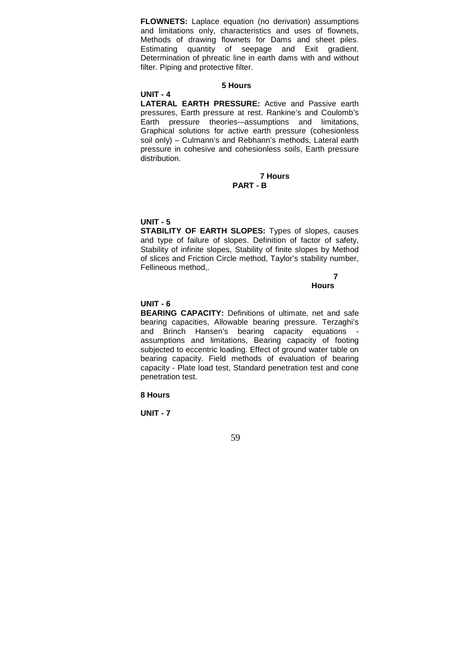**FLOWNETS:** Laplace equation (no derivation) assumptions and limitations only, characteristics and uses of flownets, Methods of drawing flownets for Dams and sheet piles. Estimating quantity of seepage and Exit gradient. Determination of phreatic line in earth dams with and without filter. Piping and protective filter.

#### **5 Hours**

**UNIT - 4** 

**LATERAL EARTH PRESSURE:** Active and Passive earth pressures, Earth pressure at rest. Rankine's and Coulomb's Earth pressure theories-–assumptions and limitations, Graphical solutions for active earth pressure (cohesionless soil only) – Culmann's and Rebhann's methods, Lateral earth pressure in cohesive and cohesionless soils, Earth pressure distribution.

#### **7 Hours PART - B**

## **UNIT - 5**

**STABILITY OF EARTH SLOPES:** Types of slopes, causes and type of failure of slopes. Definition of factor of safety, Stability of infinite slopes, Stability of finite slopes by Method of slices and Friction Circle method, Taylor's stability number, Fellineous method,.

# **7**

## **Hours**

## **UNIT - 6**

**BEARING CAPACITY:** Definitions of ultimate, net and safe bearing capacities, Allowable bearing pressure. Terzaghi's and Brinch Hansen's bearing capacity equations assumptions and limitations, Bearing capacity of footing subjected to eccentric loading. Effect of ground water table on bearing capacity. Field methods of evaluation of bearing capacity - Plate load test, Standard penetration test and cone penetration test.

#### **8 Hours**

**UNIT - 7**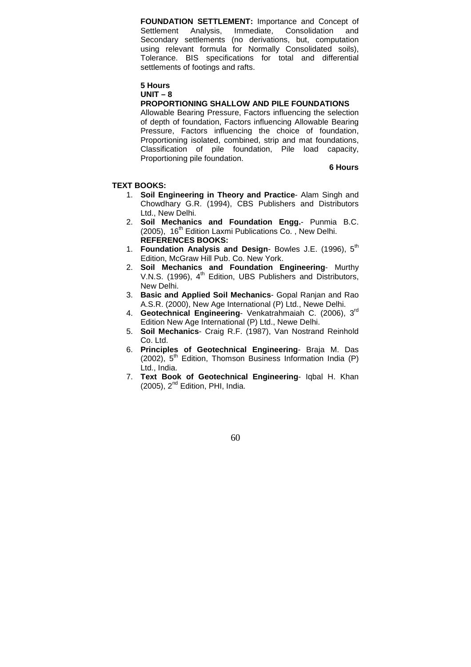**FOUNDATION SETTLEMENT:** Importance and Concept of Settlement Analysis, Immediate, Consolidation and Immediate, Consolidation and Secondary settlements (no derivations, but, computation using relevant formula for Normally Consolidated soils), Tolerance. BIS specifications for total and differential settlements of footings and rafts.

# **5 Hours**

# **UNIT – 8**

# **PROPORTIONING SHALLOW AND PILE FOUNDATIONS**

Allowable Bearing Pressure, Factors influencing the selection of depth of foundation, Factors influencing Allowable Bearing Pressure, Factors influencing the choice of foundation, Proportioning isolated, combined, strip and mat foundations, Classification of pile foundation, Pile load capacity, Proportioning pile foundation.

#### **6 Hours**

#### **TEXT BOOKS:**

- 1. **Soil Engineering in Theory and Practice** Alam Singh and Chowdhary G.R. (1994), CBS Publishers and Distributors Ltd., New Delhi.
- 2. **Soil Mechanics and Foundation Engg.** Punmia B.C. (2005), 16<sup>th</sup> Edition Laxmi Publications Co., New Delhi. **REFERENCES BOOKS:**
- 1. **Foundation Analysis and Design** Bowles J.E. (1996), 5th Edition, McGraw Hill Pub. Co. New York.
- 2. **Soil Mechanics and Foundation Engineering** Murthy V.N.S. (1996), 4<sup>th</sup> Edition, UBS Publishers and Distributors, New Delhi.
- 3. **Basic and Applied Soil Mechanics** Gopal Ranjan and Rao A.S.R. (2000), New Age International (P) Ltd., Newe Delhi.
- 4. **Geotechnical Engineering** Venkatrahmaiah C. (2006), 3rd Edition New Age International (P) Ltd., Newe Delhi.
- 5. **Soil Mechanics** Craig R.F. (1987), Van Nostrand Reinhold Co. Ltd.
- 6. **Principles of Geotechnical Engineering** Braja M. Das  $(2002)$ ,  $5<sup>th</sup>$  Edition, Thomson Business Information India (P) Ltd., India.
- 7. **Text Book of Geotechnical Engineering** Iqbal H. Khan  $(2005)$ ,  $2<sup>nd</sup>$  Edition, PHI, India.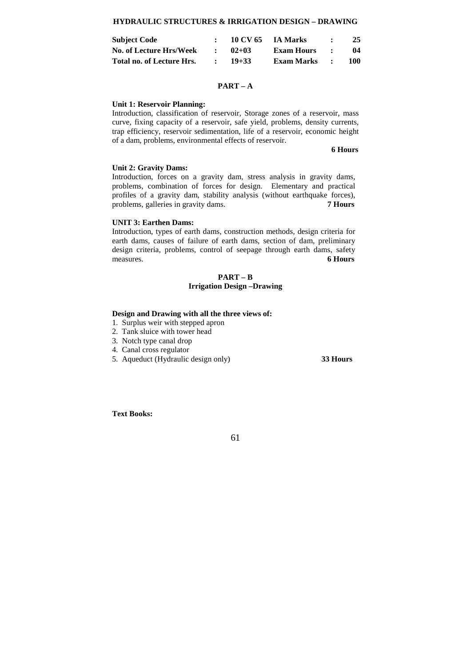#### **HYDRAULIC STRUCTURES & IRRIGATION DESIGN – DRAWING**

| <b>Subject Code</b>       | 10 CV 65  | <b>IA Marks</b>   |           | 25  |
|---------------------------|-----------|-------------------|-----------|-----|
| No. of Lecture Hrs/Week   | $02+03$   | Exam Hours        | $\bullet$ | 04  |
| Total no. of Lecture Hrs. | $19 + 33$ | <b>Exam Marks</b> | $\cdot$   | 100 |

#### **PART – A**

#### **Unit 1: Reservoir Planning:**

Introduction, classification of reservoir, Storage zones of a reservoir, mass curve, fixing capacity of a reservoir, safe yield, problems, density currents, trap efficiency, reservoir sedimentation, life of a reservoir, economic height of a dam, problems, environmental effects of reservoir.

#### **6 Hours**

#### **Unit 2: Gravity Dams:**

Introduction, forces on a gravity dam, stress analysis in gravity dams, problems, combination of forces for design. Elementary and practical profiles of a gravity dam, stability analysis (without earthquake forces), problems, galleries in gravity dams. **7 Hours** 

#### **UNIT 3: Earthen Dams:**

Introduction, types of earth dams, construction methods, design criteria for earth dams, causes of failure of earth dams, section of dam, preliminary design criteria, problems, control of seepage through earth dams, safety measures. **6 Hours**

# **PART – B Irrigation Design –Drawing**

#### **Design and Drawing with all the three views of:**

- 1. Surplus weir with stepped apron
- 2. Tank sluice with tower head
- 3. Notch type canal drop
- 4. Canal cross regulator
- 5. Aqueduct (Hydraulic design only) **33 Hours**

**Text Books:**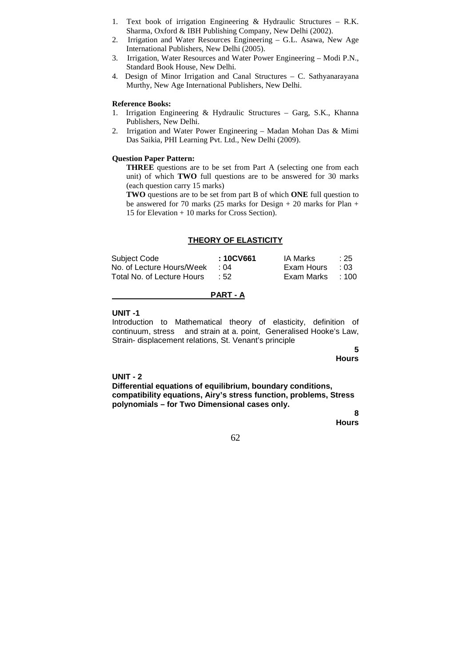- 1. Text book of irrigation Engineering & Hydraulic Structures R.K. Sharma, Oxford & IBH Publishing Company, New Delhi (2002).
- 2. Irrigation and Water Resources Engineering G.L. Asawa, New Age International Publishers, New Delhi (2005).
- 3. Irrigation, Water Resources and Water Power Engineering Modi P.N., Standard Book House, New Delhi.
- 4. Design of Minor Irrigation and Canal Structures C. Sathyanarayana Murthy, New Age International Publishers, New Delhi.

#### **Reference Books:**

- 1. Irrigation Engineering & Hydraulic Structures Garg, S.K., Khanna Publishers, New Delhi.
- 2. Irrigation and Water Power Engineering Madan Mohan Das & Mimi Das Saikia, PHI Learning Pvt. Ltd., New Delhi (2009).

## **Question Paper Pattern:**

**THREE** questions are to be set from Part A (selecting one from each unit) of which **TWO** full questions are to be answered for 30 marks (each question carry 15 marks)

**TWO** questions are to be set from part B of which **ONE** full question to be answered for 70 marks (25 marks for Design + 20 marks for Plan + 15 for Elevation + 10 marks for Cross Section).

# **THEORY OF ELASTICITY**

| Subject Code               | : 10CV661 | IA Marks         | $\div 25$ |
|----------------------------|-----------|------------------|-----------|
| No. of Lecture Hours/Week  | ∴ ∩4      | Exam Hours       | $\pm 0.3$ |
| Total No. of Lecture Hours | .52       | Exam Marks : 100 |           |

#### **PART - A**

#### **UNIT -1**

Introduction to Mathematical theory of elasticity, definition of continuum, stress and strain at a. point, Generalised Hooke's Law, Strain- displacement relations, St. Venant's principle

> **5 Hours**

#### **UNIT - 2**

**Differential equations of equilibrium, boundary conditions, compatibility equations, Airy's stress function, problems, Stress polynomials – for Two Dimensional cases only.** 

 **8** 

**Hours**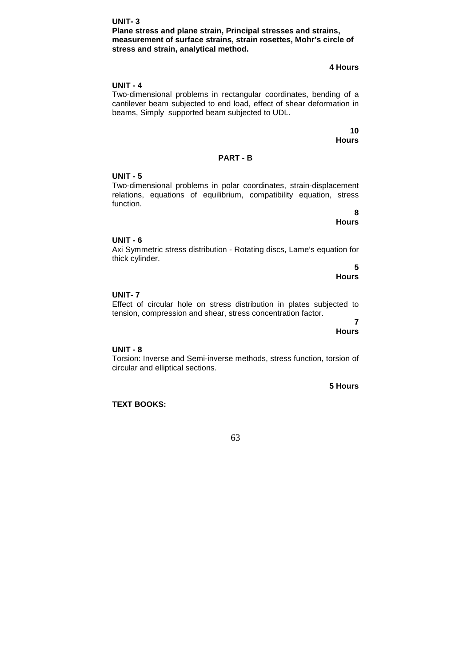# **Plane stress and plane strain, Principal stresses and strains, measurement of surface strains, strain rosettes, Mohr's circle of stress and strain, analytical method.**

# **4 Hours**

# **UNIT - 4**

**UNIT- 3**

Two-dimensional problems in rectangular coordinates, bending of a cantilever beam subjected to end load, effect of shear deformation in beams, Simply supported beam subjected to UDL.

> **10 Hours**

#### **PART - B**

#### **UNIT - 5**

Two-dimensional problems in polar coordinates, strain-displacement relations, equations of equilibrium, compatibility equation, stress function.

 **8** 

**Hours** 

# **UNIT - 6**

Axi Symmetric stress distribution - Rotating discs, Lame's equation for thick cylinder.

 **5 Hours** 

# **UNIT- 7**

#### Effect of circular hole on stress distribution in plates subjected to tension, compression and shear, stress concentration factor.

 **7 Hours** 

# **UNIT - 8**

Torsion: Inverse and Semi-inverse methods, stress function, torsion of circular and elliptical sections.

**5 Hours** 

**TEXT BOOKS:**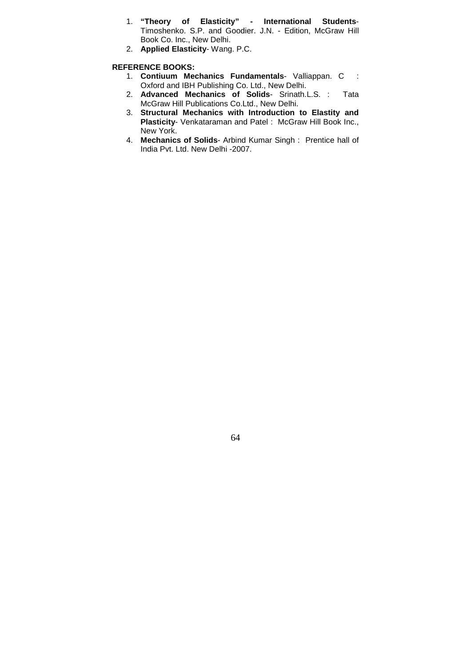- 1. **"Theory of Elasticity" International Students**-Timoshenko. S.P. and Goodier. J.N. - Edition, McGraw Hill Book Co. Inc., New Delhi.
- 2. **Applied Elasticity** Wang. P.C.

# **REFERENCE BOOKS:**

- 1. **Contiuum Mechanics Fundamentals** Valliappan. C : Oxford and IBH Publishing Co. Ltd., New Delhi.
- 2. **Advanced Mechanics of Solids** Srinath.L.S. : Tata McGraw Hill Publications Co.Ltd., New Delhi.
- 3. **Structural Mechanics with Introduction to Elastity and Plasticity**- Venkataraman and Patel : McGraw Hill Book Inc., New York.
- 4. **Mechanics of Solids** Arbind Kumar Singh : Prentice hall of India Pvt. Ltd. New Delhi -2007.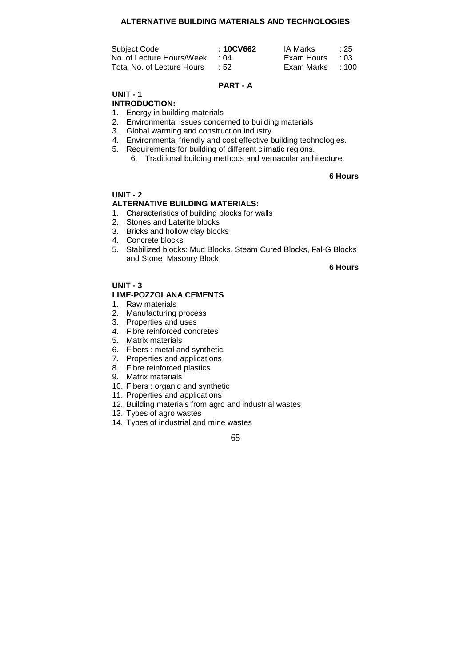# **ALTERNATIVE BUILDING MATERIALS AND TECHNOLOGIES**

| Subject Code               | : 10CV662 | IA Marks         | :25         |
|----------------------------|-----------|------------------|-------------|
| No. of Lecture Hours/Week  | ∴ ∩4      | Exam Hours       | $\cdot$ 0.3 |
| Total No. of Lecture Hours | .52       | Exam Marks : 100 |             |

#### **PART - A**

# **UNIT - 1**

# **INTRODUCTION:**

- 1. Energy in building materials
- 2. Environmental issues concerned to building materials
- 3. Global warming and construction industry
- 4. Environmental friendly and cost effective building technologies.
- 5. Requirements for building of different climatic regions.
	- 6. Traditional building methods and vernacular architecture.

# **6 Hours**

# **UNIT - 2**

# **ALTERNATIVE BUILDING MATERIALS:**

- 1. Characteristics of building blocks for walls
- 2. Stones and Laterite blocks
- 3. Bricks and hollow clay blocks
- 4. Concrete blocks
- 5. Stabilized blocks: Mud Blocks, Steam Cured Blocks, Fal-G Blocks and Stone Masonry Block

# **6 Hours**

#### **UNIT - 3 LIME-POZZOLANA CEMENTS**

- 1. Raw materials
- 2. Manufacturing process
- 3. Properties and uses
- 4. Fibre reinforced concretes
- 5. Matrix materials
- 6. Fibers : metal and synthetic
- 7. Properties and applications
- 8. Fibre reinforced plastics
- 9. Matrix materials
- 10. Fibers : organic and synthetic
- 11. Properties and applications
- 12. Building materials from agro and industrial wastes
- 13. Types of agro wastes
- 14. Types of industrial and mine wastes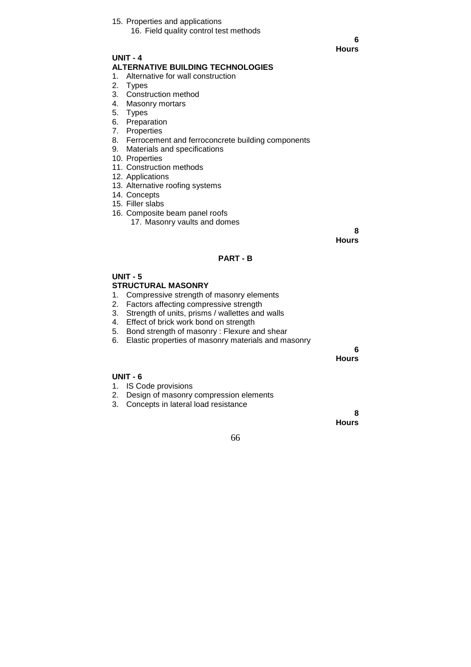15. Properties and applications

 **6 Hours**

## **UNIT - 4 ALTERNATIVE BUILDING TECHNOLOGIES**

1. Alternative for wall construction

- 2. Types
- 3. Construction method
- 4. Masonry mortars
- 5. Types
- 6. Preparation
- 7. Properties
- 8. Ferrocement and ferroconcrete building components
- 9. Materials and specifications
- 10. Properties
- 11. Construction methods
- 12. Applications
- 13. Alternative roofing systems
- 14. Concepts
- 15. Filler slabs
- 16. Composite beam panel roofs
	- 17. Masonry vaults and domes

 **8 Hours**

# **PART - B**

# **UNIT - 5 STRUCTURAL MASONRY**

- 1. Compressive strength of masonry elements
- 2. Factors affecting compressive strength
- 3. Strength of units, prisms / wallettes and walls
- 4. Effect of brick work bond on strength
- 5. Bond strength of masonry : Flexure and shear
- 6. Elastic properties of masonry materials and masonry

 **6 Hours**

**Hours**

# **UNIT - 6**

- 1. IS Code provisions
- 2. Design of masonry compression elements
- 3. Concepts in lateral load resistance

66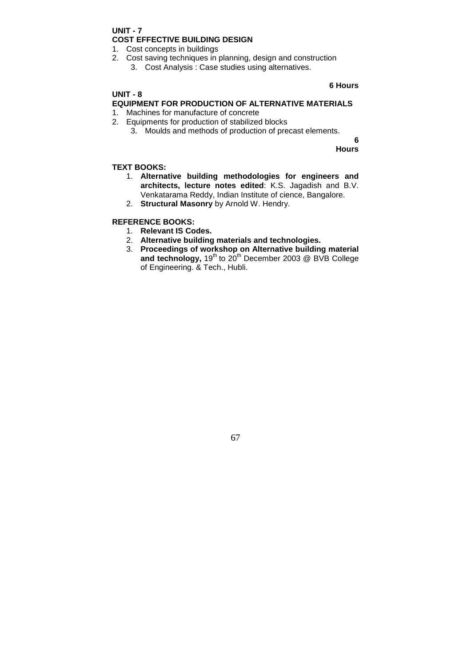# **UNIT - 7 COST EFFECTIVE BUILDING DESIGN**

1. Cost concepts in buildings

- 2. Cost saving techniques in planning, design and construction
	- 3. Cost Analysis : Case studies using alternatives.

# **UNIT - 8**

# **6 Hours**

# **EQUIPMENT FOR PRODUCTION OF ALTERNATIVE MATERIALS**

- 1. Machines for manufacture of concrete
- 2. Equipments for production of stabilized blocks
	- 3. Moulds and methods of production of precast elements.

 **6 Hours**

# **TEXT BOOKS:**

- 1. **Alternative building methodologies for engineers and architects, lecture notes edited**: K.S. Jagadish and B.V. Venkatarama Reddy, Indian Institute of cience, Bangalore.
- 2. **Structural Masonry** by Arnold W. Hendry.

# **REFERENCE BOOKS:**

- 1. **Relevant IS Codes.**
- 2. **Alternative building materials and technologies.**
- 3. **Proceedings of workshop on Alternative building material**  and technology, 19<sup>th</sup> to 20<sup>th</sup> December 2003 @ BVB College of Engineering. & Tech., Hubli.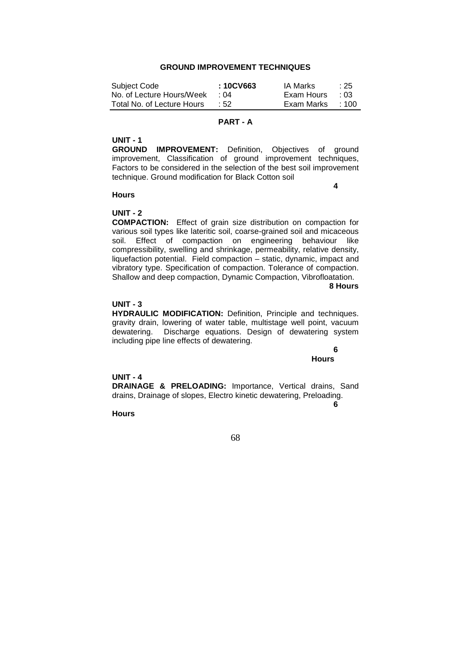# **GROUND IMPROVEMENT TECHNIQUES**

| Subject Code               | :10CV663   | IA Marks   | $\div 25$   |
|----------------------------|------------|------------|-------------|
| No. of Lecture Hours/Week  | ่ ∩4       | Exam Hours | $\cdot$ 0.3 |
| Total No. of Lecture Hours | $\cdot$ 52 | Exam Marks | $\pm 100$   |

# **PART - A**

#### **UNIT - 1**

**GROUND IMPROVEMENT:** Definition, Objectives of ground improvement, Classification of ground improvement techniques, Factors to be considered in the selection of the best soil improvement technique. Ground modification for Black Cotton soil

**4** 

#### **Hours**

## **UNIT - 2**

**COMPACTION:** Effect of grain size distribution on compaction for various soil types like lateritic soil, coarse-grained soil and micaceous soil. Effect of compaction on engineering behaviour like compressibility, swelling and shrinkage, permeability, relative density, liquefaction potential. Field compaction – static, dynamic, impact and vibratory type. Specification of compaction. Tolerance of compaction. Shallow and deep compaction, Dynamic Compaction, Vibrofloatation.

**8 Hours**

#### **UNIT - 3**

**HYDRAULIC MODIFICATION:** Definition, Principle and techniques. gravity drain, lowering of water table, multistage well point, vacuum dewatering. Discharge equations. Design of dewatering system including pipe line effects of dewatering.

> **6 Hours**

## **UNIT - 4**

**DRAINAGE & PRELOADING:** Importance, Vertical drains, Sand drains, Drainage of slopes, Electro kinetic dewatering, Preloading.

**6** 

**Hours**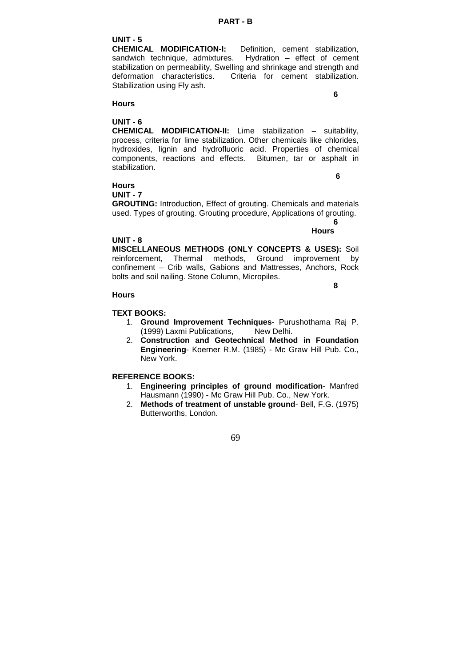UNIT - 5<br>CHEMICAL MODIFICATION-I: Definition, cement stabilization, sandwich technique, admixtures. Hydration – effect of cement stabilization on permeability, Swelling and shrinkage and strength and deformation characteristics. Criteria for cement stabilization. Stabilization using Fly ash.

**6** 

## **Hours**

# **UNIT - 6**

**CHEMICAL MODIFICATION-II:** Lime stabilization – suitability, process, criteria for lime stabilization. Other chemicals like chlorides, hydroxides, lignin and hydrofluoric acid. Properties of chemical components, reactions and effects. Bitumen, tar or asphalt in stabilization.

#### **Hours UNIT - 7**

**6** 

**GROUTING:** Introduction, Effect of grouting. Chemicals and materials used. Types of grouting. Grouting procedure, Applications of grouting.

 **6 Hours**

# **UNIT - 8**

**MISCELLANEOUS METHODS (ONLY CONCEPTS & USES):** Soil reinforcement, Thermal methods, Ground improvement by confinement – Crib walls, Gabions and Mattresses, Anchors, Rock bolts and soil nailing. Stone Column, Micropiles.

#### **8 Hours**

# **TEXT BOOKS:**

- 1. **Ground Improvement Techniques** Purushothama Raj P. (1999) Laxmi Publications, New Delhi.
- 2. **Construction and Geotechnical Method in Foundation Engineering**- Koerner R.M. (1985) - Mc Graw Hill Pub. Co., New York.

# **REFERENCE BOOKS:**

- 1. **Engineering principles of ground modification** Manfred Hausmann (1990) - Mc Graw Hill Pub. Co., New York.
- 2. **Methods of treatment of unstable ground** Bell, F.G. (1975) Butterworths, London.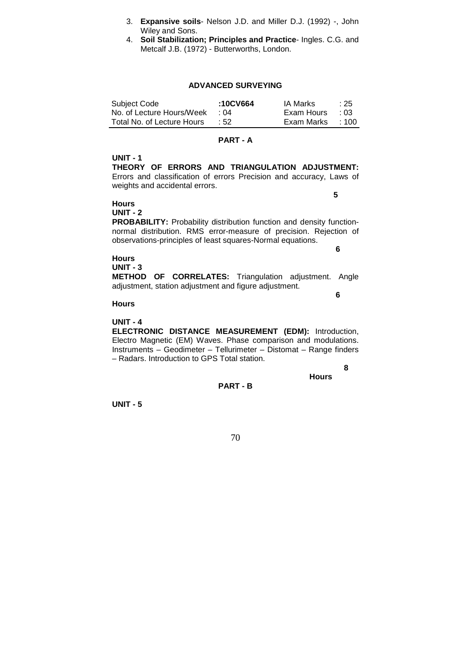- 3. **Expansive soils** Nelson J.D. and Miller D.J. (1992) -, John Wiley and Sons.
- 4. **Soil Stabilization; Principles and Practice** Ingles. C.G. and Metcalf J.B. (1972) - Butterworths, London.

#### **ADVANCED SURVEYING**

| Subject Code               | :10CV664 | <b>IA Marks</b> | :25         |
|----------------------------|----------|-----------------|-------------|
| No. of Lecture Hours/Week  | ∴ N4     | Exam Hours      | $\cdot$ 0.3 |
| Total No. of Lecture Hours | .52      | Exam Marks      | :100        |

#### **PART - A**

# **UNIT - 1**

**THEORY OF ERRORS AND TRIANGULATION ADJUSTMENT:** Errors and classification of errors Precision and accuracy, Laws of weights and accidental errors.

**5** 

**6** 

# **Hours**

**UNIT - 2** 

**PROBABILITY:** Probability distribution function and density functionnormal distribution. RMS error-measure of precision. Rejection of observations-principles of least squares-Normal equations.

# **Hours**

**UNIT - 3** 

**METHOD OF CORRELATES:** Triangulation adjustment. Angle adjustment, station adjustment and figure adjustment.

#### **6 Hours**

# **UNIT - 4**

**ELECTRONIC DISTANCE MEASUREMENT (EDM):** Introduction, Electro Magnetic (EM) Waves. Phase comparison and modulations. Instruments – Geodimeter – Tellurimeter – Distomat – Range finders – Radars. Introduction to GPS Total station.

 **8** 

**Hours** 

**PART - B** 

**UNIT - 5**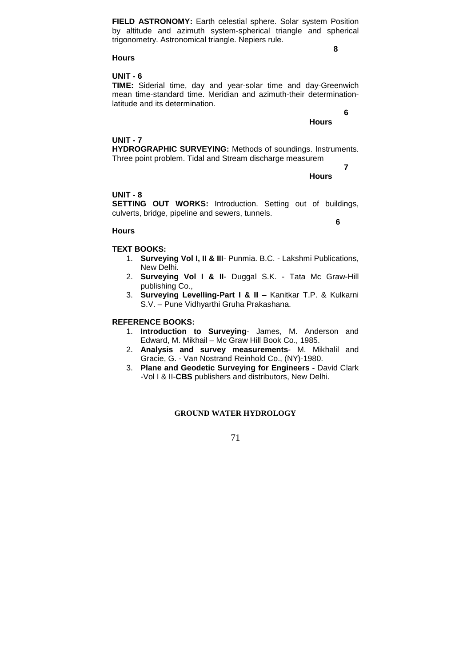**FIELD ASTRONOMY:** Earth celestial sphere. Solar system Position by altitude and azimuth system-spherical triangle and spherical trigonometry. Astronomical triangle. Nepiers rule.

**8** 

# **Hours**

# **UNIT - 6**

**TIME:** Siderial time, day and year-solar time and day-Greenwich mean time-standard time. Meridian and azimuth-their determinationlatitude and its determination.

**Hours**

 **6** 

**7** 

## **UNIT - 7**

**HYDROGRAPHIC SURVEYING:** Methods of soundings. Instruments. Three point problem. Tidal and Stream discharge measurem

**Hours** 

#### **UNIT - 8**

**SETTING OUT WORKS:** Introduction. Setting out of buildings, culverts, bridge, pipeline and sewers, tunnels.

**6** 

#### **Hours**

## **TEXT BOOKS:**

- 1. **Surveying Vol I, II & III** Punmia. B.C. Lakshmi Publications, New Delhi.
- 2. **Surveying Vol I & II** Duggal S.K. Tata Mc Graw-Hill publishing Co.,
- 3. **Surveying Levelling-Part I & II**  Kanitkar T.P. & Kulkarni S.V. – Pune Vidhyarthi Gruha Prakashana.

## **REFERENCE BOOKS:**

- 1. **Introduction to Surveying** James, M. Anderson and Edward, M. Mikhail – Mc Graw Hill Book Co., 1985.
- 2. **Analysis and survey measurements** M. Mikhalil and Gracie, G. - Van Nostrand Reinhold Co., (NY)-1980.
- 3. **Plane and Geodetic Surveying for Engineers -** David Clark -Vol I & II-**CBS** publishers and distributors, New Delhi.

## **GROUND WATER HYDROLOGY**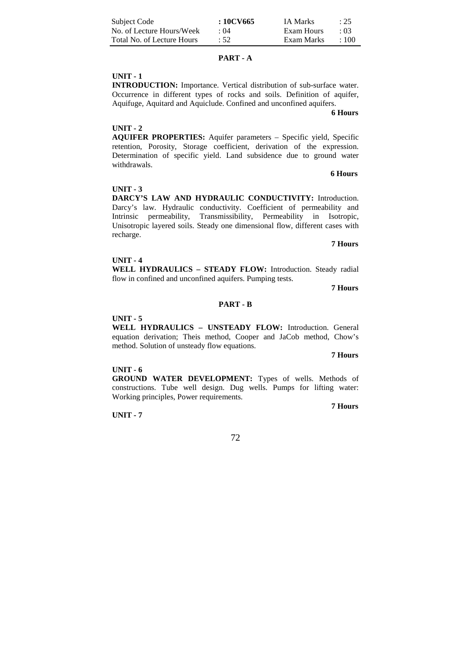| Subject Code               | : 10CV665   | IA Marks   | $\div 25$  |
|----------------------------|-------------|------------|------------|
| No. of Lecture Hours/Week  | $\cdot$ ()4 | Exam Hours | $\cdot$ 03 |
| Total No. of Lecture Hours | :52         | Exam Marks | $+100$     |

#### **PART - A**

# **UNIT - 1**

**INTRODUCTION:** Importance. Vertical distribution of sub-surface water. Occurrence in different types of rocks and soils. Definition of aquifer, Aquifuge, Aquitard and Aquiclude. Confined and unconfined aquifers.

**6 Hours**

# **UNIT - 2**

**AQUIFER PROPERTIES:** Aquifer parameters – Specific yield, Specific retention, Porosity, Storage coefficient, derivation of the expression. Determination of specific yield. Land subsidence due to ground water withdrawals.

#### **6 Hours**

## **UNIT - 3**

**DARCY'S LAW AND HYDRAULIC CONDUCTIVITY:** Introduction. Darcy's law. Hydraulic conductivity. Coefficient of permeability and Intrinsic permeability, Transmissibility, Permeability in Isotropic, Unisotropic layered soils. Steady one dimensional flow, different cases with recharge.

**7 Hours**

#### **UNIT - 4**

**WELL HYDRAULICS – STEADY FLOW:** Introduction. Steady radial flow in confined and unconfined aquifers. Pumping tests.

#### **7 Hours**

#### **PART - B**

#### **UNIT - 5**

**WELL HYDRAULICS – UNSTEADY FLOW:** Introduction. General equation derivation; Theis method, Cooper and JaCob method, Chow's method. Solution of unsteady flow equations.

#### **7 Hours**

# **UNIT - 6**

**GROUND WATER DEVELOPMENT:** Types of wells. Methods of constructions. Tube well design. Dug wells. Pumps for lifting water: Working principles, Power requirements.

**UNIT - 7** 

**7 Hours**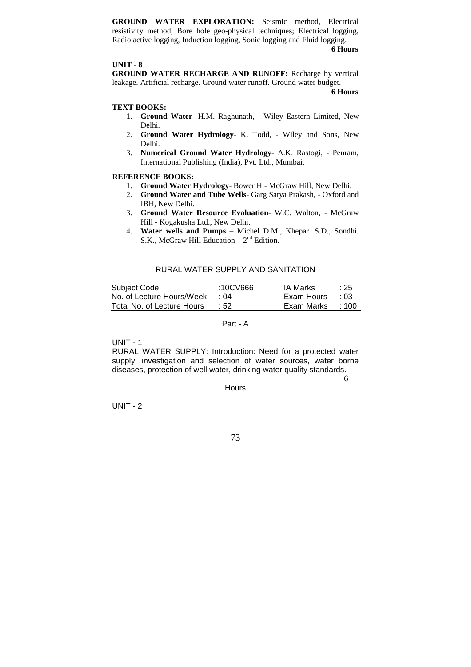**GROUND WATER EXPLORATION:** Seismic method, Electrical resistivity method, Bore hole geo-physical techniques; Electrical logging, Radio active logging, Induction logging, Sonic logging and Fluid logging.

**6 Hours**

# **UNIT - 8**

**GROUND WATER RECHARGE AND RUNOFF:** Recharge by vertical leakage. Artificial recharge. Ground water runoff. Ground water budget. **6 Hours**

# **TEXT BOOKS:**

- 1. **Ground Water** H.M. Raghunath, Wiley Eastern Limited, New Delhi.
- 2. **Ground Water Hydrology** K. Todd, Wiley and Sons, New Delhi.
- 3. **Numerical Ground Water Hydrology** A.K. Rastogi, Penram, International Publishing (India), Pvt. Ltd., Mumbai.

# **REFERENCE BOOKS:**

- 1. **Ground Water Hydrology** Bower H.- McGraw Hill, New Delhi.
- 2. **Ground Water and Tube Wells** Garg Satya Prakash, Oxford and IBH, New Delhi.
- 3. **Ground Water Resource Evaluation** W.C. Walton, McGraw Hill - Kogakusha Ltd., New Delhi.
- 4. **Water wells and Pumps**  Michel D.M., Khepar. S.D., Sondhi. S.K., McGraw Hill Education –  $2<sup>nd</sup>$  Edition.

# RURAL WATER SUPPLY AND SANITATION

| Subject Code               | :10CV666   | IA Marks   | :25         |
|----------------------------|------------|------------|-------------|
| No. of Lecture Hours/Week  | $\cdot$ 04 | Exam Hours | $\cdot$ 0.3 |
| Total No. of Lecture Hours | $\pm 52$   | Exam Marks | :100        |

# Part - A

UNIT - 1

RURAL WATER SUPPLY: Introduction: Need for a protected water supply, investigation and selection of water sources, water borne diseases, protection of well water, drinking water quality standards.

 $\sim$  6

**Hours** 

UNIT - 2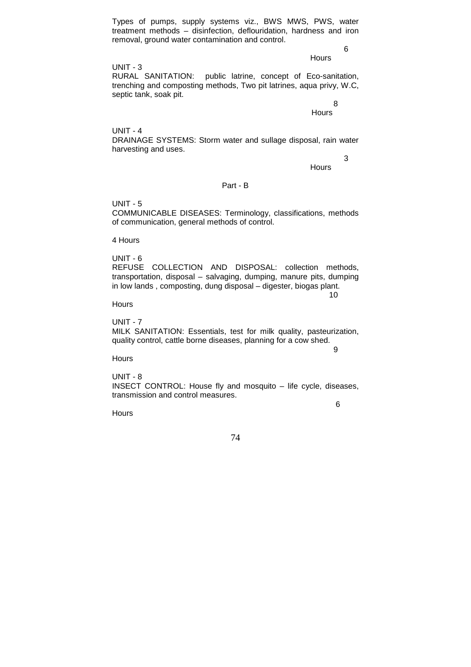Types of pumps, supply systems viz., BWS MWS, PWS, water treatment methods – disinfection, deflouridation, hardness and iron removal, ground water contamination and control.

6

**Hours** 

 $UNIT - 3$ RURAL SANITATION: public latrine, concept of Eco-sanitation, trenching and composting methods, Two pit latrines, aqua privy, W.C, septic tank, soak pit.

> 8 **Hours**

UNIT - 4 DRAINAGE SYSTEMS: Storm water and sullage disposal, rain water harvesting and uses.

3

**Hours** 

# Part - B

UNIT - 5 COMMUNICABLE DISEASES: Terminology, classifications, methods of communication, general methods of control.

4 Hours

UNIT - 6

REFUSE COLLECTION AND DISPOSAL: collection methods, transportation, disposal – salvaging, dumping, manure pits, dumping in low lands , composting, dung disposal – digester, biogas plant.  $10<sup>10</sup>$ 

Hours

UNIT - 7 MILK SANITATION: Essentials, test for milk quality, pasteurization, quality control, cattle borne diseases, planning for a cow shed.

9

**Hours** 

UNIT - 8 INSECT CONTROL: House fly and mosquito – life cycle, diseases, transmission and control measures.

 $\sim$  6

**Hours**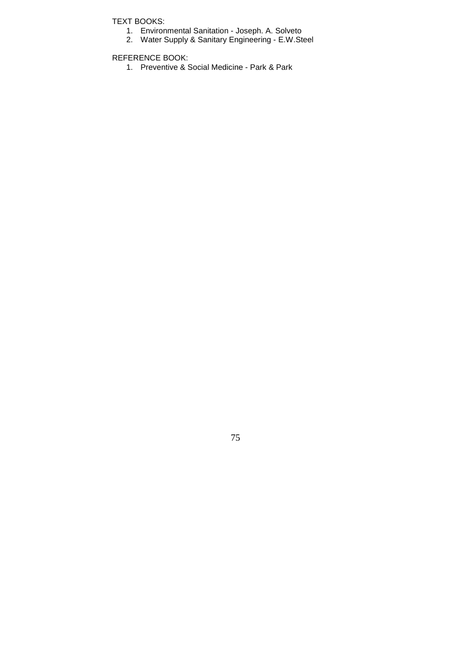TEXT BOOKS:

- 1. Environmental Sanitation Joseph. A. Solveto
- 2. Water Supply & Sanitary Engineering E.W.Steel

REFERENCE BOOK:

1. Preventive & Social Medicine - Park & Park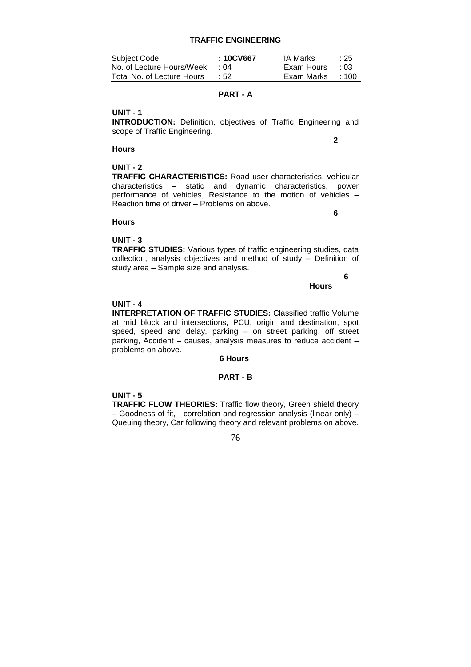**TRAFFIC ENGINEERING** 

| Subject Code               | : 10CV667       | IA Marks   | :25         |
|----------------------------|-----------------|------------|-------------|
| No. of Lecture Hours/Week  | $\cdot$ 04      | Exam Hours | $\cdot$ 0.3 |
| Total No. of Lecture Hours | $\therefore$ 52 | Exam Marks | $+100$      |

# **PART - A**

# **UNIT - 1**

**INTRODUCTION:** Definition, objectives of Traffic Engineering and scope of Traffic Engineering.

# **Hours**

**2** 

# **UNIT - 2**

**TRAFFIC CHARACTERISTICS:** Road user characteristics, vehicular characteristics – static and dynamic characteristics, power performance of vehicles, Resistance to the motion of vehicles – Reaction time of driver – Problems on above.

# **6**

# **Hours**

# **UNIT - 3**

**TRAFFIC STUDIES:** Various types of traffic engineering studies, data collection, analysis objectives and method of study – Definition of study area – Sample size and analysis.

 **6** 

# **Hours**

# **UNIT - 4**

**INTERPRETATION OF TRAFFIC STUDIES:** Classified traffic Volume at mid block and intersections, PCU, origin and destination, spot speed, speed and delay, parking – on street parking, off street parking, Accident – causes, analysis measures to reduce accident – problems on above.

# **6 Hours**

# **PART - B**

# **UNIT - 5**

**TRAFFIC FLOW THEORIES:** Traffic flow theory, Green shield theory – Goodness of fit, - correlation and regression analysis (linear only) – Queuing theory, Car following theory and relevant problems on above.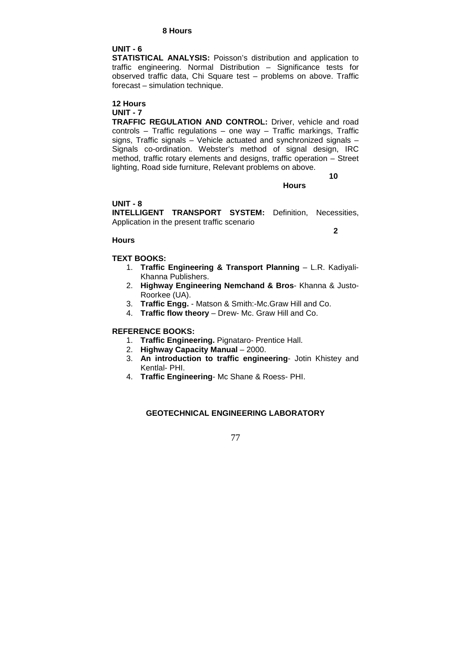# **8 Hours**

# **UNIT - 6**

**STATISTICAL ANALYSIS:** Poisson's distribution and application to traffic engineering. Normal Distribution – Significance tests for observed traffic data, Chi Square test – problems on above. Traffic forecast – simulation technique.

#### **12 Hours UNIT - 7**

**TRAFFIC REGULATION AND CONTROL:** Driver, vehicle and road controls – Traffic regulations – one way – Traffic markings, Traffic signs, Traffic signals – Vehicle actuated and synchronized signals – Signals co-ordination. Webster's method of signal design, IRC method, traffic rotary elements and designs, traffic operation – Street lighting, Road side furniture, Relevant problems on above.  **10** 

**Hours** 

# **UNIT - 8**

**INTELLIGENT TRANSPORT SYSTEM:** Definition, Necessities, Application in the present traffic scenario

**2** 

# **Hours**

# **TEXT BOOKS:**

- 1. **Traffic Engineering & Transport Planning** L.R. Kadiyali-Khanna Publishers.
- 2. **Highway Engineering Nemchand & Bros** Khanna & Justo-Roorkee (UA).
- 3. **Traffic Engg.**  Matson & Smith:-Mc.Graw Hill and Co.
- 4. **Traffic flow theory** Drew- Mc. Graw Hill and Co.

# **REFERENCE BOOKS:**

- 1. **Traffic Engineering.** Pignataro- Prentice Hall.
- 2. **Highway Capacity Manual** 2000.
- 3. **An introduction to traffic engineering** Jotin Khistey and Kentlal- PHI.
- 4. **Traffic Engineering** Mc Shane & Roess- PHI.

# **GEOTECHNICAL ENGINEERING LABORATORY**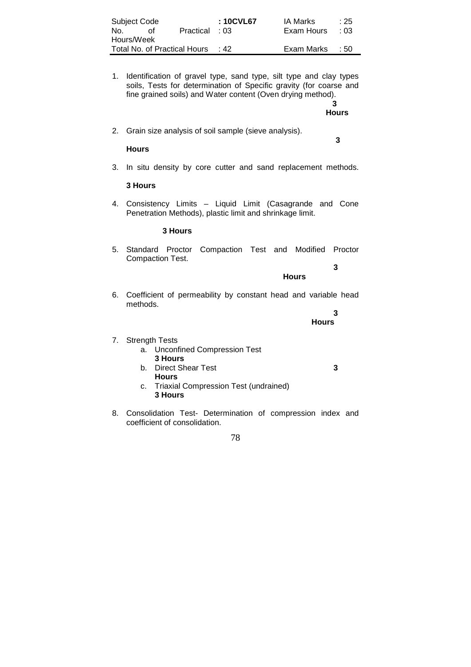| Subject Code |    |                              | : 10CVL67  | IA Marks   | $\div 25$ |
|--------------|----|------------------------------|------------|------------|-----------|
| No.          | ∩t | Practical : 03               |            | Exam Hours | . 03      |
| Hours/Week   |    |                              |            |            |           |
|              |    | Total No. of Practical Hours | $\cdot$ 42 | Exam Marks | - 50      |

1. Identification of gravel type, sand type, silt type and clay types soils, Tests for determination of Specific gravity (for coarse and fine grained soils) and Water content (Oven drying method).

> **3 Hours**

2. Grain size analysis of soil sample (sieve analysis).

### **3 Hours**

3. In situ density by core cutter and sand replacement methods.

# **3 Hours**

4. Consistency Limits – Liquid Limit (Casagrande and Cone Penetration Methods), plastic limit and shrinkage limit.

# **3 Hours**

5. Standard Proctor Compaction Test and Modified Proctor Compaction Test.  **3** 

**Hours**

6. Coefficient of permeability by constant head and variable head methods.

 **3** 

**Hours**

# 7. Strength Tests

- a. Unconfined Compression Test **3 Hours**
- b. Direct Shear Test **3** 
	- **Hours**
- c. Triaxial Compression Test (undrained) **3 Hours**
- 8. Consolidation Test- Determination of compression index and coefficient of consolidation.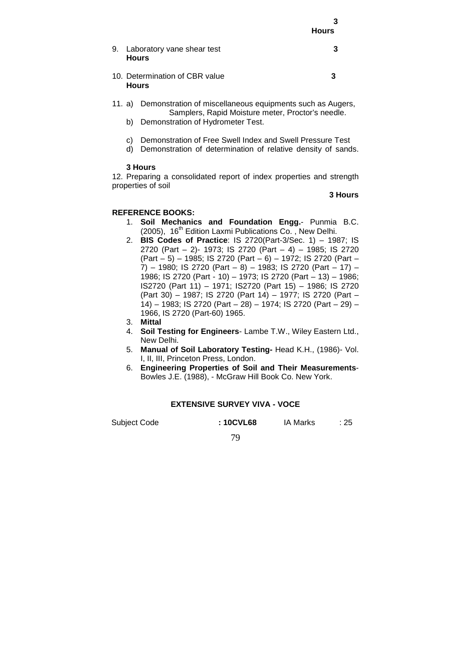|    |                                                | <b>Hours</b> |
|----|------------------------------------------------|--------------|
| 9. | Laboratory vane shear test<br><b>Hours</b>     |              |
|    | 10. Determination of CBR value<br><b>Hours</b> | 3            |

- 11. a) Demonstration of miscellaneous equipments such as Augers, Samplers, Rapid Moisture meter, Proctor's needle.
	- b) Demonstration of Hydrometer Test.
	- c) Demonstration of Free Swell Index and Swell Pressure Test
	- d) Demonstration of determination of relative density of sands.

# **3 Hours**

12. Preparing a consolidated report of index properties and strength properties of soil

# **3 Hours**

# **REFERENCE BOOKS:**

- 1. **Soil Mechanics and Foundation Engg.** Punmia B.C. (2005), 16<sup>th</sup> Edition Laxmi Publications Co., New Delhi.
- 2. **BIS Codes of Practice**: IS 2720(Part-3/Sec. 1) 1987; IS 2720 (Part – 2)- 1973; IS 2720 (Part – 4) – 1985; IS 2720 (Part – 5) – 1985; IS 2720 (Part – 6) – 1972; IS 2720 (Part –  $(7)$  – 1980; IS 2720 (Part – 8) – 1983; IS 2720 (Part – 17) – 1986; IS 2720 (Part - 10) – 1973; IS 2720 (Part – 13) – 1986; IS2720 (Part 11) – 1971; IS2720 (Part 15) – 1986; IS 2720 (Part 30) – 1987; IS 2720 (Part 14) – 1977; IS 2720 (Part – 14) – 1983; IS 2720 (Part – 28) – 1974; IS 2720 (Part – 29) – 1966, IS 2720 (Part-60) 1965.
- 3. **Mittal**
- 4. **Soil Testing for Engineers** Lambe T.W., Wiley Eastern Ltd., New Delhi.
- 5. **Manual of Soil Laboratory Testing-** Head K.H., (1986)- Vol. I, II, III, Princeton Press, London.
- 6. **Engineering Properties of Soil and Their Measurements**-Bowles J.E. (1988), - McGraw Hill Book Co. New York.

# **EXTENSIVE SURVEY VIVA - VOCE**

Subject Code **: 10CVL68** IA Marks : 25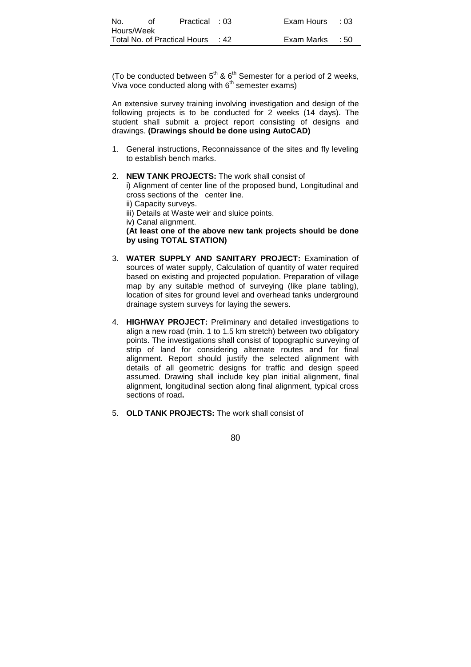| No.        | ∩t | Practical : 03                     | Exam Hours : 03 |  |
|------------|----|------------------------------------|-----------------|--|
| Hours/Week |    |                                    |                 |  |
|            |    | Total No. of Practical Hours  : 42 | Exam Marks : 50 |  |

(To be conducted between  $5<sup>th</sup>$  &  $6<sup>th</sup>$  Semester for a period of 2 weeks, Viva voce conducted along with  $6<sup>th</sup>$  semester exams)

An extensive survey training involving investigation and design of the following projects is to be conducted for 2 weeks (14 days). The student shall submit a project report consisting of designs and drawings. **(Drawings should be done using AutoCAD)**

- 1. General instructions, Reconnaissance of the sites and fly leveling to establish bench marks.
- 2. **NEW TANK PROJECTS:** The work shall consist of i) Alignment of center line of the proposed bund, Longitudinal and cross sections of the center line. ii) Capacity surveys. iii) Details at Waste weir and sluice points. iv) Canal alignment. **(At least one of the above new tank projects should be done by using TOTAL STATION)**
- 3. **WATER SUPPLY AND SANITARY PROJECT:** Examination of sources of water supply, Calculation of quantity of water required based on existing and projected population. Preparation of village map by any suitable method of surveying (like plane tabling), location of sites for ground level and overhead tanks underground drainage system surveys for laying the sewers.
- 4. **HIGHWAY PROJECT:** Preliminary and detailed investigations to align a new road (min. 1 to 1.5 km stretch) between two obligatory points. The investigations shall consist of topographic surveying of strip of land for considering alternate routes and for final alignment. Report should justify the selected alignment with details of all geometric designs for traffic and design speed assumed. Drawing shall include key plan initial alignment, final alignment, longitudinal section along final alignment, typical cross sections of road**.**
- 5. **OLD TANK PROJECTS:** The work shall consist of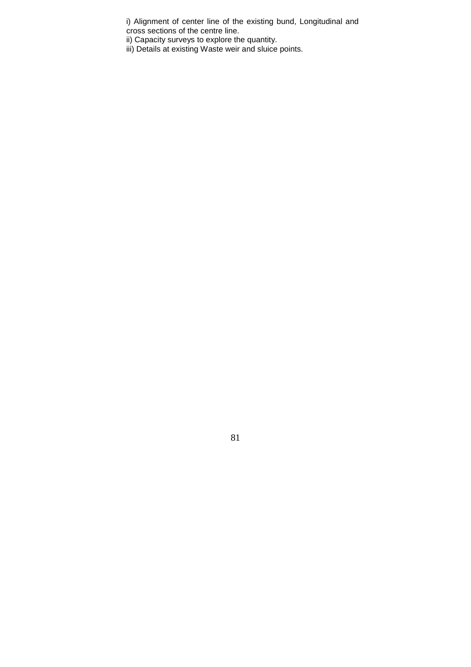i) Alignment of center line of the existing bund, Longitudinal and cross sections of the centre line.

ii) Capacity surveys to explore the quantity.

iii) Details at existing Waste weir and sluice points.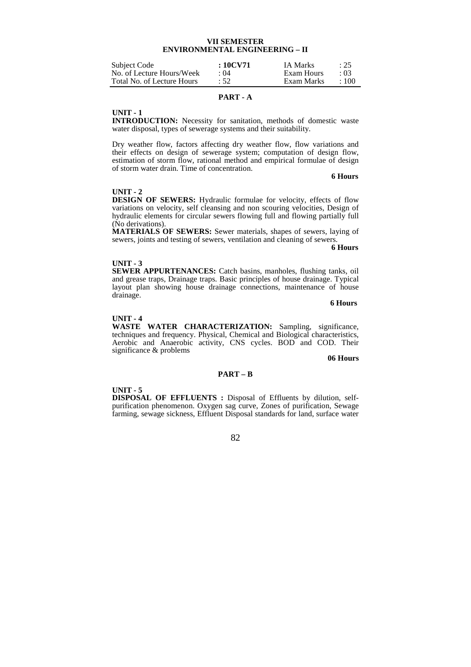# **VII SEMESTER ENVIRONMENTAL ENGINEERING – II**

| Subject Code               | $:10$ CV71 | <b>IA Marks</b> | : 25        |
|----------------------------|------------|-----------------|-------------|
| No. of Lecture Hours/Week  | : 04       | Exam Hours      | $\cdot$ 03  |
| Total No. of Lecture Hours | : 52       | Exam Marks      | $\cdot$ 100 |

# **PART - A**

#### **UNIT - 1**

**INTRODUCTION:** Necessity for sanitation, methods of domestic waste water disposal, types of sewerage systems and their suitability.

Dry weather flow, factors affecting dry weather flow, flow variations and their effects on design of sewerage system; computation of design flow, estimation of storm flow, rational method and empirical formulae of design of storm water drain. Time of concentration.

#### **6 Hours**

#### **UNIT - 2**

**DESIGN OF SEWERS:** Hydraulic formulae for velocity, effects of flow variations on velocity, self cleansing and non scouring velocities, Design of hydraulic elements for circular sewers flowing full and flowing partially full (No derivations).

**MATERIALS OF SEWERS:** Sewer materials, shapes of sewers, laying of sewers, joints and testing of sewers, ventilation and cleaning of sewers.<br>6 Hours

**6 Hours**

#### **UNIT - 3**

**SEWER APPURTENANCES:** Catch basins, manholes, flushing tanks, oil and grease traps, Drainage traps. Basic principles of house drainage. Typical layout plan showing house drainage connections, maintenance of house drainage.

**6 Hours**

# **UNIT - 4**

**WASTE WATER CHARACTERIZATION:** Sampling, significance, techniques and frequency. Physical, Chemical and Biological characteristics, Aerobic and Anaerobic activity, CNS cycles. BOD and COD. Their significance & problems

**06 Hours**

# **PART – B**

#### **UNIT - 5**

**DISPOSAL OF EFFLUENTS :** Disposal of Effluents by dilution, selfpurification phenomenon. Oxygen sag curve, Zones of purification, Sewage farming, sewage sickness, Effluent Disposal standards for land, surface water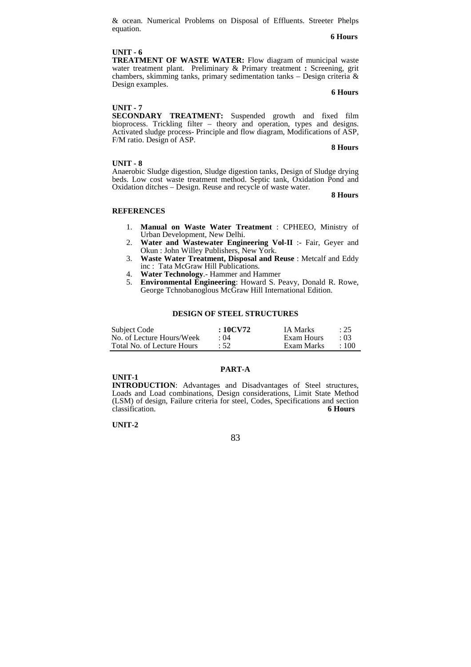& ocean. Numerical Problems on Disposal of Effluents. Streeter Phelps equation. **6 Hours**

#### **UNIT - 6**

**TREATMENT OF WASTE WATER:** Flow diagram of municipal waste water treatment plant. Preliminary & Primary treatment **:** Screening, grit chambers, skimming tanks, primary sedimentation tanks – Design criteria & Design examples.

# **6 Hours**

# **UNIT - 7**

**SECONDARY TREATMENT:** Suspended growth and fixed film bioprocess. Trickling filter – theory and operation, types and designs. Activated sludge process- Principle and flow diagram, Modifications of ASP, F/M ratio. Design of ASP.

#### **8 Hours**

#### **UNIT - 8**

Anaerobic Sludge digestion, Sludge digestion tanks, Design of Sludge drying beds. Low cost waste treatment method. Septic tank, Oxidation Pond and Oxidation ditches – Design. Reuse and recycle of waste water.

 **8 Hours**

#### **REFERENCES**

- 1. **Manual on Waste Water Treatment** : CPHEEO, Ministry of Urban Development, New Delhi.
- 2. **Water and Wastewater Engineering Vol-II** :- Fair, Geyer and Okun : John Willey Publishers, New York.
- 3. **Waste Water Treatment, Disposal and Reuse** : Metcalf and Eddy inc : Tata McGraw Hill Publications.
- 4. **Water Technology**.- Hammer and Hammer
- 5. **Environmental Engineering**: Howard S. Peavy, Donald R. Rowe, George Tchnobanoglous McGraw Hill International Edition.

#### **DESIGN OF STEEL STRUCTURES**

| Subject Code               | : 10CV72    | IA Marks   | $\therefore$ 25 |
|----------------------------|-------------|------------|-----------------|
| No. of Lecture Hours/Week  | $\cdot$ ()4 | Exam Hours | $\cdot$ 03      |
| Total No. of Lecture Hours | $\cdot$ 52  | Exam Marks | $\cdot$ 100     |

# **PART-A**

# **UNIT-1**

**INTRODUCTION**: Advantages and Disadvantages of Steel structures, Loads and Load combinations, Design considerations, Limit State Method (LSM) of design, Failure criteria for steel, Codes, Specifications and section classification. **6 Hours**

#### **UNIT-2**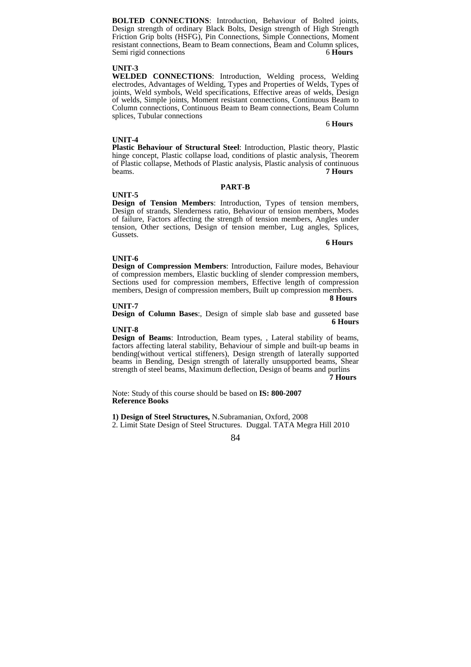**BOLTED CONNECTIONS**: Introduction, Behaviour of Bolted joints, Design strength of ordinary Black Bolts, Design strength of High Strength Friction Grip bolts (HSFG), Pin Connections, Simple Connections, Moment resistant connections, Beam to Beam connections, Beam and Column splices, Semi rigid connections 6**Hours** 6

#### **UNIT-3**

**WELDED CONNECTIONS**: Introduction, Welding process, Welding electrodes, Advantages of Welding, Types and Properties of Welds, Types of joints, Weld symbols, Weld specifications, Effective areas of welds, Design of welds, Simple joints, Moment resistant connections, Continuous Beam to Column connections, Continuous Beam to Beam connections, Beam Column splices, Tubular connections

#### 6 **Hours**

#### **UNIT-4**

**Plastic Behaviour of Structural Steel**: Introduction, Plastic theory, Plastic hinge concept, Plastic collapse load, conditions of plastic analysis, Theorem of Plastic collapse, Methods of Plastic analysis, Plastic analysis of continuous beams.<br> **7 Hours** beams. **7 Hours**

# **PART-B**

#### **UNIT-5**

**Design of Tension Members**: Introduction, Types of tension members, Design of strands, Slenderness ratio, Behaviour of tension members, Modes of failure, Factors affecting the strength of tension members, Angles under tension, Other sections, Design of tension member, Lug angles, Splices, Gussets.

#### **6 Hours**

#### **UNIT-6**

**Design of Compression Members**: Introduction, Failure modes, Behaviour of compression members, Elastic buckling of slender compression members, Sections used for compression members, Effective length of compression members, Design of compression members, Built up compression members.

 **8 Hours**

**UNIT-7 Design of Column Bases**:, Design of simple slab base and gusseted base **6 Hours**

#### **UNIT-8**

**Design of Beams**: Introduction, Beam types, , Lateral stability of beams, factors affecting lateral stability, Behaviour of simple and built-up beams in bending(without vertical stiffeners), Design strength of laterally supported beams in Bending, Design strength of laterally unsupported beams, Shear strength of steel beams, Maximum deflection, Design of beams and purlins

**7 Hours**

Note: Study of this course should be based on **IS: 800-2007 Reference Books** 

**1) Design of Steel Structures,** N.Subramanian, Oxford, 2008

2. Limit State Design of Steel Structures. Duggal. TATA Megra Hill 2010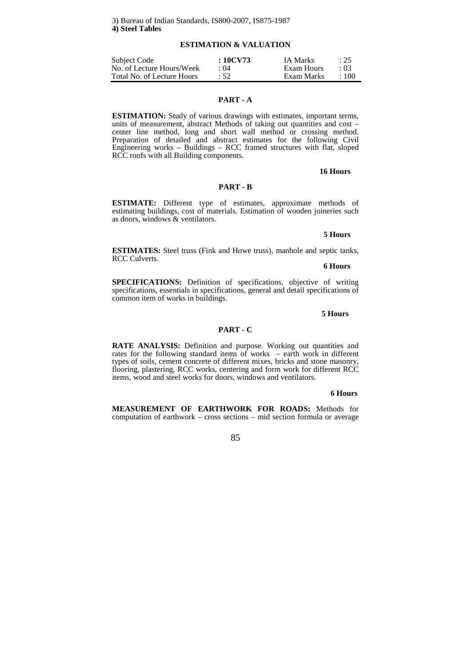# **ESTIMATION & VALUATION**

| Subject Code               | :10CV73     | <b>IA Marks</b> | : 25        |
|----------------------------|-------------|-----------------|-------------|
| No. of Lecture Hours/Week  | $\cdot$ ()4 | Exam Hours      | $\cdot$ 03  |
| Total No. of Lecture Hours | $\cdot$ 52. | Exam Marks      | $\cdot$ 100 |

# **PART - A**

**ESTIMATION:** Study of various drawings with estimates, important terms, units of measurement, abstract Methods of taking out quantities and cost – center line method, long and short wall method or crossing method. Preparation of detailed and abstract estimates for the following Civil Engineering works – Buildings – RCC framed structures with flat, sloped RCC roofs with all Building components.

#### **16 Hours**

# **PART - B**

**ESTIMATE:** Different type of estimates, approximate methods of estimating buildings, cost of materials. Estimation of wooden joineries such as doors, windows & ventilators.

# **5 Hours**

**ESTIMATES:** Steel truss (Fink and Howe truss), manhole and septic tanks, RCC Culverts.

#### **6 Hours**

**SPECIFICATIONS:** Definition of specifications, objective of writing specifications, essentials in specifications, general and detail specifications of common item of works in buildings.

#### **5 Hours**

# **PART - C**

**RATE ANALYSIS:** Definition and purpose. Working out quantities and rates for the following standard items of works – earth work in different types of soils, cement concrete of different mixes, bricks and stone masonry, flooring, plastering, RCC works, centering and form work for different RCC items, wood and steel works for doors, windows and ventilators.

#### **6 Hours**

**MEASUREMENT OF EARTHWORK FOR ROADS:** Methods for computation of earthwork – cross sections – mid section formula or average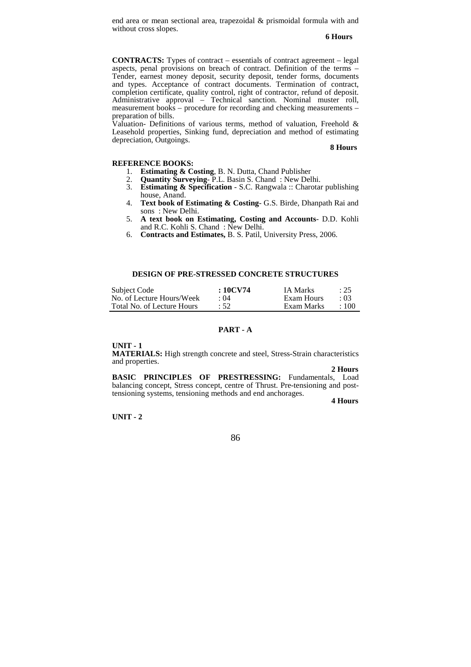end area or mean sectional area, trapezoidal & prismoidal formula with and without cross slopes.

#### **6 Hours**

**CONTRACTS:** Types of contract – essentials of contract agreement – legal aspects, penal provisions on breach of contract. Definition of the terms – Tender, earnest money deposit, security deposit, tender forms, documents and types. Acceptance of contract documents. Termination of contract, completion certificate, quality control, right of contractor, refund of deposit. Administrative approval – Technical sanction. Nominal muster roll, measurement books – procedure for recording and checking measurements – preparation of bills.

Valuation- Definitions of various terms, method of valuation, Freehold & Leasehold properties, Sinking fund, depreciation and method of estimating depreciation, Outgoings.

#### **8 Hours**

#### **REFERENCE BOOKS:**

- 1. **Estimating & Costing**, B. N. Dutta, Chand Publisher
- 2. **Quantity Surveying** P.L. Basin S. Chand : New Delhi.
- 3. **Estimating & Specification**  S.C. Rangwala :: Charotar publishing house, Anand.
- 4. **Text book of Estimating & Costing** G.S. Birde, Dhanpath Rai and sons : New Delhi.
- 5. **A text book on Estimating, Costing and Accounts** D.D. Kohli and R.C. Kohli S. Chand : New Delhi.
- 6. **Contracts and Estimates,** B. S. Patil, University Press, 2006.

# **DESIGN OF PRE-STRESSED CONCRETE STRUCTURES**

| Subject Code               | $:10$ CV74  | IA Marks   | : 25        |
|----------------------------|-------------|------------|-------------|
| No. of Lecture Hours/Week  | $\cdot$ ()4 | Exam Hours | $\cdot$ 03  |
| Total No. of Lecture Hours | :52         | Exam Marks | $\cdot$ 100 |

# **PART - A**

#### **UNIT - 1**

**MATERIALS:** High strength concrete and steel, Stress-Strain characteristics and properties.

 **2 Hours BASIC PRINCIPLES OF PRESTRESSING:** Fundamentals, Load balancing concept, Stress concept, centre of Thrust. Pre-tensioning and posttensioning systems, tensioning methods and end anchorages.

**4 Hours** 

**UNIT - 2**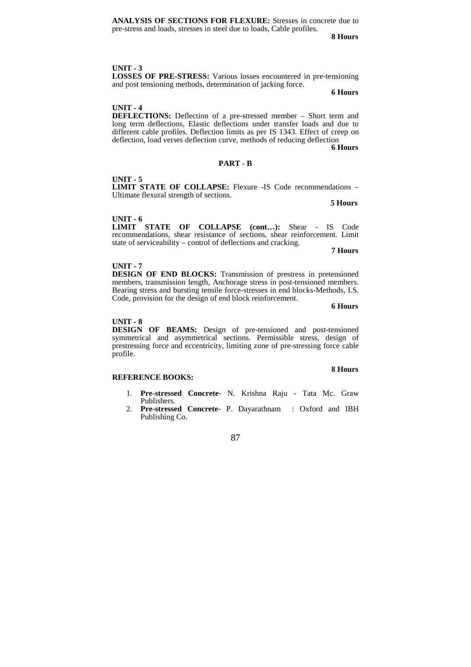**ANALYSIS OF SECTIONS FOR FLEXURE:** Stresses in concrete due to pre-stress and loads, stresses in steel due to loads, Cable profiles.

**8 Hours** 

# **UNIT - 3**

**LOSSES OF PRE-STRESS:** Various losses encountered in pre-tensioning and post tensioning methods, determination of jacking force.

**6 Hours** 

# **UNIT - 4**

**DEFLECTIONS:** Deflection of a pre-stressed member – Short term and long term deflections, Elastic deflections under transfer loads and due to different cable profiles. Deflection limits as per IS 1343. Effect of creep on deflection, load verses deflection curve, methods of reducing deflection **6 Hours**

# **PART - B**

#### **UNIT - 5**

**LIMIT STATE OF COLLAPSE:** Flexure -IS Code recommendations – Ultimate flexural strength of sections.

**5 Hours**

# **UNIT - 6**

**LIMIT STATE OF COLLAPSE (cont…):** Shear - IS Code recommendations, shear resistance of sections, shear reinforcement. Limit state of serviceability – control of deflections and cracking.

**7 Hours**

### **UNIT - 7**

**DESIGN OF END BLOCKS:** Transmission of prestress in pretensioned members, transmission length, Anchorage stress in post-tensioned members. Bearing stress and bursting tensile force-stresses in end blocks-Methods, I.S. Code, provision for the design of end block reinforcement.

**6 Hours**

#### **UNIT - 8**

**DESIGN OF BEAMS:** Design of pre-tensioned and post-tensioned symmetrical and asymmetrical sections. Permissible stress, design of prestressing force and eccentricity, limiting zone of pre-stressing force cable profile.

# **8 Hours**

# **REFERENCE BOOKS:**

- 1. **Pre-stressed Concrete** N. Krishna Raju Tata Mc. Graw Publishers.
- 2. **Pre-stressed Concrete** P. Dayarathnam : Oxford and IBH Publishing Co.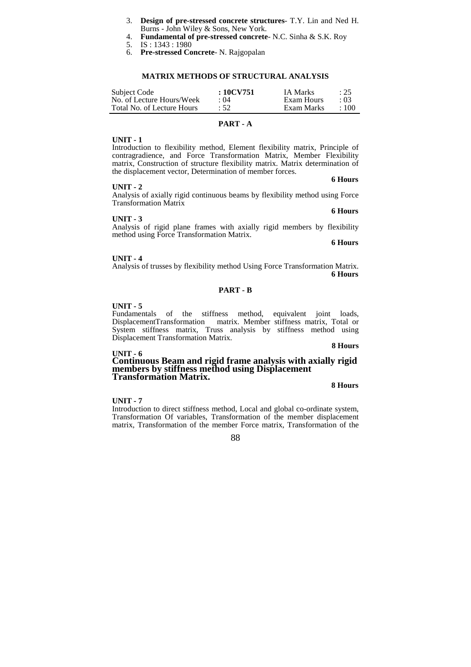- 3. **Design of pre-stressed concrete structures** T.Y. Lin and Ned H. Burns - John Wiley & Sons, New York.
- 4. **Fundamental of pre-stressed concrete** N.C. Sinha & S.K. Roy
- 5. IS : 1343 : 1980
- 6. **Pre-stressed Concrete** N. Rajgopalan

#### **MATRIX METHODS OF STRUCTURAL ANALYSIS**

| Subject Code               | $:10$ CV751 | IA Marks   | : 25        |
|----------------------------|-------------|------------|-------------|
| No. of Lecture Hours/Week  | : 04        | Exam Hours | $\cdot$ 03  |
| Total No. of Lecture Hours | :52         | Exam Marks | $\cdot$ 100 |

# **PART - A**

#### **UNIT - 1**

Introduction to flexibility method, Element flexibility matrix, Principle of contragradience, and Force Transformation Matrix, Member Flexibility matrix, Construction of structure flexibility matrix. Matrix determination of the displacement vector, Determination of member forces.

#### **6 Hours UNIT - 2**

Analysis of axially rigid continuous beams by flexibility method using Force Transformation Matrix **6 Hours**

#### **UNIT - 3**

Analysis of rigid plane frames with axially rigid members by flexibility method using Force Transformation Matrix.

**6 Hours**

#### **UNIT - 4**

Analysis of trusses by flexibility method Using Force Transformation Matrix. **6 Hours** 

# **PART - B**

#### **UNIT - 5**

Fundamentals of the stiffness method, equivalent joint loads, DisplacementTransformation matrix. Member stiffness matrix, Total or System stiffness matrix, Truss analysis by stiffness method using Displacement Transformation Matrix.

#### **8 Hours**

#### **UNIT - 6 Continuous Beam and rigid frame analysis with axially rigid members by stiffness method using Displacement Transformation Matrix.**

**8 Hours**

#### **UNIT - 7**

Introduction to direct stiffness method, Local and global co-ordinate system, Transformation Of variables, Transformation of the member displacement matrix, Transformation of the member Force matrix, Transformation of the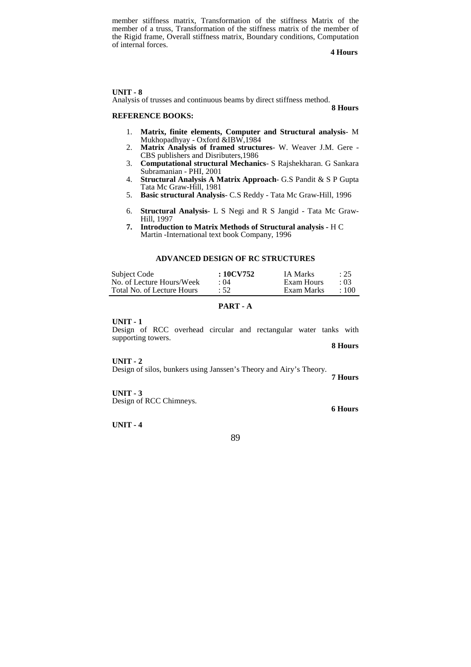member stiffness matrix, Transformation of the stiffness Matrix of the member of a truss, Transformation of the stiffness matrix of the member of the Rigid frame, Overall stiffness matrix, Boundary conditions, Computation of internal forces.

**4 Hours** 

# **UNIT - 8**

Analysis of trusses and continuous beams by direct stiffness method.

# **REFERENCE BOOKS:**

**8 Hours**

- 1. **Matrix, finite elements, Computer and Structural analysis** M Mukhopadhyay - Oxford &IBW,1984
- 2. **Matrix Analysis of framed structures** W. Weaver J.M. Gere CBS publishers and Disributers,1986
- 3. **Computational structural Mechanics** S Rajshekharan. G Sankara Subramanian - PHI, 2001
- 4. **Structural Analysis A Matrix Approach** G.S Pandit & S P Gupta Tata Mc Graw-Hill, 1981
- 5. **Basic structural Analysis** C.S Reddy Tata Mc Graw-Hill, 1996
- 6. **Structural Analysis** L S Negi and R S Jangid Tata Mc Graw-Hill, 1997
- **7. Introduction to Matrix Methods of Structural analysis -** H C Martin -International text book Company, 1996

# **ADVANCED DESIGN OF RC STRUCTURES**

| Subject Code               | : 10CV752 | IA Marks   | : 25       |
|----------------------------|-----------|------------|------------|
| No. of Lecture Hours/Week  | : 04      | Exam Hours | $\cdot$ 03 |
| Total No. of Lecture Hours | :52       | Exam Marks | $+100$     |

# **PART - A**

#### **UNIT - 1**

Design of RCC overhead circular and rectangular water tanks with supporting towers.

 **8 Hours** 

#### **UNIT - 2**

Design of silos, bunkers using Janssen's Theory and Airy's Theory.

 **7 Hours** 

**6 Hours** 

**UNIT - 3**  Design of RCC Chimneys.

**UNIT - 4**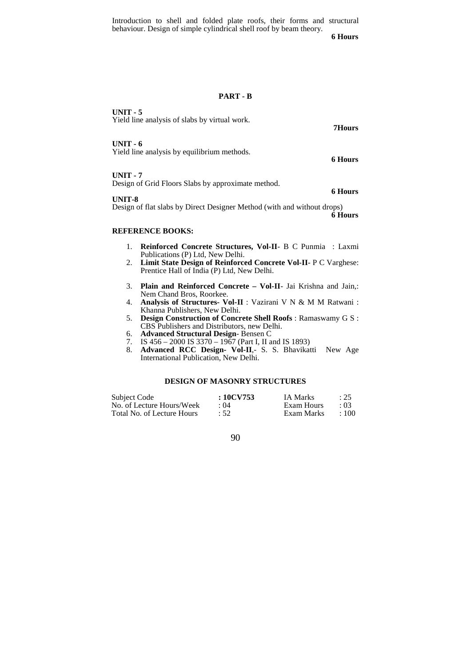Introduction to shell and folded plate roofs, their forms and structural behaviour. Design of simple cylindrical shell roof by beam theory.

 **6 Hours** 

#### **PART - B**

**UNIT - 5**  Yield line analysis of slabs by virtual work. **7Hours UNIT - 6**  Yield line analysis by equilibrium methods. **6 Hours UNIT - 7**  Design of Grid Floors Slabs by approximate method. **6 Hours UNIT-8**  Design of flat slabs by Direct Designer Method (with and without drops) **6 Hours REFERENCE BOOKS:** 

- 1. **Reinforced Concrete Structures, Vol-II** B C Punmia : Laxmi Publications (P) Ltd, New Delhi.
- 2. **Limit State Design of Reinforced Concrete Vol-II** P C Varghese: Prentice Hall of India (P) Ltd, New Delhi.
- 3. **Plain and Reinforced Concrete Vol-II** Jai Krishna and Jain,: Nem Chand Bros, Roorkee.
- 4. **Analysis of Structures- Vol-II** : Vazirani V N & M M Ratwani : Khanna Publishers, New Delhi.
- 5. **Design Construction of Concrete Shell Roofs** : Ramaswamy G S : CBS Publishers and Distributors, new Delhi.
- 6. **Advanced Structural Design** Bensen C
- 7. IS 456 2000 IS 3370 1967 (Part I, II and IS 1893)
- 8. **Advanced RCC Design- Vol-II**,- S. S. Bhavikatti New Age International Publication, New Delhi.

#### **DESIGN OF MASONRY STRUCTURES**

| Subject Code               | :10CV753 | <b>IA Marks</b> | : 25      |
|----------------------------|----------|-----------------|-----------|
| No. of Lecture Hours/Week  | : 04     | Exam Hours      | . Q3      |
| Total No. of Lecture Hours | :52      | Exam Marks      | $\pm 100$ |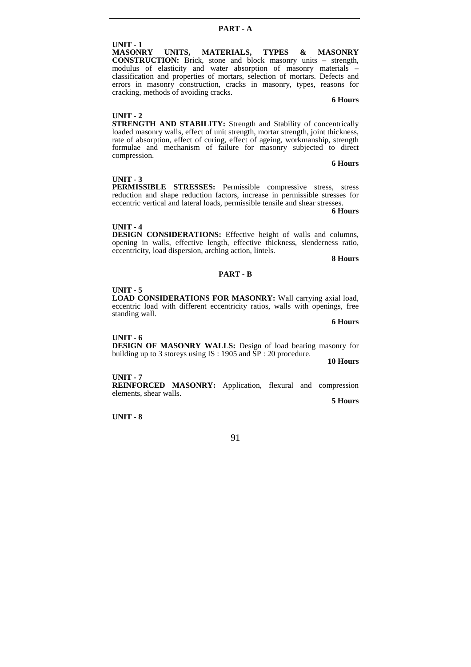# **UNIT - 1**

UNITS, MATERIALS, TYPES & MASONRY **CONSTRUCTION:** Brick, stone and block masonry units – strength, modulus of elasticity and water absorption of masonry materials – classification and properties of mortars, selection of mortars. Defects and errors in masonry construction, cracks in masonry, types, reasons for cracking, methods of avoiding cracks.

# **6 Hours**

# **UNIT - 2**

**STRENGTH AND STABILITY:** Strength and Stability of concentrically loaded masonry walls, effect of unit strength, mortar strength, joint thickness, rate of absorption, effect of curing, effect of ageing, workmanship, strength formulae and mechanism of failure for masonry subjected to direct compression.

# **6 Hours**

# **UNIT - 3**

**PERMISSIBLE STRESSES:** Permissible compressive stress, stress reduction and shape reduction factors, increase in permissible stresses for eccentric vertical and lateral loads, permissible tensile and shear stresses.

**6 Hours**

#### **UNIT - 4**

**DESIGN CONSIDERATIONS:** Effective height of walls and columns, opening in walls, effective length, effective thickness, slenderness ratio, eccentricity, load dispersion, arching action, lintels.

**8 Hours**

### **PART - B**

# **UNIT - 5**

**LOAD CONSIDERATIONS FOR MASONRY:** Wall carrying axial load, eccentric load with different eccentricity ratios, walls with openings, free standing wall.

**6 Hours**

#### **UNIT - 6**

**DESIGN OF MASONRY WALLS:** Design of load bearing masonry for building up to 3 storeys using IS : 1905 and  $\overline{SP}$  : 20 procedure.

**10 Hours**

# **UNIT - 7**

**REINFORCED MASONRY:** Application, flexural and compression elements, shear walls.

**5 Hours**

**UNIT - 8**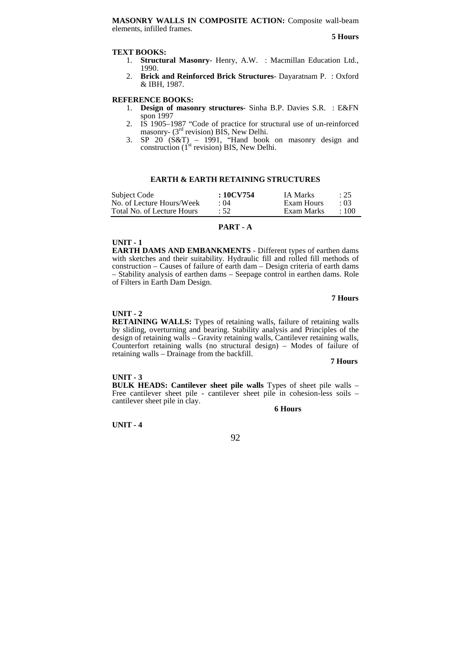#### **TEXT BOOKS:**

- 1. **Structural Masonry** Henry, A.W. : Macmillan Education Ltd., 1990.
- 2. **Brick and Reinforced Brick Structures** Dayaratnam P. : Oxford & IBH, 1987.

#### **REFERENCE BOOKS:**

- 1. **Design of masonry structures** Sinha B.P. Davies S.R. : E&FN spon 1997
- 2. IS 1905–1987 "Code of practice for structural use of un-reinforced masonry-  $(3<sup>rd</sup>$  revision) BIS, New Delhi.
- 3. SP  $20'(S\&T) 1991$ , "Hand book on masonry design and construction  $(i^{st}$  revision) BIS, New Delhi.

# **EARTH & EARTH RETAINING STRUCTURES**

| Subject Code               | : 10CV754 | IA Marks   | : 25        |
|----------------------------|-----------|------------|-------------|
| No. of Lecture Hours/Week  | : 04      | Exam Hours | $\cdot$ 03  |
| Total No. of Lecture Hours | : 52      | Exam Marks | $\cdot$ 100 |

#### **PART - A**

#### **UNIT - 1**

**EARTH DAMS AND EMBANKMENTS** - Different types of earthen dams with sketches and their suitability. Hydraulic fill and rolled fill methods of construction – Causes of failure of earth dam – Design criteria of earth dams – Stability analysis of earthen dams – Seepage control in earthen dams. Role of Filters in Earth Dam Design.

### **7 Hours**

#### **UNIT - 2**

**RETAINING WALLS:** Types of retaining walls, failure of retaining walls by sliding, overturning and bearing. Stability analysis and Principles of the design of retaining walls – Gravity retaining walls, Cantilever retaining walls, Counterfort retaining walls (no structural design) – Modes of failure of retaining walls – Drainage from the backfill.

**7 Hours**

#### **UNIT - 3**

**BULK HEADS: Cantilever sheet pile walls** Types of sheet pile walls – Free cantilever sheet pile - cantilever sheet pile in cohesion-less soils – cantilever sheet pile in clay.

#### **6 Hours**

**UNIT - 4**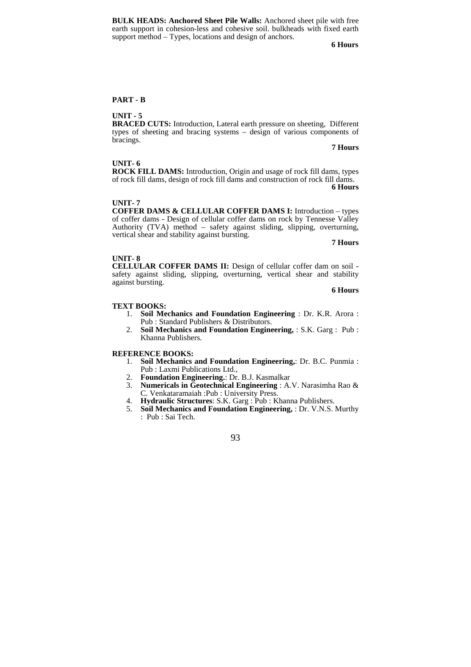**BULK HEADS: Anchored Sheet Pile Walls:** Anchored sheet pile with free earth support in cohesion-less and cohesive soil. bulkheads with fixed earth support method – Types, locations and design of anchors.

**6 Hours**

# **PART - B**

# **UNIT - 5**

**BRACED CUTS:** Introduction, Lateral earth pressure on sheeting, Different types of sheeting and bracing systems – design of various components of bracings.

#### **7 Hours**

#### **UNIT- 6**

**ROCK FILL DAMS:** Introduction, Origin and usage of rock fill dams, types of rock fill dams, design of rock fill dams and construction of rock fill dams.

**6 Hours**

#### **UNIT- 7**

**COFFER DAMS & CELLULAR COFFER DAMS I:** Introduction – types of coffer dams - Design of cellular coffer dams on rock by Tennesse Valley Authority (TVA) method – safety against sliding, slipping, overturning, vertical shear and stability against bursting.

**7 Hours**

#### **UNIT- 8**

**CELLULAR COFFER DAMS II:** Design of cellular coffer dam on soil safety against sliding, slipping, overturning, vertical shear and stability against bursting. **6 Hours** 

#### **TEXT BOOKS:**

- 1. **Soil Mechanics and Foundation Engineering** : Dr. K.R. Arora : Pub : Standard Publishers & Distributors.
- 2. **Soil Mechanics and Foundation Engineering,** : S.K. Garg : Pub : Khanna Publishers.

#### **REFERENCE BOOKS:**

- 1. **Soil Mechanics and Foundation Engineering,**: Dr. B.C. Punmia : Pub : Laxmi Publications Ltd.,
- 
- 2. **Foundation Engineering.**: Dr. B.J. Kasmalkar 3. **Numericals in Geotechnical Engineering** : A.V. Narasimha Rao & C. Venkataramaiah :Pub : University Press.
- 4. **Hydraulic Structures**: S.K. Garg : Pub : Khanna Publishers.
- 5. **Soil Mechanics and Foundation Engineering,** : Dr. V.N.S. Murthy : Pub : Sai Tech.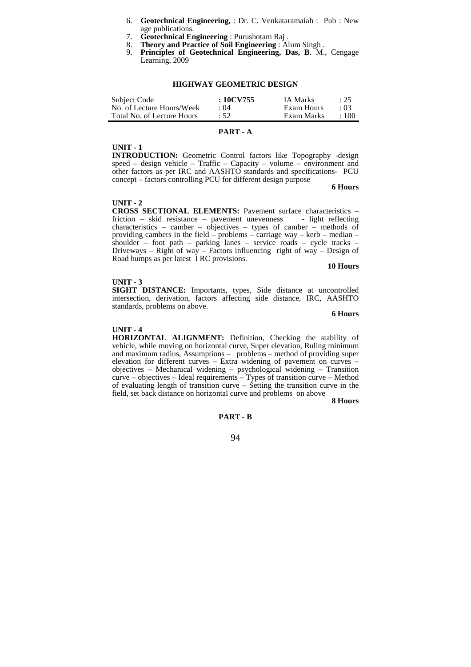- 6. **Geotechnical Engineering,** : Dr. C. Venkataramaiah : Pub : New age publications.
- 7. **Geotechnical Engineering** : Purushotam Raj .
- 8. **Theory and Practice of Soil Engineering** : Alum Singh .<br>9. **Principles of Contactminal Function**
- 9. **Principles of Geotechnical Engineering, Das, B**. M., Cengage Learning, 2009

#### **HIGHWAY GEOMETRIC DESIGN**

| Subject Code               | $:10$ CV755 | <b>IA Marks</b> | : 25       |
|----------------------------|-------------|-----------------|------------|
| No. of Lecture Hours/Week  | $\cdot$ ()4 | Exam Hours      | $\cdot 03$ |
| Total No. of Lecture Hours | :52         | Exam Marks      | :100       |

### **PART - A**

#### **UNIT - 1**

J.

**INTRODUCTION:** Geometric Control factors like Topography -design speed – design vehicle – Traffic – Capacity – volume – environment and other factors as per IRC and AASHTO standards and specifications- PCU concept – factors controlling PCU for different design purpose

**6 Hours**

#### **UNIT - 2**

**CROSS SECTIONAL ELEMENTS:** Pavement surface characteristics – friction – skid resistance – pavement unevenness – light reflecting characteristics – camber – objectives – types of camber – methods of providing cambers in the field – problems – carriage way – kerb – median – shoulder – foot path – parking lanes – service roads – cycle tracks – Driveways – Right of way – Factors influencing right of way – Design of Road humps as per latest I RC provisions.

**10 Hours**

#### **UNIT - 3**

**SIGHT DISTANCE:** Importants, types, Side distance at uncontrolled intersection, derivation, factors affecting side distance, IRC, AASHTO standards, problems on above.

**6 Hours**

#### **UNIT - 4**

**HORIZONTAL ALIGNMENT:** Definition, Checking the stability of vehicle, while moving on horizontal curve, Super elevation, Ruling minimum and maximum radius, Assumptions – problems – method of providing super elevation for different curves – Extra widening of pavement on curves – objectives – Mechanical widening – psychological widening – Transition curve – objectives – Ideal requirements – Types of transition curve – Method of evaluating length of transition curve – Setting the transition curve in the field, set back distance on horizontal curve and problems on above

**8 Hours**

# **PART - B**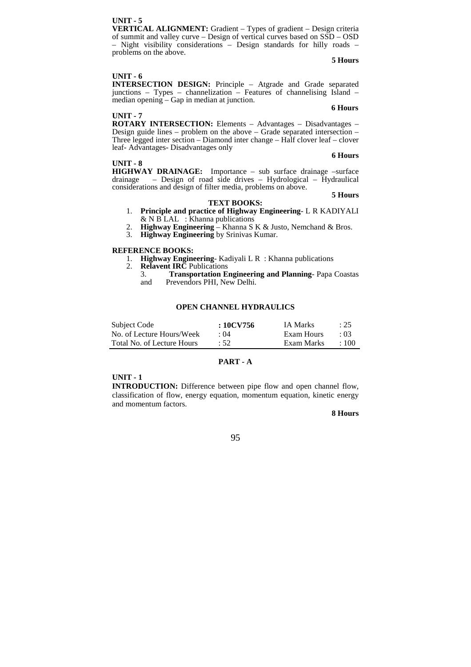# **UNIT - 5**

**VERTICAL ALIGNMENT:** Gradient – Types of gradient – Design criteria of summit and valley curve – Design of vertical curves based on SSD – OSD – Night visibility considerations – Design standards for hilly roads – problems on the above. **5 Hours**

#### **UNIT - 6**

**INTERSECTION DESIGN:** Principle – Atgrade and Grade separated junctions – Types – channelization – Features of channelising Island – median opening – Gap in median at junction.

#### **UNIT - 7**

#### **6 Hours**

**ROTARY INTERSECTION:** Elements – Advantages – Disadvantages – Design guide lines – problem on the above – Grade separated intersection – Three legged inter section – Diamond inter change – Half clover leaf – clover leaf- Advantages- Disadvantages only

#### **UNIT - 8**

**6 Hours**

**5 Hours**

**HIGHWAY DRAINAGE:** Importance – sub surface drainage –surface drainage – Design of road side drives – Hydrological – Hydraulical considerations and design of filter media, problems on above.

# **TEXT BOOKS:**

- 1. **Principle and practice of Highway Engineering** L R KADIYALI  $&$  N B LAL : Khanna publications
- 2. **Highway Engineering** Khanna S K & Justo, Nemchand & Bros.
- 3. **Highway Engineering** by Srinivas Kumar.

#### **REFERENCE BOOKS:**

- 1. **Highway Engineering** Kadiyali L R : Khanna publications
- **Relavent IRC** Publications<br> **CO Relation R** 
	- 3. **Transportation Engineering and Planning** Papa Coastas Prevendors PHI, New Delhi.

# **OPEN CHANNEL HYDRAULICS**

| Subject Code               | $:10$ CV756 | <b>IA Marks</b> | : 25        |
|----------------------------|-------------|-----------------|-------------|
| No. of Lecture Hours/Week  | $\cdot$ ()4 | Exam Hours      | $\cdot$ 03  |
| Total No. of Lecture Hours | $\cdot$ 52  | Exam Marks      | $\cdot$ 100 |

# **PART - A**

# **UNIT - 1**

**INTRODUCTION:** Difference between pipe flow and open channel flow, classification of flow, energy equation, momentum equation, kinetic energy and momentum factors.

# **8 Hours**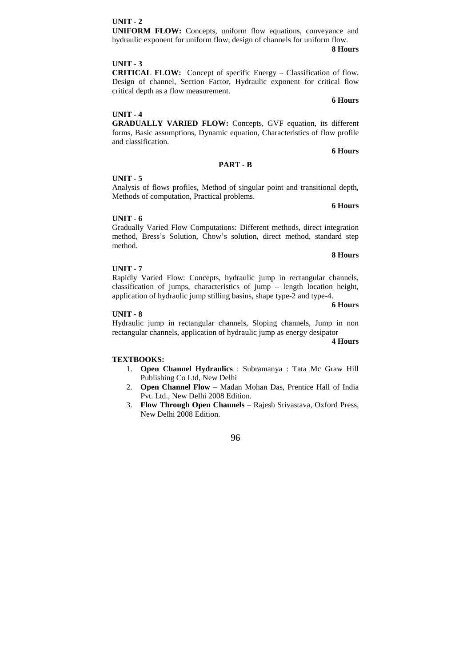**8 Hours**

# **UNIFORM FLOW:** Concepts, uniform flow equations, conveyance and hydraulic exponent for uniform flow, design of channels for uniform flow.

#### **UNIT - 3**

**UNIT - 2** 

**CRITICAL FLOW:** Concept of specific Energy – Classification of flow. Design of channel, Section Factor, Hydraulic exponent for critical flow critical depth as a flow measurement.

#### **UNIT - 4**

**GRADUALLY VARIED FLOW:** Concepts, GVF equation, its different forms, Basic assumptions, Dynamic equation, Characteristics of flow profile and classification.

# **6 Hours**

#### **PART - B**

### **UNIT - 5**

Analysis of flows profiles, Method of singular point and transitional depth, Methods of computation, Practical problems.

#### **6 Hours**

#### **UNIT - 6**

Gradually Varied Flow Computations: Different methods, direct integration method, Bress's Solution, Chow's solution, direct method, standard step method.

#### **8 Hours**

# **UNIT - 7**

Rapidly Varied Flow: Concepts, hydraulic jump in rectangular channels, classification of jumps, characteristics of jump – length location height, application of hydraulic jump stilling basins, shape type-2 and type-4.

#### **UNIT - 8**

Hydraulic jump in rectangular channels, Sloping channels, Jump in non rectangular channels, application of hydraulic jump as energy desipator

#### **4 Hours**

**6 Hours**

# **TEXTBOOKS:**

- 1. **Open Channel Hydraulics** : Subramanya : Tata Mc Graw Hill Publishing Co Ltd, New Delhi
- 2. **Open Channel Flow**  Madan Mohan Das, Prentice Hall of India Pvt. Ltd., New Delhi 2008 Edition.
- 3. **Flow Through Open Channels** Rajesh Srivastava, Oxford Press, New Delhi 2008 Edition.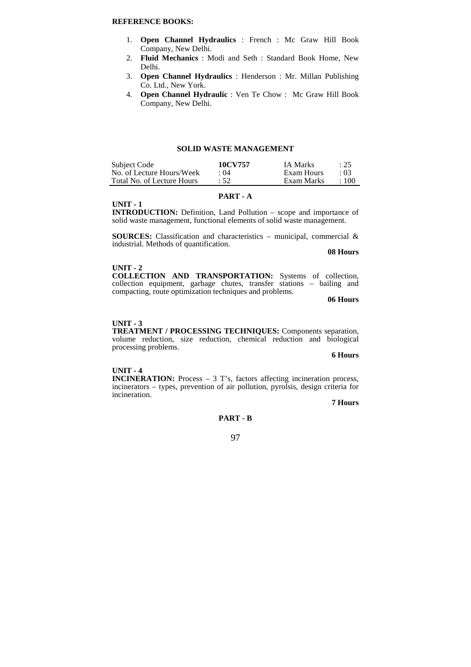# **REFERENCE BOOKS:**

- 1. **Open Channel Hydraulics** : French : Mc Graw Hill Book Company, New Delhi.
- 2. **Fluid Mechanics** : Modi and Seth : Standard Book Home, New Delhi.
- 3. **Open Channel Hydraulics** : Henderson : Mr. Millan Publishing Co. Ltd., New York.
- 4. **Open Channel Hydraulic** : Ven Te Chow : Mc Graw Hill Book Company, New Delhi.

#### **SOLID WASTE MANAGEMENT**

| Subject Code               | 10CV757     | IA Marks   | : 25        |
|----------------------------|-------------|------------|-------------|
| No. of Lecture Hours/Week  | $\cdot$ ()4 | Exam Hours | $\cdot 03$  |
| Total No. of Lecture Hours | : 52        | Exam Marks | $\cdot$ 100 |

# **PART - A**

**UNIT - 1** 

**INTRODUCTION:** Definition, Land Pollution – scope and importance of solid waste management, functional elements of solid waste management.

**SOURCES:** Classification and characteristics – municipal, commercial & industrial. Methods of quantification.

**08 Hours**

#### **UNIT - 2**

**COLLECTION AND TRANSPORTATION:** Systems of collection, collection equipment, garbage chutes, transfer stations – bailing and compacting, route optimization techniques and problems.

**06 Hours**

#### **UNIT - 3**

**TREATMENT / PROCESSING TECHNIQUES:** Components separation, volume reduction, size reduction, chemical reduction and biological processing problems.

**6 Hours**

#### **UNIT - 4**

**INCINERATION:** Process – 3 T's, factors affecting incineration process, incinerators – types, prevention of air pollution, pyrolsis, design criteria for incineration.

**7 Hours**

# **PART - B**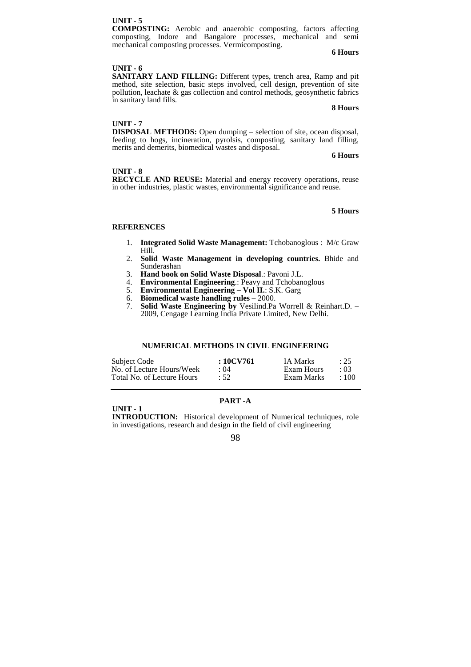# **6 Hours**

#### **UNIT - 5**

**COMPOSTING:** Aerobic and anaerobic composting, factors affecting composting, Indore and Bangalore processes, mechanical and semi mechanical composting processes. Vermicomposting.

#### **UNIT - 6**

**SANITARY LAND FILLING:** Different types, trench area, Ramp and pit method, site selection, basic steps involved, cell design, prevention of site pollution, leachate & gas collection and control methods, geosynthetic fabrics in sanitary land fills.

# **8 Hours**

#### **UNIT - 7**

**DISPOSAL METHODS:** Open dumping – selection of site, ocean disposal, feeding to hogs, incineration, pyrolsis, composting, sanitary land filling, merits and demerits, biomedical wastes and disposal.

#### **6 Hours**

### **UNIT - 8**

**RECYCLE AND REUSE:** Material and energy recovery operations, reuse in other industries, plastic wastes, environmental significance and reuse.

#### **5 Hours**

#### **REFERENCES**

- 1. **Integrated Solid Waste Management:** Tchobanoglous : M/c Graw Hill.
- 2. **Solid Waste Management in developing countries.** Bhide and Sunderashan
- 3. **Hand book on Solid Waste Disposal**.: Pavoni J.L.
- 4. **Environmental Engineering**.: Peavy and Tchobanoglous
- 5. **Environmental Engineering Vol II.**: S.K. Garg
- 6. **Biomedical waste handling rules** 2000.
- 7. **Solid Waste Engineering by** Vesilind.Pa Worrell & Reinhart.D. 2009, Cengage Learning India Private Limited, New Delhi.

# **NUMERICAL METHODS IN CIVIL ENGINEERING**

| Subject Code                                            | : 10CV761          | <b>IA Marks</b>          | : 25                    |
|---------------------------------------------------------|--------------------|--------------------------|-------------------------|
| No. of Lecture Hours/Week<br>Total No. of Lecture Hours | $\cdot$ ()4<br>.52 | Exam Hours<br>Exam Marks | $\cdot 03$<br>$\pm 100$ |
|                                                         |                    |                          |                         |

# **PART -A**

**UNIT - 1** 

**INTRODUCTION:** Historical development of Numerical techniques, role in investigations, research and design in the field of civil engineering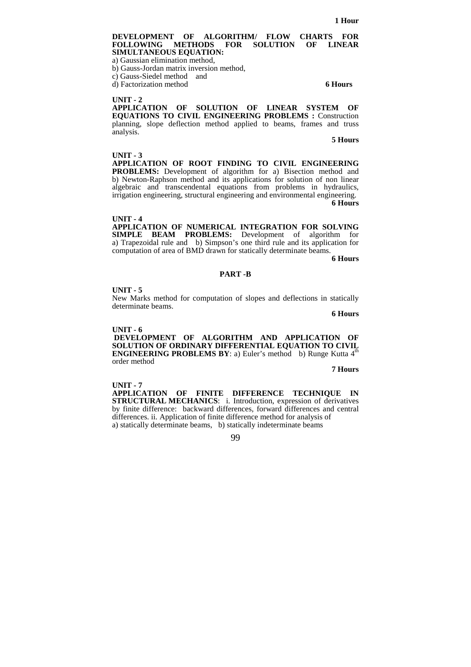#### **DEVELOPMENT OF ALGORITHM/ FLOW CHARTS FOR**  FOLLOWING METHODS **SIMULTANEOUS EQUATION:**

a) Gaussian elimination method,

b) Gauss-Jordan matrix inversion method,

c) Gauss-Siedel method and

d) Factorization method **6 Hours**

# **UNIT - 2**

**APPLICATION OF SOLUTION OF LINEAR SYSTEM OF EQUATIONS TO CIVIL ENGINEERING PROBLEMS :** Construction planning, slope deflection method applied to beams, frames and truss analysis.

**5 Hours**

#### **UNIT - 3**

**APPLICATION OF ROOT FINDING TO CIVIL ENGINEERING PROBLEMS:** Development of algorithm for a) Bisection method and b) Newton-Raphson method and its applications for solution of non linear algebraic and transcendental equations from problems in hydraulics, irrigation engineering, structural engineering and environmental engineering. **6 Hours**

**UNIT - 4 APPLICATION OF NUMERICAL INTEGRATION FOR SOLVING SIMPLE BEAM PROBLEMS:** Development of algorithm for a) Trapezoidal rule and b) Simpson's one third rule and its application for computation of area of BMD drawn for statically determinate beams.

**6 Hours**

#### **PART -B**

#### **UNIT - 5**

New Marks method for computation of slopes and deflections in statically determinate beams.

**6 Hours**

#### **UNIT - 6**

 **DEVELOPMENT OF ALGORITHM AND APPLICATION OF SOLUTION OF ORDINARY DIFFERENTIAL EQUATION TO CIVIL ENGINEERING PROBLEMS BY: a) Euler's method b) Runge Kutta 4<sup>th</sup>** order method

**7 Hours** 

**UNIT - 7 APPLICATION OF FINITE DIFFERENCE TECHNIQUE IN STRUCTURAL MECHANICS**: i. Introduction, expression of derivatives by finite difference: backward differences, forward differences and central differences. ii. Application of finite difference method for analysis of a) statically determinate beams, b) statically indeterminate beams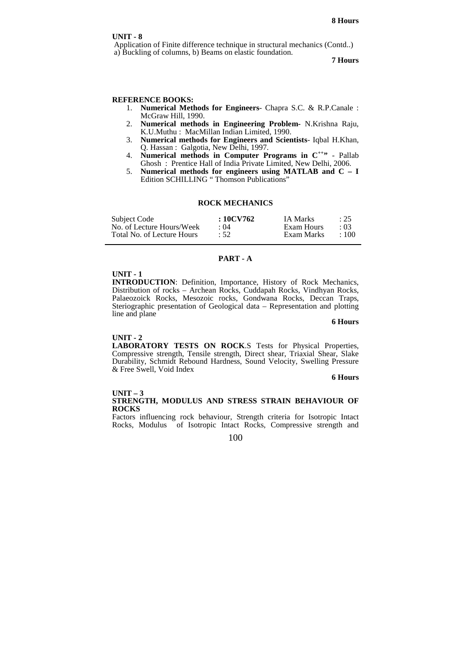Application of Finite difference technique in structural mechanics (Contd..) a) Buckling of columns, b) Beams on elastic foundation.

#### **7 Hours**

# **REFERENCE BOOKS:**

- 1. **Numerical Methods for Engineers** Chapra S.C. & R.P.Canale : McGraw Hill, 1990.
- 2. **Numerical methods in Engineering Problem-** N.Krishna Raju, K.U.Muthu : MacMillan Indian Limited, 1990.
- 3. **Numerical methods for Engineers and Scientists** Iqbal H.Khan, Q. Hassan : Galgotia, New Delhi, 1997.
- 4. **Numerical methods in Computer Programs in C++"**  Pallab Ghosh : Prentice Hall of India Private Limited, New Delhi, 2006.
- 5. **Numerical methods for engineers using MATLAB and C I** Edition SCHILLING " Thomson Publications"

# **ROCK MECHANICS**

| Subject Code               | : 10CV762 | IA Marks   | : 25        |
|----------------------------|-----------|------------|-------------|
| No. of Lecture Hours/Week  | : 04      | Exam Hours | $\cdot 03$  |
| Total No. of Lecture Hours | :52       | Exam Marks | $\cdot$ 100 |

# **PART - A**

# **UNIT - 1**

**INTRODUCTION**: Definition, Importance, History of Rock Mechanics, Distribution of rocks – Archean Rocks, Cuddapah Rocks, Vindhyan Rocks, Palaeozoick Rocks, Mesozoic rocks, Gondwana Rocks, Deccan Traps, Steriographic presentation of Geological data – Representation and plotting line and plane

#### **6 Hours**

#### **UNIT - 2**

**LABORATORY TESTS ON ROCK**.S Tests for Physical Properties, Compressive strength, Tensile strength, Direct shear, Triaxial Shear, Slake Durability, Schmidt Rebound Hardness, Sound Velocity, Swelling Pressure & Free Swell, Void Index

#### **6 Hours**

#### **UNIT – 3 STRENGTH, MODULUS AND STRESS STRAIN BEHAVIOUR OF ROCKS**

Factors influencing rock behaviour, Strength criteria for Isotropic Intact Rocks, Modulus of Isotropic Intact Rocks, Compressive strength and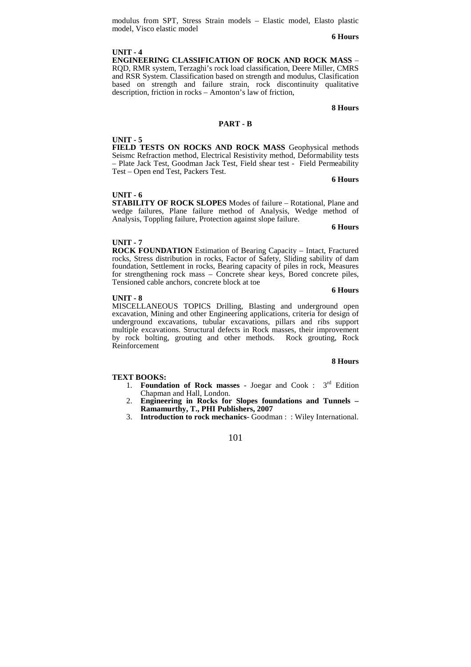modulus from SPT, Stress Strain models – Elastic model, Elasto plastic model, Visco elastic model

**6 Hours**

# **UNIT - 4**

**ENGINEERING CLASSIFICATION OF ROCK AND ROCK MASS** – RQD, RMR system, Terzaghi's rock load classification, Deere Miller, CMRS and RSR System. Classification based on strength and modulus, Clasification based on strength and failure strain, rock discontinuity qualitative description, friction in rocks – Amonton's law of friction,

# **8 Hours**

#### **PART - B**

#### **UNIT - 5**

**FIELD TESTS ON ROCKS AND ROCK MASS** Geophysical methods Seismc Refraction method, Electrical Resistivity method, Deformability tests – Plate Jack Test, Goodman Jack Test, Field shear test - Field Permeability Test – Open end Test, Packers Test.

#### **6 Hours**

#### **UNIT - 6**

**STABILITY OF ROCK SLOPES** Modes of failure – Rotational, Plane and wedge failures, Plane failure method of Analysis, Wedge method of Analysis, Toppling failure, Protection against slope failure.

**6 Hours**

#### **UNIT - 7**

**ROCK FOUNDATION** Estimation of Bearing Capacity – Intact, Fractured rocks, Stress distribution in rocks, Factor of Safety, Sliding sability of dam foundation, Settlement in rocks, Bearing capacity of piles in rock, Measures for strengthening rock mass – Concrete shear keys, Bored concrete piles, Tensioned cable anchors, concrete block at toe

#### **UNIT - 8**

#### **6 Hours**

MISCELLANEOUS TOPICS Drilling, Blasting and underground open excavation, Mining and other Engineering applications, criteria for design of underground excavations, tubular excavations, pillars and ribs support multiple excavations. Structural defects in Rock masses, their improvement by rock bolting, grouting and other methods.Rock grouting, Rock Reinforcement

#### **8 Hours**

#### **TEXT BOOKS:**

- 1. **Foundation of Rock masses**  Joegar and Cook : 3rd Edition Chapman and Hall, London.
- 2. **Engineering in Rocks for Slopes foundations and Tunnels Ramamurthy, T., PHI Publishers, 2007**
- 3. **Introduction to rock mechanics** Goodman : : Wiley International.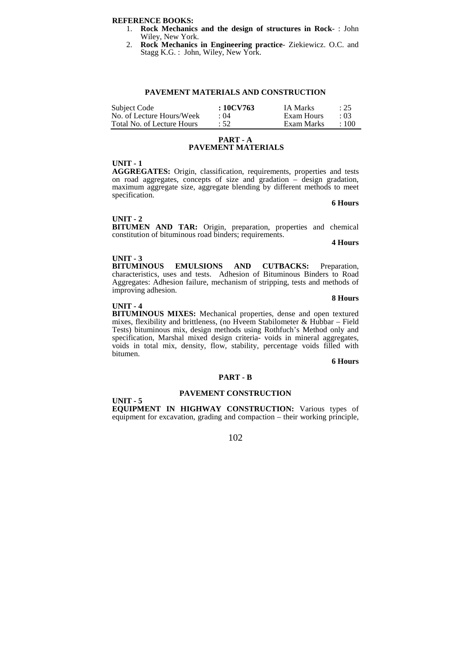#### **REFERENCE BOOKS:**

- 1. **Rock Mechanics and the design of structures in Rock** : John Wiley, New York.
- 2. **Rock Mechanics in Engineering practice** Ziekiewicz. O.C. and Stagg K.G. : John, Wiley, New York.

# **PAVEMENT MATERIALS AND CONSTRUCTION**

| Subject Code               | $:10$ CV763 | IA Marks   | : 25        |
|----------------------------|-------------|------------|-------------|
| No. of Lecture Hours/Week  | $\cdot$ ()4 | Exam Hours | $\cdot$ 03  |
| Total No. of Lecture Hours | $\cdot$ 52. | Exam Marks | $\cdot$ 100 |

#### **PART - A PAVEMENT MATERIALS**

#### **UNIT - 1**

**AGGREGATES:** Origin, classification, requirements, properties and tests on road aggregates, concepts of size and gradation – design gradation, maximum aggregate size, aggregate blending by different methods to meet specification.

**6 Hours**

#### **UNIT - 2**

**BITUMEN AND TAR:** Origin, preparation, properties and chemical constitution of bituminous road binders; requirements.

**4 Hours**

**UNIT - 3 EMULSIONS AND CUTBACKS:** Preparation, characteristics, uses and tests. Adhesion of Bituminous Binders to Road Aggregates: Adhesion failure, mechanism of stripping, tests and methods of improving adhesion. **8 Hours**

#### **UNIT - 4**

**UNIT - 5** 

**BITUMINOUS MIXES:** Mechanical properties, dense and open textured mixes, flexibility and brittleness, (no Hveem Stabilometer & Hubbar – Field Tests) bituminous mix, design methods using Rothfuch's Method only and specification, Marshal mixed design criteria- voids in mineral aggregates, voids in total mix, density, flow, stability, percentage voids filled with bitumen.

**6 Hours**

#### **PART - B**

#### **PAVEMENT CONSTRUCTION**

**EQUIPMENT IN HIGHWAY CONSTRUCTION:** Various types of equipment for excavation, grading and compaction – their working principle,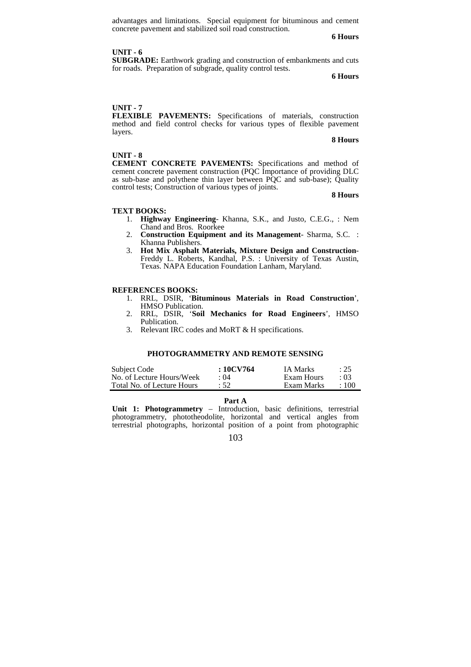advantages and limitations. Special equipment for bituminous and cement concrete pavement and stabilized soil road construction.

**6 Hours**

#### **UNIT - 6**

**SUBGRADE:** Earthwork grading and construction of embankments and cuts for roads. Preparation of subgrade, quality control tests.

**6 Hours**

# **UNIT - 7**

**FLEXIBLE PAVEMENTS:** Specifications of materials, construction method and field control checks for various types of flexible pavement layers.

#### **8 Hours**

#### **UNIT - 8**

**CEMENT CONCRETE PAVEMENTS:** Specifications and method of cement concrete pavement construction (PQC Importance of providing DLC as sub-base and polythene thin layer between PQC and sub-base); Quality control tests; Construction of various types of joints.

**8 Hours**

#### **TEXT BOOKS:**

- 1. **Highway Engineering** Khanna, S.K., and Justo, C.E.G., : Nem Chand and Bros. Roorkee
- 2. **Construction Equipment and its Management** Sharma, S.C. : Khanna Publishers.
- 3. **Hot Mix Asphalt Materials, Mixture Design and Construction**-Freddy L. Roberts, Kandhal, P.S. : University of Texas Austin, Texas. NAPA Education Foundation Lanham, Maryland.

### **REFERENCES BOOKS:**

- 1. RRL, DSIR, '**Bituminous Materials in Road Construction**', HMSO Publication.
- 2. RRL, DSIR, '**Soil Mechanics for Road Engineers**', HMSO Publication.
- 3. Relevant IRC codes and MoRT & H specifications.

## **PHOTOGRAMMETRY AND REMOTE SENSING**

| Subject Code               | : 10CV764 | IA Marks   | : 25        |
|----------------------------|-----------|------------|-------------|
| No. of Lecture Hours/Week  | : 04      | Exam Hours | $\cdot$ 03  |
| Total No. of Lecture Hours | :52       | Exam Marks | $\cdot$ 100 |

**Part A** 

**Unit 1: Photogrammetry** – Introduction, basic definitions, terrestrial photogrammetry, phototheodolite, horizontal and vertical angles from terrestrial photographs, horizontal position of a point from photographic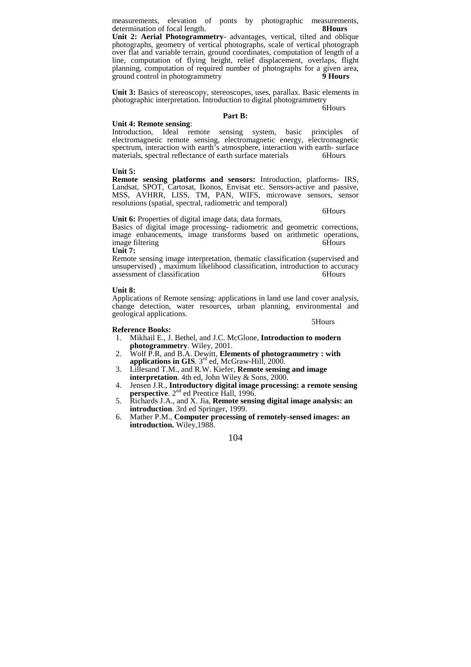measurements, elevation of ponts by photographic measurements, determination of focal length. 8Hours determination of focal length.

**Unit 2: Aerial Photogrammetry**- advantages, vertical, tilted and oblique photographs, geometry of vertical photographs, scale of vertical photograph over flat and variable terrain, ground coordinates, computation of length of a line, computation of flying height, relief displacement, overlaps, flight planning, computation of required number of photographs for a given area, ground control in photogrammetry **9** Hours ground control in photogrammetry

**Unit 3:** Basics of stereoscopy, stereoscopes, uses, parallax. Basic elements in photographic interpretation. Introduction to digital photogrammetry

6Hours

# **Part B:**

#### **Unit 4: Remote sensing**:

Introduction, Ideal remote sensing system, basic principles of electromagnetic remote sensing, electromagnetic energy, electromagnetic spectrum, interaction with earth's atmosphere, interaction with earth- surface materials, spectral reflectance of earth surface materials 6Hours

# **Unit 5:**

**Remote sensing platforms and sensors:** Introduction, platforms- IRS, Landsat, SPOT, Cartosat, Ikonos, Envisat etc. Sensors-active and passive, MSS, AVHRR, LISS, TM, PAN, WIFS, microwave sensors, sensor resolutions (spatial, spectral, radiometric and temporal)

6Hours

#### Unit 6: Properties of digital image data, data formats,

Basics of digital image processing- radiometric and geometric corrections, image enhancements, image transforms based on arithmetic operations, image filtering the contract of the contract of the contract of the contract of the contract of the contract of the contract of the contract of the contract of the contract of the contract of the contract of the contract o **Unit 7:** 

Remote sensing image interpretation, thematic classification (supervised and unsupervised) , maximum likelihood classification, introduction to accuracy assessment of classification and the contraction of the contraction of the contraction of the contraction of the contraction of the contraction of the contraction of the contraction of the contraction of the contraction of

#### **Unit 8:**

Applications of Remote sensing: applications in land use land cover analysis, change detection, water resources, urban planning, environmental and geological applications. 5Hours

#### **Reference Books:**

1. Mikhail E., J. Bethel, and J.C. McGlone, **Introduction to modern photogrammetry**. Wiley, 2001.

- 2. Wolf P.R, and B.A. Dewitt, **Elements of photogrammetry : with**  applications in GIS. 3<sup>rd</sup> ed, McGraw-Hill, 2000.
- 3. Lillesand T.M., and R.W. Kiefer, **Remote sensing and image interpretation**. 4th ed, John Wiley & Sons, 2000.
- 4. Jensen J.R., **Introductory digital image processing: a remote sensing**  perspective. 2<sup>nd</sup> ed Prentice Hall, 1996.
- 5. Richards J.A., and X. Jia, **Remote sensing digital image analysis: an introduction**. 3rd ed Springer, 1999.
- 6. Mather P.M., **Computer processing of remotely-sensed images: an introduction.** Wiley,1988.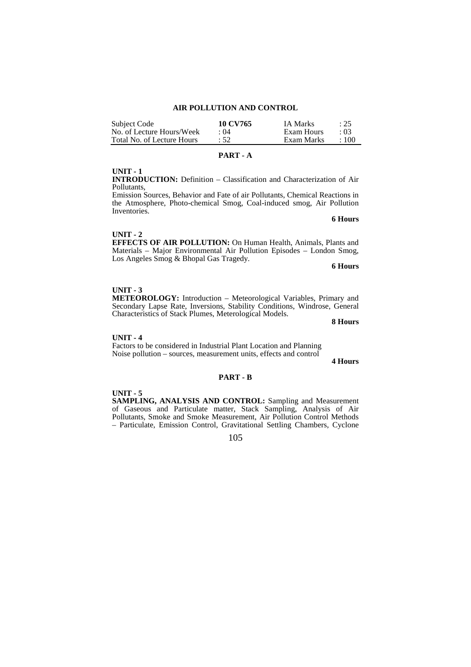| Subject Code               | 10 CV765    | <b>IA Marks</b> | : 25       |
|----------------------------|-------------|-----------------|------------|
| No. of Lecture Hours/Week  | $\cdot$ ()4 | Exam Hours      | $\cdot$ 03 |
| Total No. of Lecture Hours | :52         | Exam Marks      | $\pm 100$  |

# **PART - A**

# **UNIT - 1**

**INTRODUCTION:** Definition – Classification and Characterization of Air Pollutants,

Emission Sources, Behavior and Fate of air Pollutants, Chemical Reactions in the Atmosphere, Photo-chemical Smog, Coal-induced smog, Air Pollution Inventories.

 **6 Hours**

#### **UNIT - 2**

**EFFECTS OF AIR POLLUTION:** On Human Health, Animals, Plants and Materials – Major Environmental Air Pollution Episodes – London Smog, Los Angeles Smog & Bhopal Gas Tragedy.

**6 Hours** 

# **UNIT - 3**

**METEOROLOGY:** Introduction – Meteorological Variables, Primary and Secondary Lapse Rate, Inversions, Stability Conditions, Windrose, General Characteristics of Stack Plumes, Meterological Models.

**8 Hours**

#### **UNIT - 4**

Factors to be considered in Industrial Plant Location and Planning Noise pollution – sources, measurement units, effects and control

**4 Hours** 

#### **PART - B**

#### **UNIT - 5**

**SAMPLING, ANALYSIS AND CONTROL:** Sampling and Measurement of Gaseous and Particulate matter, Stack Sampling, Analysis of Air Pollutants, Smoke and Smoke Measurement, Air Pollution Control Methods – Particulate, Emission Control, Gravitational Settling Chambers, Cyclone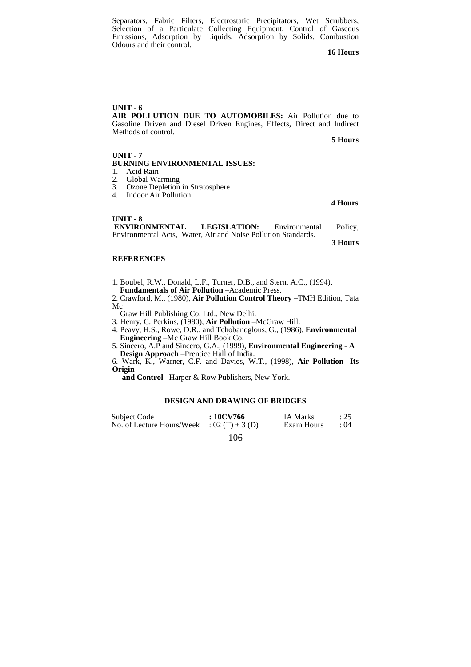Separators, Fabric Filters, Electrostatic Precipitators, Wet Scrubbers, Selection of a Particulate Collecting Equipment, Control of Gaseous Emissions, Adsorption by Liquids, Adsorption by Solids, Combustion Odours and their control.

**16 Hours**

**UNIT - 6 AIR POLLUTION DUE TO AUTOMOBILES:** Air Pollution due to Gasoline Driven and Diesel Driven Engines, Effects, Direct and Indirect Methods of control.

**5 Hours**

#### **UNIT - 7 BURNING ENVIRONMENTAL ISSUES:**

- 1. Acid Rain
- 2. Global Warming<br>3. Ozone Depletion
- 3. Ozone Depletion in Stratosphere<br>4. Indoor Air Pollution
- Indoor Air Pollution

**4 Hours**

| $UNIT - 8$                                                    |                     |               |         |
|---------------------------------------------------------------|---------------------|---------------|---------|
| <b>ENVIRONMENTAL</b>                                          | <b>LEGISLATION:</b> | Environmental | Policy, |
| Environmental Acts. Water, Air and Noise Pollution Standards. |                     |               |         |

**3 Hours**

# **REFERENCES**

1. Boubel, R.W., Donald, L.F., Turner, D.B., and Stern, A.C., (1994),

**Fundamentals of Air Pollution** –Academic Press.

2. Crawford, M., (1980), **Air Pollution Control Theory** –TMH Edition, Tata Mc

Graw Hill Publishing Co. Ltd., New Delhi.

3. Henry. C. Perkins, (1980), **Air Pollution** –McGraw Hill.

4. Peavy, H.S., Rowe, D.R., and Tchobanoglous, G., (1986), **Environmental Engineering** –Mc Graw Hill Book Co.

5. Sincero, A.P and Sincero, G.A., (1999), **Environmental Engineering - A Design Approach** –Prentice Hall of India.

6. Wark, K., Warner, C.F. and Davies, W.T., (1998), **Air Pollution- Its Origin** 

 **and Control** –Harper & Row Publishers, New York.

# **DESIGN AND DRAWING OF BRIDGES**

| Subject Code                               | $:10$ CV766 | IA Marks   | $\div 25$   |
|--------------------------------------------|-------------|------------|-------------|
| No. of Lecture Hours/Week : $02(T) + 3(D)$ |             | Exam Hours | $\cdot$ ()4 |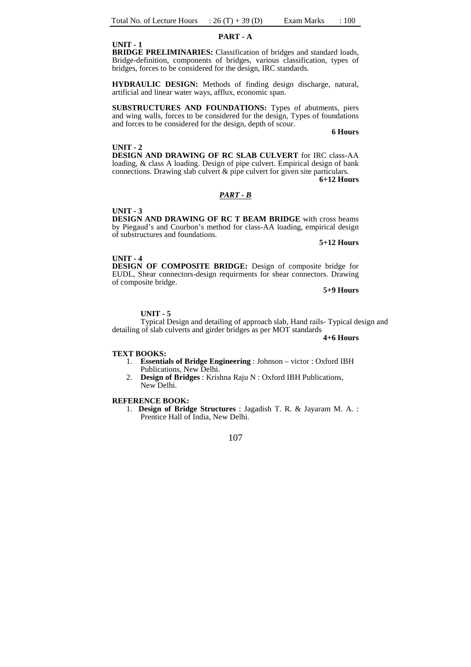#### **PART - A**

**UNIT - 1** 

**BRIDGE PRELIMINARIES:** Classification of bridges and standard loads, Bridge-definition, components of bridges, various classification, types of bridges, forces to be considered for the design, IRC standards.

**HYDRAULIC DESIGN:** Methods of finding design discharge, natural, artificial and linear water ways, afflux, economic span.

**SUBSTRUCTURES AND FOUNDATIONS:** Types of abutments, piers and wing walls, forces to be considered for the design, Types of foundations and forces to be considered for the design, depth of scour.

**6 Hours** 

### **UNIT - 2**

**DESIGN AND DRAWING OF RC SLAB CULVERT** for IRC class-AA loading, & class A loading. Design of pipe culvert. Empirical design of bank connections. Drawing slab culvert & pipe culvert for given site particulars.  **6+12 Hours**

# *PART - B*

#### **UNIT - 3**

**DESIGN AND DRAWING OF RC T BEAM BRIDGE** with cross beams by Piegaud's and Courbon's method for class-AA loading, empirical design of substructures and foundations.

**5+12 Hours**

#### **UNIT - 4**

**DESIGN OF COMPOSITE BRIDGE:** Design of composite bridge for EUDL, Shear connectors-design requirments for shear connectors. Drawing of composite bridge.

**5+9 Hours** 

#### **UNIT - 5**

Typical Design and detailing of approach slab, Hand rails- Typical design and detailing of slab culverts and girder bridges as per MOT standards

**4+6 Hours** 

#### **TEXT BOOKS:**

- 1. **Essentials of Bridge Engineering** : Johnson victor : Oxford IBH Publications, New Delhi.
- 2. **Design of Bridges** : Krishna Raju N : Oxford IBH Publications, New Delhi.

# **REFERENCE BOOK:**

1. **Design of Bridge Structures** : Jagadish T. R. & Jayaram M. A. : Prentice Hall of India, New Delhi.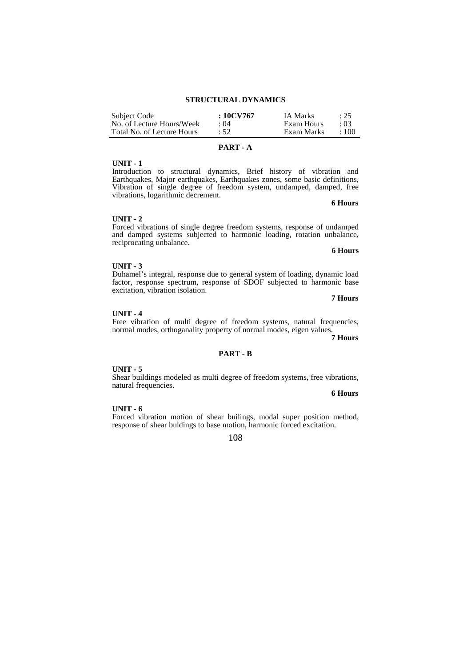| Subject Code               | $:10$ CV767 | <b>IA Marks</b> | : 25        |
|----------------------------|-------------|-----------------|-------------|
| No. of Lecture Hours/Week  | $\cdot$ ()4 | Exam Hours      | $\cdot$ 03  |
| Total No. of Lecture Hours | :52         | Exam Marks      | $\cdot$ 100 |

# **PART - A**

# **UNIT - 1**

Introduction to structural dynamics, Brief history of vibration and Earthquakes, Major earthquakes, Earthquakes zones, some basic definitions, Vibration of single degree of freedom system, undamped, damped, free vibrations, logarithmic decrement.

 **6 Hours** 

#### **UNIT - 2**

Forced vibrations of single degree freedom systems, response of undamped and damped systems subjected to harmonic loading, rotation unbalance, reciprocating unbalance. **6 Hours**

**UNIT - 3** 

Duhamel's integral, response due to general system of loading, dynamic load factor, response spectrum, response of SDOF subjected to harmonic base excitation, vibration isolation.

 **7 Hours** 

UNIT - 4<br>Free vibration of multi degree of freedom systems, natural frequencies, Free vibration of multi degree of freedom systems, natural frequencies, normal modes, orthoganality property of normal modes, eigen values.

 **7 Hours**

#### **PART - B**

#### **UNIT - 5**

Shear buildings modeled as multi degree of freedom systems, free vibrations, natural frequencies.

**6 Hours**

#### **UNIT - 6**

Forced vibration motion of shear builings, modal super position method, response of shear buldings to base motion, harmonic forced excitation.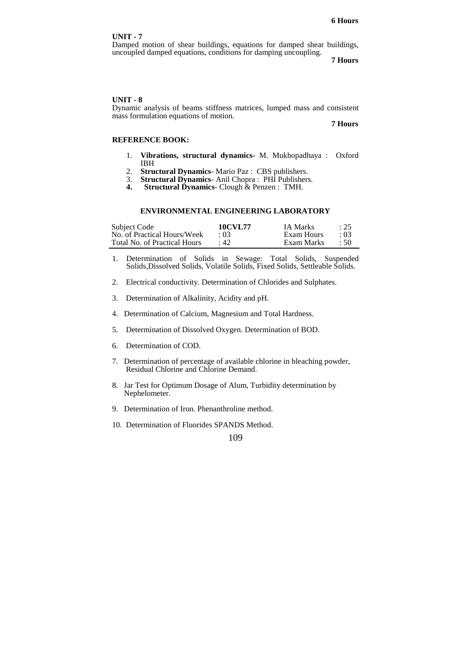Damped motion of shear buildings, equations for damped shear buildings, uncoupled damped equations, conditions for damping uncoupling.

 **7 Hours**

#### **UNIT - 8**

Dynamic analysis of beams stiffness matrices, lumped mass and consistent mass formulation equations of motion.  **7 Hours**

# **REFERENCE BOOK:**

- 1. **Vibrations, structural dynamics** M. Mukhopadhaya : Oxford IBH
- 2. **Structural Dynamics** Mario Paz : CBS publishers.
- 3. **Structural Dynamics** Anil Chopra : PHI Publishers.
- **Structural Dynamics-** Clough & Penzen : TMH.

#### **ENVIRONMENTAL ENGINEERING LABORATORY**

| Subject Code                 | <b>10CVL77</b> | <b>IA Marks</b> | : 25     |
|------------------------------|----------------|-----------------|----------|
| No. of Practical Hours/Week  | (13)           | Exam Hours      | .03      |
| Total No. of Practical Hours | $\cdot$ 42.    | Exam Marks      | $\pm 50$ |

- 1. Determination of Solids in Sewage: Total Solids, Suspended Solids,Dissolved Solids, Volatile Solids, Fixed Solids, Settleable Solids.
- 2. Electrical conductivity. Determination of Chlorides and Sulphates.
- 3. Determination of Alkalinity, Acidity and pH.
- 4. Determination of Calcium, Magnesium and Total Hardness.
- 5. Determination of Dissolved Oxygen. Determination of BOD.
- 6. Determination of COD.
- 7. Determination of percentage of available chlorine in bleaching powder, Residual Chlorine and Chlorine Demand.
- 8. Jar Test for Optimum Dosage of Alum, Turbidity determination by Nephelometer.
- 9. Determination of Iron. Phenanthroline method.
- 10. Determination of Fluorides SPANDS Method.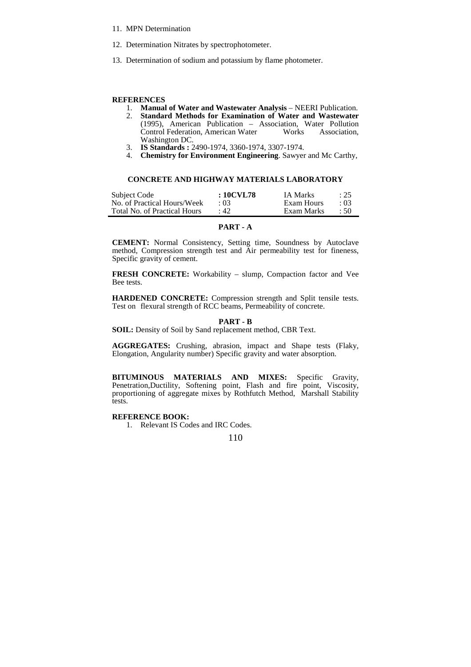- 11. MPN Determination
- 12. Determination Nitrates by spectrophotometer.
- 13. Determination of sodium and potassium by flame photometer.

#### **REFERENCES**

- 1. **Manual of Water and Wastewater Analysis**  NEERI Publication.
- 2. **Standard Methods for Examination of Water and Wastewater** (1995), American Publication – Association, Water Pollution Control Federation, American Water Works Association, Washington DC.
- 3. **IS Standards :** 2490-1974, 3360-1974, 3307-1974.
- 4. **Chemistry for Environment Engineering**. Sawyer and Mc Carthy,

# **CONCRETE AND HIGHWAY MATERIALS LABORATORY**

| Subject Code                 | : 10CVL78   | <b>IA Marks</b> | : 25      |
|------------------------------|-------------|-----------------|-----------|
| No. of Practical Hours/Week  | (13)        | Exam Hours      | : 03      |
| Total No. of Practical Hours | $\cdot$ 42. | Exam Marks      | $\div$ 50 |

# **PART - A**

**CEMENT:** Normal Consistency, Setting time, Soundness by Autoclave method, Compression strength test and Air permeability test for fineness, Specific gravity of cement.

**FRESH CONCRETE:** Workability – slump, Compaction factor and Vee Bee tests.

**HARDENED CONCRETE:** Compression strength and Split tensile tests. Test on flexural strength of RCC beams, Permeability of concrete.

#### **PART - B**

**SOIL:** Density of Soil by Sand replacement method, CBR Text.

**AGGREGATES:** Crushing, abrasion, impact and Shape tests (Flaky, Elongation, Angularity number) Specific gravity and water absorption.

**BITUMINOUS MATERIALS AND MIXES:** Specific Gravity, Penetration,Ductility, Softening point, Flash and fire point, Viscosity, proportioning of aggregate mixes by Rothfutch Method, Marshall Stability tests.

# **REFERENCE BOOK:**

1. Relevant IS Codes and IRC Codes.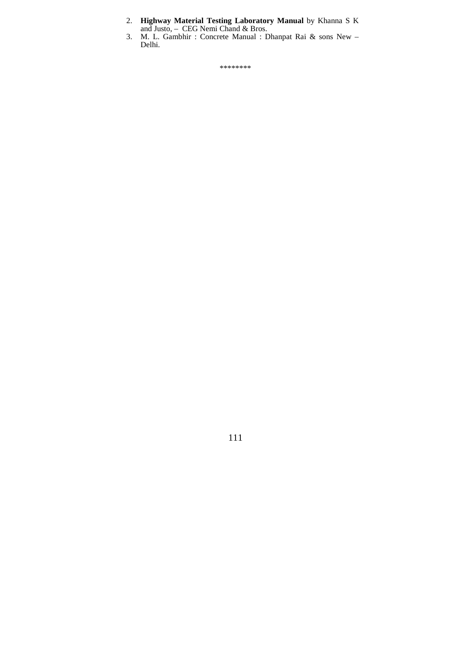- 2. **Highway Material Testing Laboratory Manual** by Khanna S K and Justo, – CEG Nemi Chand & Bros.
- 3. M. L. Gambhir : Concrete Manual : Dhanpat Rai & sons New Delhi.

\*\*\*\*\*\*\*\*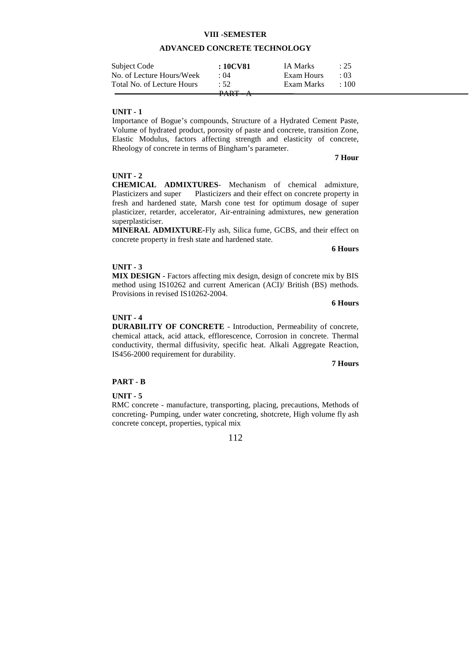# **VIII -SEMESTER**

# **ADVANCED CONCRETE TECHNOLOGY**

| Subject Code               | : 10CV81    | IA Marks   | : 25        |  |
|----------------------------|-------------|------------|-------------|--|
| No. of Lecture Hours/Week  | $\cdot$ ()4 | Exam Hours | $\cdot$ 03  |  |
| Total No. of Lecture Hours | : 52.       | Exam Marks | $\cdot$ 100 |  |
|                            | DADT        |            |             |  |

# **UNIT - 1**

Importance of Bogue's compounds, Structure of a Hydrated Cement Paste, Volume of hydrated product, porosity of paste and concrete, transition Zone, Elastic Modulus, factors affecting strength and elasticity of concrete, Rheology of concrete in terms of Bingham's parameter.

#### **7 Hour**

#### **UNIT - 2**

**CHEMICAL ADMIXTURES**- Mechanism of chemical admixture, Plasticizers and super Plasticizers and their effect on concrete property in fresh and hardened state, Marsh cone test for optimum dosage of super plasticizer, retarder, accelerator, Air-entraining admixtures, new generation superplasticiser.

**MINERAL ADMIXTURE-**Fly ash, Silica fume, GCBS, and their effect on concrete property in fresh state and hardened state.

**6 Hours**

# **UNIT - 3**

**MIX DESIGN** - Factors affecting mix design, design of concrete mix by BIS method using IS10262 and current American (ACI)/ British (BS) methods. Provisions in revised IS10262-2004.

 **6 Hours**

# **UNIT - 4**

**DURABILITY OF CONCRETE** - Introduction, Permeability of concrete, chemical attack, acid attack, efflorescence, Corrosion in concrete. Thermal conductivity, thermal diffusivity, specific heat. Alkali Aggregate Reaction, IS456-2000 requirement for durability.

**7 Hours**

#### **PART - B**

#### **UNIT - 5**

 RMC concrete - manufacture, transporting, placing, precautions, Methods of concreting- Pumping, under water concreting, shotcrete, High volume fly ash concrete concept, properties, typical mix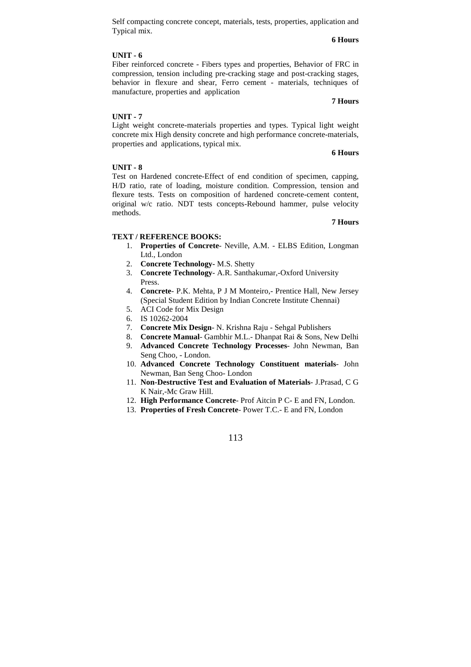Self compacting concrete concept, materials, tests, properties, application and Typical mix.

# **6 Hours**

# **UNIT - 6**

Fiber reinforced concrete - Fibers types and properties, Behavior of FRC in compression, tension including pre-cracking stage and post-cracking stages, behavior in flexure and shear, Ferro cement - materials, techniques of manufacture, properties and application

# **7 Hours**

# **UNIT - 7**

Light weight concrete-materials properties and types. Typical light weight concrete mix High density concrete and high performance concrete-materials, properties and applications, typical mix.

#### **6 Hours**

#### **UNIT - 8**

Test on Hardened concrete-Effect of end condition of specimen, capping, H/D ratio, rate of loading, moisture condition. Compression, tension and flexure tests. Tests on composition of hardened concrete-cement content, original w/c ratio. NDT tests concepts-Rebound hammer, pulse velocity methods.

#### **7 Hours**

#### **TEXT / REFERENCE BOOKS:**

- 1. **Properties of Concrete** Neville, A.M. ELBS Edition, Longman Ltd., London
- 2. **Concrete Technology-** M.S. Shetty
- 3. **Concrete Technology** A.R. Santhakumar,-Oxford University Press.
- 4. **Concrete** P.K. Mehta, P J M Monteiro,- Prentice Hall, New Jersey (Special Student Edition by Indian Concrete Institute Chennai)
- 5. ACI Code for Mix Design
- 6. IS 10262-2004
- 7. **Concrete Mix Design** N. Krishna Raju Sehgal Publishers
- 8. **Concrete Manual** Gambhir M.L.- Dhanpat Rai & Sons, New Delhi
- 9. **Advanced Concrete Technology Processes** John Newman, Ban Seng Choo, - London.
- 10. **Advanced Concrete Technology Constituent materials** John Newman, Ban Seng Choo- London
- 11. **Non-Destructive Test and Evaluation of Materials** J.Prasad, C G K Nair,-Mc Graw Hill.
- 12. **High Performance Concrete** Prof Aitcin P C- E and FN, London.
- 13. **Properties of Fresh Concrete** Power T.C.- E and FN, London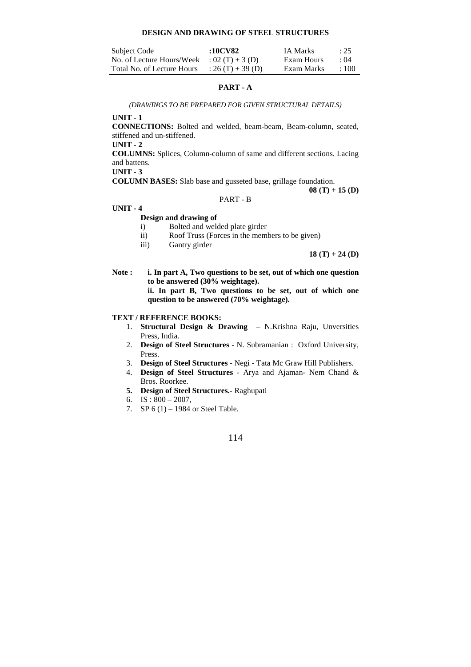#### **DESIGN AND DRAWING OF STEEL STRUCTURES**

| Subject Code               | :10CV82           | IA Marks   | : 25        |
|----------------------------|-------------------|------------|-------------|
| No. of Lecture Hours/Week  | $: 02(T) + 3(D)$  | Exam Hours | $\cdot$ ()4 |
| Total No. of Lecture Hours | : 26 (T) + 39 (D) | Exam Marks | $\pm 100$   |

# **PART - A**

*(DRAWINGS TO BE PREPARED FOR GIVEN STRUCTURAL DETAILS)* 

**UNIT - 1** 

**CONNECTIONS:** Bolted and welded, beam-beam, Beam-column, seated, stiffened and un-stiffened.

**UNIT - 2** 

**COLUMNS:** Splices, Column-column of same and different sections. Lacing and battens.

**UNIT - 3** 

**COLUMN BASES:** Slab base and gusseted base, grillage foundation.

**08 (T) + 15 (D)** 

# PART - B

# **UNIT - 4**

## **Design and drawing of**

- i) Bolted and welded plate girder
- ii) Roof Truss (Forces in the members to be given)
- iii) Gantry girder

**18 (T) + 24 (D)**

**Note : i. In part A, Two questions to be set, out of which one question to be answered (30% weightage).** 

> **ii. In part B, Two questions to be set, out of which one question to be answered (70% weightage).**

# **TEXT / REFERENCE BOOKS:**

- 1. **Structural Design & Drawing** N.Krishna Raju, Unversities Press, India.
- 2. **Design of Steel Structures** N. Subramanian : Oxford University, Press.
- 3. **Design of Steel Structures** Negi Tata Mc Graw Hill Publishers.
- 4. **Design of Steel Structures**  Arya and Ajaman- Nem Chand & Bros. Roorkee.
- **5. Design of Steel Structures.-** Raghupati
- 6. IS :  $800 2007$ ,
- 7. SP 6 (1) 1984 or Steel Table.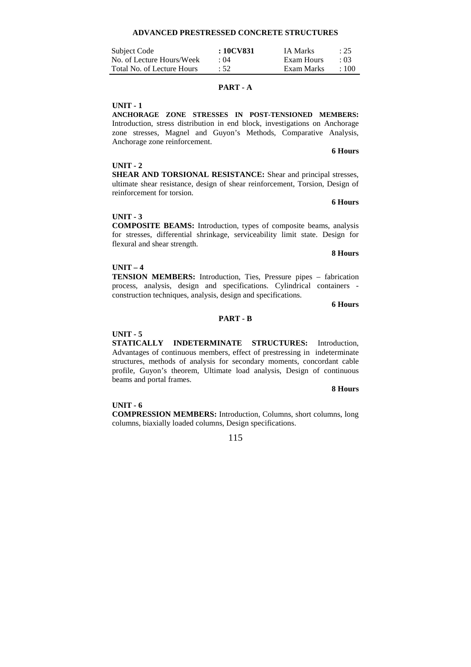# **ADVANCED PRESTRESSED CONCRETE STRUCTURES**

| Subject Code               | : 10CV831   | <b>IA Marks</b> | : 25       |
|----------------------------|-------------|-----------------|------------|
| No. of Lecture Hours/Week  | $\cdot$ ()4 | Exam Hours      | $\cdot$ 03 |
| Total No. of Lecture Hours | :52         | Exam Marks      | $\pm 100$  |

# **PART - A**

# **UNIT - 1**

**ANCHORAGE ZONE STRESSES IN POST-TENSIONED MEMBERS:** Introduction, stress distribution in end block, investigations on Anchorage zone stresses, Magnel and Guyon's Methods, Comparative Analysis, Anchorage zone reinforcement. **6 Hours**

# **UNIT - 2**

**SHEAR AND TORSIONAL RESISTANCE:** Shear and principal stresses, ultimate shear resistance, design of shear reinforcement, Torsion, Design of reinforcement for torsion.

#### **6 Hours**

# **UNIT - 3**

**COMPOSITE BEAMS:** Introduction, types of composite beams, analysis for stresses, differential shrinkage, serviceability limit state. Design for flexural and shear strength.

**8 Hours** 

# **UNIT – 4**

**TENSION MEMBERS:** Introduction, Ties, Pressure pipes – fabrication process, analysis, design and specifications. Cylindrical containers construction techniques, analysis, design and specifications.

**6 Hours**

# **PART - B**

#### **UNIT - 5**

**STATICALLY INDETERMINATE STRUCTURES:** Introduction, Advantages of continuous members, effect of prestressing in indeterminate structures, methods of analysis for secondary moments, concordant cable profile, Guyon's theorem, Ultimate load analysis, Design of continuous beams and portal frames.

#### **8 Hours**

#### **UNIT - 6**

**COMPRESSION MEMBERS:** Introduction, Columns, short columns, long columns, biaxially loaded columns, Design specifications.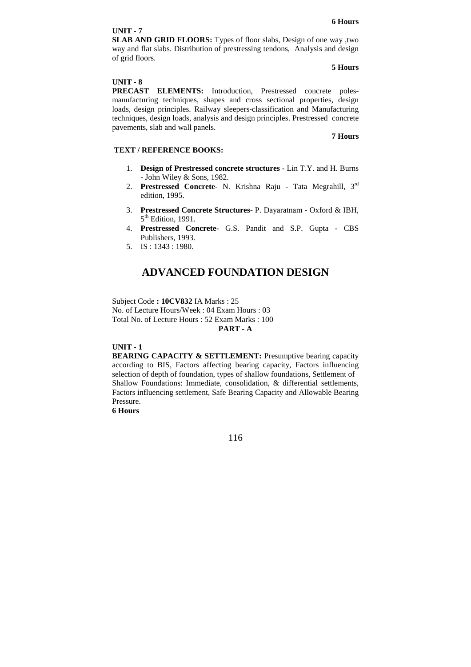**SLAB AND GRID FLOORS:** Types of floor slabs, Design of one way ,two way and flat slabs. Distribution of prestressing tendons, Analysis and design of grid floors.

#### **5 Hours**

# **UNIT - 8**

**PRECAST ELEMENTS:** Introduction, Prestressed concrete polesmanufacturing techniques, shapes and cross sectional properties, design loads, design principles. Railway sleepers-classification and Manufacturing techniques, design loads, analysis and design principles. Prestressed concrete pavements, slab and wall panels.

### **7 Hours**

# **TEXT / REFERENCE BOOKS:**

- 1. **Design of Prestressed concrete structures** Lin T.Y. and H. Burns - John Wiley & Sons, 1982.
- 2. **Prestressed Concrete** N. Krishna Raju Tata Megrahill, 3rd edition, 1995.
- 3. **Prestressed Concrete Structures** P. Dayaratnam Oxford & IBH, 5<sup>th</sup> Edition, 1991.
- 4. **Prestressed Concrete** G.S. Pandit and S.P. Gupta CBS Publishers, 1993.
- 5. IS : 1343 : 1980.

# **ADVANCED FOUNDATION DESIGN**

Subject Code **: 10CV832** IA Marks : 25 No. of Lecture Hours/Week : 04 Exam Hours : 03 Total No. of Lecture Hours : 52 Exam Marks : 100 **PART - A** 

### **UNIT - 1**

**BEARING CAPACITY & SETTLEMENT:** Presumptive bearing capacity according to BIS, Factors affecting bearing capacity, Factors influencing selection of depth of foundation, types of shallow foundations, Settlement of Shallow Foundations: Immediate, consolidation, & differential settlements, Factors influencing settlement, Safe Bearing Capacity and Allowable Bearing Pressure.

**6 Hours**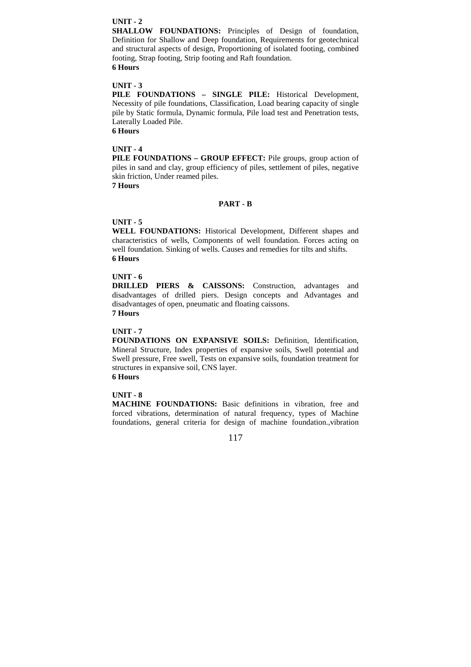**SHALLOW FOUNDATIONS:** Principles of Design of foundation, Definition for Shallow and Deep foundation, Requirements for geotechnical and structural aspects of design, Proportioning of isolated footing, combined footing, Strap footing, Strip footing and Raft foundation.

# **6 Hours**

# **UNIT - 3**

**PILE FOUNDATIONS – SINGLE PILE:** Historical Development, Necessity of pile foundations, Classification, Load bearing capacity of single pile by Static formula, Dynamic formula, Pile load test and Penetration tests, Laterally Loaded Pile.

**6 Hours** 

#### **UNIT - 4**

**PILE FOUNDATIONS – GROUP EFFECT:** Pile groups, group action of piles in sand and clay, group efficiency of piles, settlement of piles, negative skin friction, Under reamed piles.

**7 Hours** 

### **PART - B**

# **UNIT - 5**

**WELL FOUNDATIONS:** Historical Development, Different shapes and characteristics of wells, Components of well foundation. Forces acting on well foundation. Sinking of wells. Causes and remedies for tilts and shifts. **6 Hours** 

# **UNIT - 6**

**DRILLED PIERS & CAISSONS:** Construction, advantages and disadvantages of drilled piers. Design concepts and Advantages and disadvantages of open, pneumatic and floating caissons.

# **7 Hours**

# **UNIT - 7**

**FOUNDATIONS ON EXPANSIVE SOILS:** Definition, Identification, Mineral Structure, Index properties of expansive soils, Swell potential and Swell pressure, Free swell, Tests on expansive soils, foundation treatment for structures in expansive soil, CNS layer. **6 Hours** 

# **UNIT - 8**

**MACHINE FOUNDATIONS:** Basic definitions in vibration, free and forced vibrations, determination of natural frequency, types of Machine foundations, general criteria for design of machine foundation.,vibration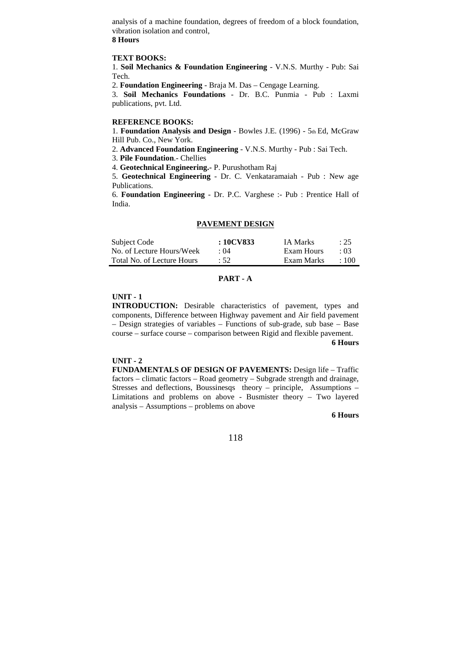analysis of a machine foundation, degrees of freedom of a block foundation, vibration isolation and control,

# **8 Hours**

# **TEXT BOOKS:**

1. **Soil Mechanics & Foundation Engineering** - V.N.S. Murthy - Pub: Sai Tech.

2. **Foundation Engineering** - Braja M. Das – Cengage Learning.

3. **Soil Mechanics Foundations** - Dr. B.C. Punmia - Pub : Laxmi publications, pvt. Ltd.

#### **REFERENCE BOOKS:**

1. **Foundation Analysis and Design** - Bowles J.E. (1996) - 5th Ed, McGraw Hill Pub. Co., New York.

2. **Advanced Foundation Engineering** - V.N.S. Murthy - Pub : Sai Tech.

3. **Pile Foundation**.- Chellies

4. **Geotechnical Engineering.-** P. Purushotham Raj

5. **Geotechnical Engineering** - Dr. C. Venkataramaiah - Pub : New age Publications.

6. **Foundation Engineering** - Dr. P.C. Varghese :- Pub : Prentice Hall of India.

#### **PAVEMENT DESIGN**

| Subject Code               | :10CV833 | <b>IA Marks</b> | : 25        |
|----------------------------|----------|-----------------|-------------|
| No. of Lecture Hours/Week  | : 04     | Exam Hours      | $\cdot 03$  |
| Total No. of Lecture Hours | :52      | Exam Marks      | $\cdot$ 100 |

# **PART - A**

# **UNIT - 1**

**INTRODUCTION:** Desirable characteristics of pavement, types and components, Difference between Highway pavement and Air field pavement – Design strategies of variables – Functions of sub-grade, sub base – Base course – surface course – comparison between Rigid and flexible pavement.

**6 Hours**

# **UNIT - 2**

**FUNDAMENTALS OF DESIGN OF PAVEMENTS:** Design life – Traffic factors – climatic factors – Road geometry – Subgrade strength and drainage, Stresses and deflections, Boussinesqs theory – principle, Assumptions – Limitations and problems on above - Busmister theory – Two layered analysis – Assumptions – problems on above

#### **6 Hours**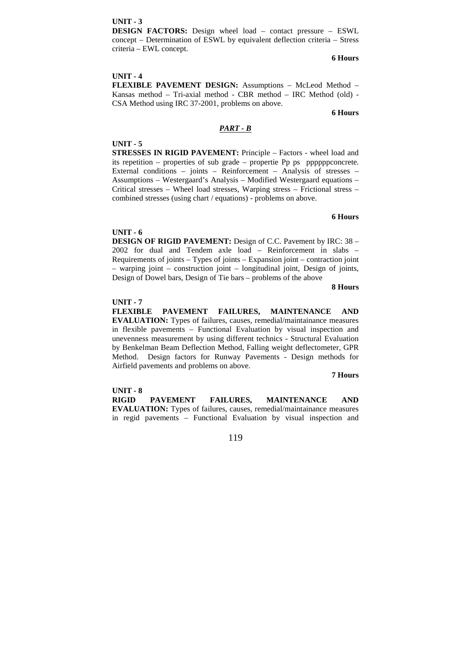**DESIGN FACTORS:** Design wheel load – contact pressure – ESWL concept – Determination of ESWL by equivalent deflection criteria – Stress criteria – EWL concept.

# **6 Hours**

#### **UNIT - 4**

**FLEXIBLE PAVEMENT DESIGN:** Assumptions – McLeod Method – Kansas method – Tri-axial method - CBR method – IRC Method (old) - CSA Method using IRC 37-2001, problems on above.

**6 Hours**

#### *PART - B*

#### **UNIT - 5**

**STRESSES IN RIGID PAVEMENT:** Principle – Factors - wheel load and its repetition – properties of sub grade – propertie Pp ps ppppppconcrete. External conditions – joints – Reinforcement – Analysis of stresses – Assumptions – Westergaard's Analysis – Modified Westergaard equations – Critical stresses – Wheel load stresses, Warping stress – Frictional stress – combined stresses (using chart / equations) - problems on above.

#### **6 Hours**

#### **UNIT - 6**

**DESIGN OF RIGID PAVEMENT:** Design of C.C. Pavement by IRC: 38 – 2002 for dual and Tendem axle load – Reinforcement in slabs – Requirements of joints – Types of joints – Expansion joint – contraction joint – warping joint – construction joint – longitudinal joint, Design of joints, Design of Dowel bars, Design of Tie bars – problems of the above

#### **8 Hours**

#### **UNIT - 7**

**FLEXIBLE PAVEMENT FAILURES, MAINTENANCE AND EVALUATION:** Types of failures, causes, remedial/maintainance measures in flexible pavements – Functional Evaluation by visual inspection and unevenness measurement by using different technics - Structural Evaluation by Benkelman Beam Deflection Method, Falling weight deflectometer, GPR Method. Design factors for Runway Pavements - Design methods for Airfield pavements and problems on above.

#### **7 Hours**

#### **UNIT - 8**

**RIGID PAVEMENT FAILURES, MAINTENANCE AND EVALUATION:** Types of failures, causes, remedial/maintainance measures in regid pavements – Functional Evaluation by visual inspection and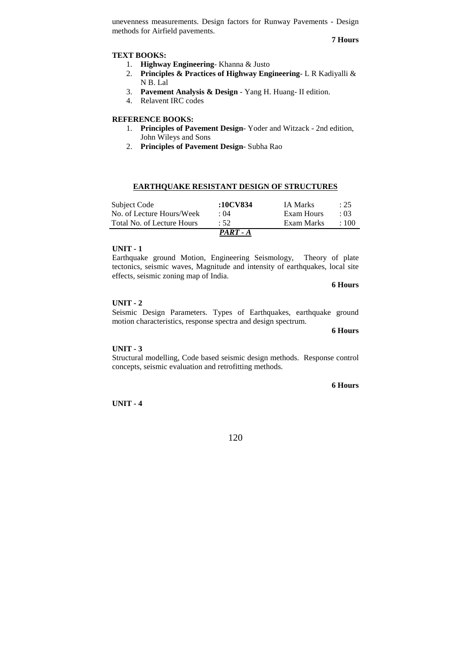unevenness measurements. Design factors for Runway Pavements - Design methods for Airfield pavements.

**7 Hours**

### **TEXT BOOKS:**

- 1. **Highway Engineering** Khanna & Justo
- 2. **Principles & Practices of Highway Engineering** L R Kadiyalli & N B. Lal
- 3. **Pavement Analysis & Design**  Yang H. Huang- II edition.
- 4. Relavent IRC codes

# **REFERENCE BOOKS:**

- 1. **Principles of Pavement Design** Yoder and Witzack 2nd edition, John Wileys and Sons
- 2. **Principles of Pavement Design** Subha Rao

| <b>EARTHQUAKE RESISTANT DESIGN OF STRUCTURES</b> |  |  |
|--------------------------------------------------|--|--|
|                                                  |  |  |

| Subject Code               | :10CV834   | <b>IA Marks</b> | : 25        |
|----------------------------|------------|-----------------|-------------|
| No. of Lecture Hours/Week  | . 04       | Exam Hours      | .03         |
| Total No. of Lecture Hours | :52        | Exam Marks      | $\cdot$ 100 |
|                            | $PART - A$ |                 |             |

#### **UNIT - 1**

Earthquake ground Motion, Engineering Seismology, Theory of plate tectonics, seismic waves, Magnitude and intensity of earthquakes, local site effects, seismic zoning map of India.

**6 Hours**

# **UNIT - 2**

Seismic Design Parameters. Types of Earthquakes, earthquake ground motion characteristics, response spectra and design spectrum.

**6 Hours**

#### **UNIT - 3**

Structural modelling, Code based seismic design methods. Response control concepts, seismic evaluation and retrofitting methods.

**6 Hours**

**UNIT - 4**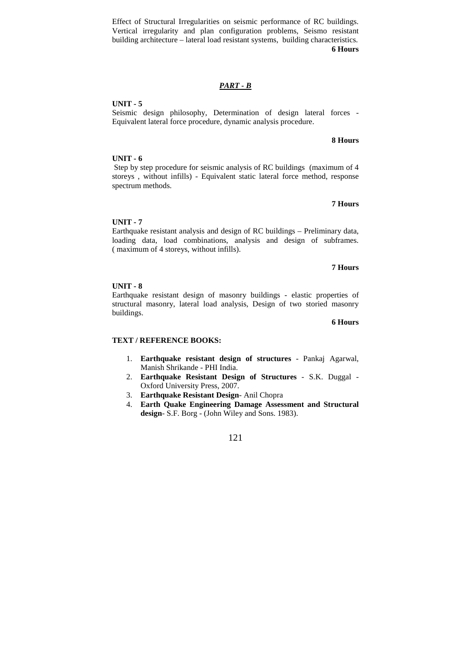Effect of Structural Irregularities on seismic performance of RC buildings. Vertical irregularity and plan configuration problems, Seismo resistant building architecture – lateral load resistant systems, building characteristics. **6 Hours**

# *PART - B*

# **UNIT - 5**

Seismic design philosophy, Determination of design lateral forces - Equivalent lateral force procedure, dynamic analysis procedure.

### **8 Hours**

# **UNIT - 6**

 Step by step procedure for seismic analysis of RC buildings (maximum of 4 storeys , without infills) - Equivalent static lateral force method, response spectrum methods.

# **7 Hours**

# **UNIT - 7**

Earthquake resistant analysis and design of RC buildings – Preliminary data, loading data, load combinations, analysis and design of subframes. ( maximum of 4 storeys, without infills).

# **7 Hours**

# **UNIT - 8**

Earthquake resistant design of masonry buildings - elastic properties of structural masonry, lateral load analysis, Design of two storied masonry buildings.

#### **6 Hours**

# **TEXT / REFERENCE BOOKS:**

- 1. **Earthquake resistant design of structures** Pankaj Agarwal, Manish Shrikande - PHI India.
- 2. **Earthquake Resistant Design of Structures** S.K. Duggal Oxford University Press, 2007.
- 3. **Earthquake Resistant Design** Anil Chopra
- 4. **Earth Quake Engineering Damage Assessment and Structural design**- S.F. Borg - (John Wiley and Sons. 1983).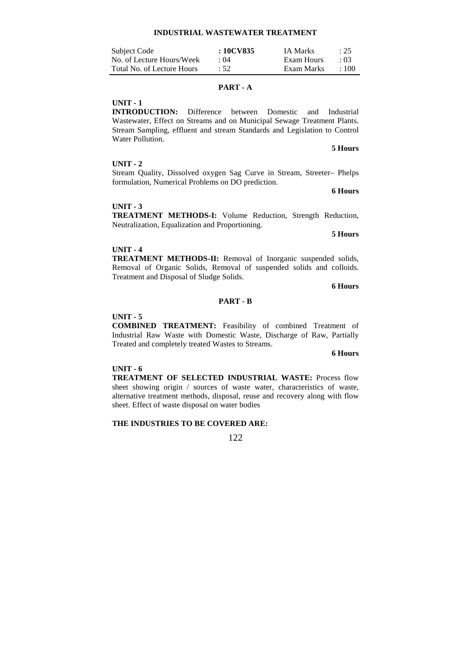| Subject Code               | : 10CV835   | <b>IA Marks</b> | : 25       |
|----------------------------|-------------|-----------------|------------|
| No. of Lecture Hours/Week  | $\cdot$ ()4 | Exam Hours      | $\cdot$ 03 |
| Total No. of Lecture Hours | :52         | Exam Marks      | $\pm 100$  |

#### **PART - A**

# **UNIT - 1**

**INTRODUCTION:** Difference between Domestic and Industrial Wastewater, Effect on Streams and on Municipal Sewage Treatment Plants. Stream Sampling, effluent and stream Standards and Legislation to Control Water Pollution.

# **UNIT - 2**

Stream Quality, Dissolved oxygen Sag Curve in Stream, Streeter– Phelps formulation, Numerical Problems on DO prediction.

**6 Hours**

**5 Hours** 

# **UNIT - 3**

**TREATMENT METHODS-I:** Volume Reduction, Strength Reduction, Neutralization, Equalization and Proportioning.

**5 Hours** 

# **UNIT - 4**

**TREATMENT METHODS-II:** Removal of Inorganic suspended solids, Removal of Organic Solids, Removal of suspended solids and colloids. Treatment and Disposal of Sludge Solids.

**6 Hours**

#### **PART - B**

# **UNIT - 5**

**COMBINED TREATMENT:** Feasibility of combined Treatment of Industrial Raw Waste with Domestic Waste, Discharge of Raw, Partially Treated and completely treated Wastes to Streams.

**6 Hours** 

# **UNIT - 6**

**TREATMENT OF SELECTED INDUSTRIAL WASTE:** Process flow sheet showing origin / sources of waste water, characteristics of waste, alternative treatment methods, disposal, reuse and recovery along with flow sheet. Effect of waste disposal on water bodies

# **THE INDUSTRIES TO BE COVERED ARE:**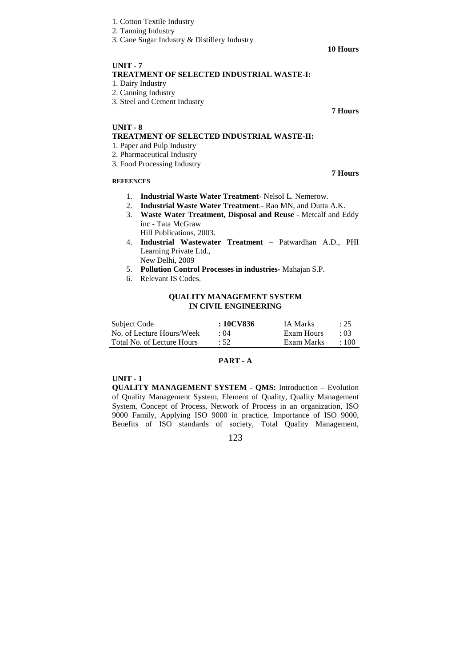- 1. Cotton Textile Industry
- 2. Tanning Industry
- 3. Cane Sugar Industry & Distillery Industry

#### **10 Hours**

**7 Hours** 

 **7 Hours** 

# **UNIT - 7 TREATMENT OF SELECTED INDUSTRIAL WASTE-I:**  1. Dairy Industry

- 
- 2. Canning Industry
- 3. Steel and Cement Industry

# **UNIT - 8**

# **TREATMENT OF SELECTED INDUSTRIAL WASTE-II:**

- 1. Paper and Pulp Industry
- 2. Pharmaceutical Industry
- 3. Food Processing Industry

# **REFEENCES**

- 1. **Industrial Waste Water Treatment** Nelsol L. Nemerow.
- 2. **Industrial Waste Water Treatment**.- Rao MN, and Dutta A.K.
- 3. **Waste Water Treatment, Disposal and Reuse** Metcalf and Eddy inc - Tata McGraw
	- Hill Publications, 2003.
- 4. **Industrial Wastewater Treatment**  Patwardhan A.D., PHI Learning Private Ltd., New Delhi, 2009
	-
- 5. **Pollution Control Processes in industries-** Mahajan S.P.
- 6. Relevant IS Codes.

# **QUALITY MANAGEMENT SYSTEM IN CIVIL ENGINEERING**

| Subject Code               | : 10CV836 | <b>IA Marks</b> | : 25       |
|----------------------------|-----------|-----------------|------------|
| No. of Lecture Hours/Week  | : 04      | Exam Hours      | $\cdot$ 03 |
| Total No. of Lecture Hours | :52       | Exam Marks      | $+100$     |

# **PART - A**

# **UNIT - 1**

**QUALITY MANAGEMENT SYSTEM - QMS:** Introduction – Evolution of Quality Management System, Element of Quality, Quality Management System, Concept of Process, Network of Process in an organization, ISO 9000 Family, Applying ISO 9000 in practice, Importance of ISO 9000, Benefits of ISO standards of society, Total Quality Management,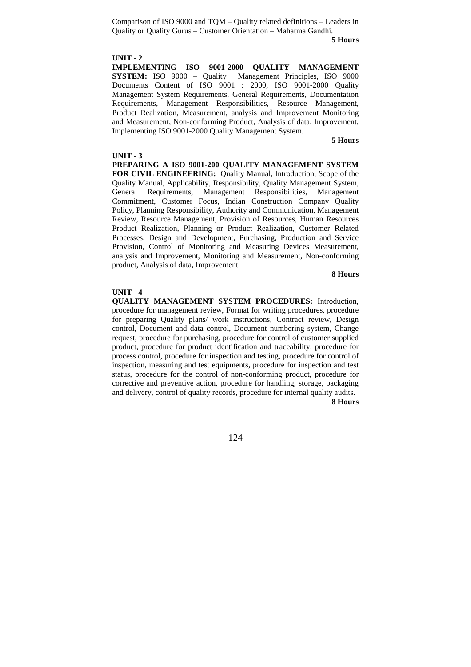Comparison of ISO 9000 and TQM – Quality related definitions – Leaders in Quality or Quality Gurus – Customer Orientation – Mahatma Gandhi.

#### **5 Hours**

### **UNIT - 2**

**IMPLEMENTING ISO 9001-2000 QUALITY MANAGEMENT SYSTEM:** ISO 9000 – Quality Management Principles, ISO 9000 Documents Content of ISO 9001 : 2000, ISO 9001-2000 Quality Management System Requirements, General Requirements, Documentation Requirements, Management Responsibilities, Resource Management, Product Realization, Measurement, analysis and Improvement Monitoring and Measurement, Non-conforming Product, Analysis of data, Improvement, Implementing ISO 9001-2000 Quality Management System.

#### **5 Hours**

#### **UNIT - 3**

**PREPARING A ISO 9001-200 QUALITY MANAGEMENT SYSTEM FOR CIVIL ENGINEERING:** Quality Manual, Introduction, Scope of the Quality Manual, Applicability, Responsibility, Quality Management System, General Requirements, Management Responsibilities, Management Commitment, Customer Focus, Indian Construction Company Quality Policy, Planning Responsibility, Authority and Communication, Management Review, Resource Management, Provision of Resources, Human Resources Product Realization, Planning or Product Realization, Customer Related Processes, Design and Development, Purchasing, Production and Service Provision, Control of Monitoring and Measuring Devices Measurement, analysis and Improvement, Monitoring and Measurement, Non-conforming product, Analysis of data, Improvement

#### **8 Hours**

# **UNIT - 4**

**QUALITY MANAGEMENT SYSTEM PROCEDURES:** Introduction, procedure for management review, Format for writing procedures, procedure for preparing Quality plans/ work instructions, Contract review, Design control, Document and data control, Document numbering system, Change request, procedure for purchasing, procedure for control of customer supplied product, procedure for product identification and traceability, procedure for process control, procedure for inspection and testing, procedure for control of inspection, measuring and test equipments, procedure for inspection and test status, procedure for the control of non-conforming product, procedure for corrective and preventive action, procedure for handling, storage, packaging and delivery, control of quality records, procedure for internal quality audits. **8 Hours**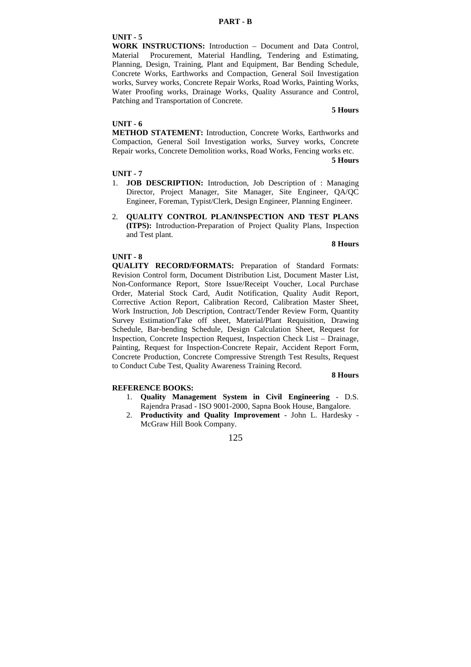**WORK INSTRUCTIONS:** Introduction – Document and Data Control, Material Procurement, Material Handling, Tendering and Estimating, Planning, Design, Training, Plant and Equipment, Bar Bending Schedule, Concrete Works, Earthworks and Compaction, General Soil Investigation works, Survey works, Concrete Repair Works, Road Works, Painting Works, Water Proofing works, Drainage Works, Quality Assurance and Control, Patching and Transportation of Concrete.

# **5 Hours**

#### **UNIT - 6**

**METHOD STATEMENT:** Introduction, Concrete Works, Earthworks and Compaction, General Soil Investigation works, Survey works, Concrete Repair works, Concrete Demolition works, Road Works, Fencing works etc.

#### **5 Hours**

### **UNIT - 7**

- 1. **JOB DESCRIPTION:** Introduction, Job Description of : Managing Director, Project Manager, Site Manager, Site Engineer, QA/QC Engineer, Foreman, Typist/Clerk, Design Engineer, Planning Engineer.
- 2. **QUALITY CONTROL PLAN/INSPECTION AND TEST PLANS (ITPS):** Introduction-Preparation of Project Quality Plans, Inspection and Test plant.

#### **8 Hours**

# **UNIT - 8**

**QUALITY RECORD/FORMATS:** Preparation of Standard Formats: Revision Control form, Document Distribution List, Document Master List, Non-Conformance Report, Store Issue/Receipt Voucher, Local Purchase Order, Material Stock Card, Audit Notification, Quality Audit Report, Corrective Action Report, Calibration Record, Calibration Master Sheet, Work Instruction, Job Description, Contract/Tender Review Form, Quantity Survey Estimation/Take off sheet, Material/Plant Requisition, Drawing Schedule, Bar-bending Schedule, Design Calculation Sheet, Request for Inspection, Concrete Inspection Request, Inspection Check List – Drainage, Painting, Request for Inspection-Concrete Repair, Accident Report Form, Concrete Production, Concrete Compressive Strength Test Results, Request to Conduct Cube Test, Quality Awareness Training Record.

# **REFERENCE BOOKS:**

# **8 Hours**

- 1. **Quality Management System in Civil Engineering** D.S. Rajendra Prasad - ISO 9001-2000, Sapna Book House, Bangalore.
- 2. **Productivity and Quality Improvement**  John L. Hardesky McGraw Hill Book Company.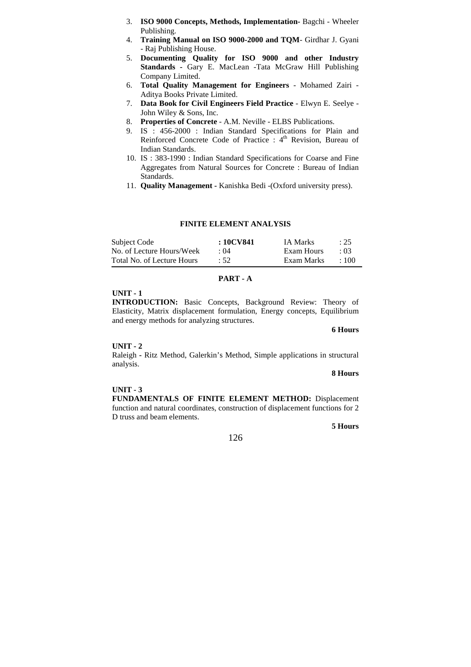- 3. **ISO 9000 Concepts, Methods, Implementation-** Bagchi Wheeler Publishing.
- 4. **Training Manual on ISO 9000-2000 and TQM** Girdhar J. Gyani - Raj Publishing House.
- 5. **Documenting Quality for ISO 9000 and other Industry Standards -** Gary E. MacLean -Tata McGraw Hill Publishing Company Limited.
- 6. **Total Quality Management for Engineers** Mohamed Zairi Aditya Books Private Limited.
- 7. **Data Book for Civil Engineers Field Practice** Elwyn E. Seelye John Wiley & Sons, Inc.
- 8. **Properties of Concrete**  A.M. Neville ELBS Publications.
- 9. IS : 456-2000 : Indian Standard Specifications for Plain and Reinforced Concrete Code of Practice :  $4<sup>th</sup>$  Revision, Bureau of Indian Standards.
- 10. IS : 383-1990 : Indian Standard Specifications for Coarse and Fine Aggregates from Natural Sources for Concrete : Bureau of Indian Standards.
- 11. **Quality Management -** Kanishka Bedi -(Oxford university press).

### **FINITE ELEMENT ANALYSIS**

| Subject Code               | : 10CV841  | IA Marks   | : 25        |
|----------------------------|------------|------------|-------------|
| No. of Lecture Hours/Week  | $\div$ ()4 | Exam Hours | $\cdot$ 03  |
| Total No. of Lecture Hours | $\cdot$ 52 | Exam Marks | $\cdot$ 100 |

#### **PART - A**

# **UNIT - 1**

**INTRODUCTION:** Basic Concepts, Background Review: Theory of Elasticity, Matrix displacement formulation, Energy concepts, Equilibrium and energy methods for analyzing structures.

#### **6 Hours**

# **UNIT - 2**

Raleigh **-** Ritz Method, Galerkin's Method, Simple applications in structural analysis.

#### **8 Hours**

#### **UNIT - 3**

**FUNDAMENTALS OF FINITE ELEMENT METHOD:** Displacement function and natural coordinates, construction of displacement functions for 2 D truss and beam elements.

# **5 Hours**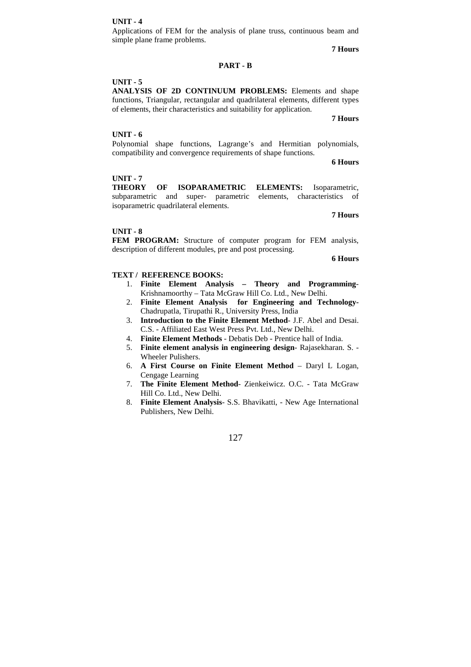Applications of FEM for the analysis of plane truss, continuous beam and simple plane frame problems.

**7 Hours**

# **PART - B**

# **UNIT - 5**

**ANALYSIS OF 2D CONTINUUM PROBLEMS:** Elements and shape functions, Triangular, rectangular and quadrilateral elements, different types of elements, their characteristics and suitability for application.

**7 Hours**

# **UNIT - 6**

Polynomial shape functions, Lagrange's and Hermitian polynomials, compatibility and convergence requirements of shape functions.

**6 Hours**

# **UNIT - 7**

**THEORY OF ISOPARAMETRIC ELEMENTS:** Isoparametric, subparametric and super- parametric elements, characteristics of isoparametric quadrilateral elements.

**7 Hours**

### **UNIT - 8**

**FEM PROGRAM:** Structure of computer program for FEM analysis, description of different modules, pre and post processing.

**6 Hours**

# **TEXT / REFERENCE BOOKS:**

- 1. **Finite Element Analysis Theory and Programming**-Krishnamoorthy – Tata McGraw Hill Co. Ltd., New Delhi.
- 2. **Finite Element Analysis for Engineering and Technology-**Chadrupatla, Tirupathi R., University Press, India
- 3. **Introduction to the Finite Element Method** J.F. Abel and Desai. C.S. - Affiliated East West Press Pvt. Ltd., New Delhi.
- 4. **Finite Element Methods**  Debatis Deb Prentice hall of India.
- 5. **Finite element analysis in engineering design** Rajasekharan. S. Wheeler Pulishers.
- 6. **A First Course on Finite Element Method**  Daryl L Logan, Cengage Learning
- 7. **The Finite Element Method** Zienkeiwicz. O.C. Tata McGraw Hill Co. Ltd., New Delhi.
- 8. **Finite Element Analysis** S.S. Bhavikatti, New Age International Publishers, New Delhi.

127

#### **UNIT - 4**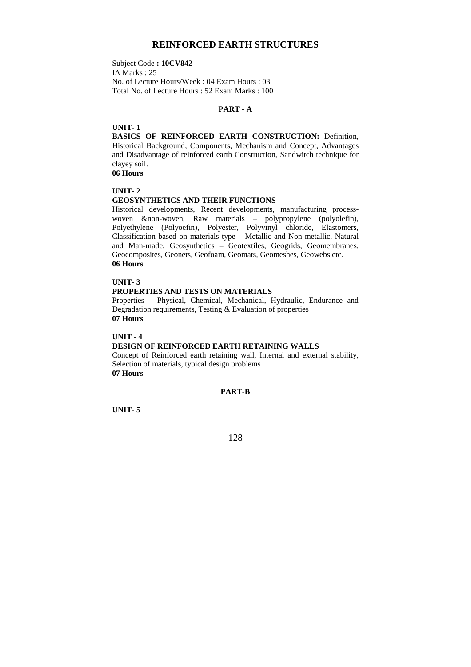# **REINFORCED EARTH STRUCTURES**

Subject Code **: 10CV842**  IA Marks : 25 No. of Lecture Hours/Week : 04 Exam Hours : 03 Total No. of Lecture Hours : 52 Exam Marks : 100

# **PART - A**

# **UNIT- 1**

**BASICS OF REINFORCED EARTH CONSTRUCTION: Definition,** Historical Background, Components, Mechanism and Concept, Advantages and Disadvantage of reinforced earth Construction, Sandwitch technique for clayey soil.

**06 Hours** 

# **UNIT- 2**

#### **GEOSYNTHETICS AND THEIR FUNCTIONS**

Historical developments, Recent developments, manufacturing processwoven &non-woven, Raw materials – polypropylene (polyolefin), Polyethylene (Polyoefin), Polyester, Polyvinyl chloride, Elastomers, Classification based on materials type – Metallic and Non-metallic, Natural and Man-made, Geosynthetics – Geotextiles, Geogrids, Geomembranes, Geocomposites, Geonets, Geofoam, Geomats, Geomeshes, Geowebs etc. **06 Hours** 

# **UNIT- 3**

# **PROPERTIES AND TESTS ON MATERIALS**

Properties – Physical, Chemical, Mechanical, Hydraulic, Endurance and Degradation requirements, Testing & Evaluation of properties **07 Hours** 

**UNIT - 4** 

# **DESIGN OF REINFORCED EARTH RETAINING WALLS**

Concept of Reinforced earth retaining wall, Internal and external stability, Selection of materials, typical design problems **07 Hours** 

**PART-B** 

**UNIT- 5**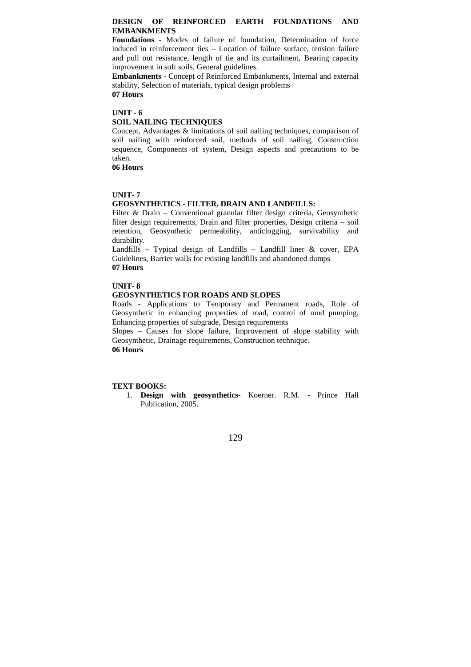# **DESIGN OF REINFORCED EARTH FOUNDATIONS AND EMBANKMENTS**

**Foundations -** Modes of failure of foundation, Determination of force induced in reinforcement ties – Location of failure surface, tension failure and pull out resistance, length of tie and its curtailment, Bearing capacity improvement in soft soils, General guidelines.

**Embankments** - Concept of Reinforced Embankments, Internal and external stability, Selection of materials, typical design problems **07 Hours** 

**UNIT - 6** 

#### **SOIL NAILING TECHNIQUES**

Concept, Advantages & limitations of soil nailing techniques, comparison of soil nailing with reinforced soil, methods of soil nailing, Construction sequence, Components of system, Design aspects and precautions to be taken.

**06 Hours** 

# **UNIT- 7**

# **GEOSYNTHETICS - FILTER, DRAIN AND LANDFILLS:**

Filter & Drain – Conventional granular filter design criteria, Geosynthetic filter design requirements, Drain and filter properties, Design criteria – soil retention, Geosynthetic permeability, anticlogging, survivability and durability.

Landfills – Typical design of Landfills – Landfill liner  $\&$  cover, EPA Guidelines, Barrier walls for existing landfills and abandoned dumps **07 Hours** 

# **UNIT- 8**

# **GEOSYNTHETICS FOR ROADS AND SLOPES**

Roads - Applications to Temporary and Permanent roads, Role of Geosynthetic in enhancing properties of road, control of mud pumping, Enhancing properties of subgrade, Design requirements

Slopes – Causes for slope failure, Improvement of slope stability with Geosynthetic, Drainage requirements, Construction technique. **06 Hours** 

# **TEXT BOOKS:**

1. **Design with geosynthetics**- Koerner. R.M. - Prince Hall Publication, 2005.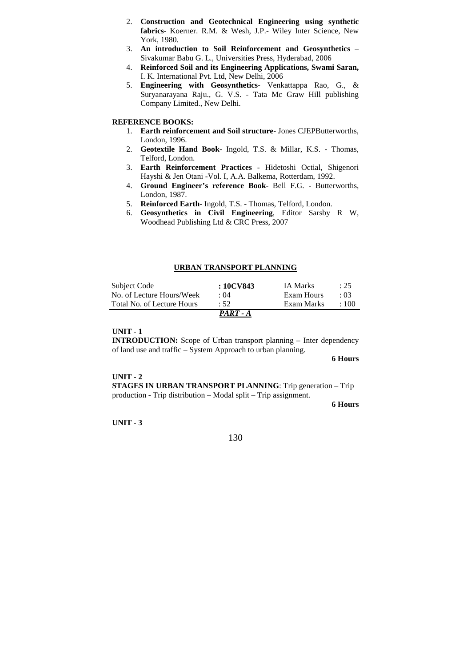- 2. **Construction and Geotechnical Engineering using synthetic fabrics**- Koerner. R.M. & Wesh, J.P.- Wiley Inter Science, New York, 1980.
- 3. **An introduction to Soil Reinforcement and Geosynthetics** Sivakumar Babu G. L., Universities Press, Hyderabad, 2006
- 4. **Reinforced Soil and its Engineering Applications, Swami Saran,**  I. K. International Pvt. Ltd, New Delhi, 2006
- 5. **Engineering with Geosynthetics** Venkattappa Rao, G., & Suryanarayana Raju., G. V.S. - Tata Mc Graw Hill publishing Company Limited., New Delhi.

# **REFERENCE BOOKS:**

- 1. **Earth reinforcement and Soil structure** Jones CJEPButterworths, London, 1996.
- 2. **Geotextile Hand Book** Ingold, T.S. & Millar, K.S. Thomas, Telford, London.
- 3. **Earth Reinforcement Practices**  Hidetoshi Octial, Shigenori Hayshi & Jen Otani -Vol. I, A.A. Balkema, Rotterdam, 1992.
- 4. **Ground Engineer's reference Book** Bell F.G. Butterworths, London, 1987.
- 5. **Reinforced Earth** Ingold, T.S. Thomas, Telford, London.
- 6. **Geosynthetics in Civil Engineering**, Editor Sarsby R W, Woodhead Publishing Ltd & CRC Press, 2007

# **URBAN TRANSPORT PLANNING**

| Subject Code               | : 10CV843  | <b>IA Marks</b> | : 25      |
|----------------------------|------------|-----------------|-----------|
| No. of Lecture Hours/Week  | $\cdot$ 04 | Exam Hours      | .03       |
| Total No. of Lecture Hours | :52        | Exam Marks      | $\pm 100$ |
|                            | $PART - A$ |                 |           |

#### **UNIT - 1**

**INTRODUCTION:** Scope of Urban transport planning – Inter dependency of land use and traffic – System Approach to urban planning.

**6 Hours**

#### **UNIT - 2**

**STAGES IN URBAN TRANSPORT PLANNING**: Trip generation – Trip production - Trip distribution – Modal split – Trip assignment.

**6 Hours**

**UNIT - 3**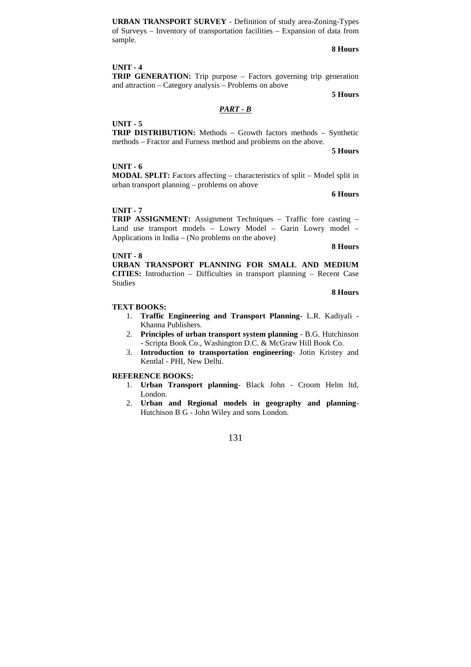**URBAN TRANSPORT SURVEY** - Definition of study area-Zoning-Types of Surveys – Inventory of transportation facilities – Expansion of data from sample.

**8 Hours**

# **UNIT - 4**

**TRIP GENERATION:** Trip purpose – Factors governing trip generation and attraction – Category analysis – Problems on above

**5 Hours**

# *PART - B*

#### **UNIT - 5**

**TRIP DISTRIBUTION:** Methods – Growth factors methods – Synthetic methods – Fractor and Furness method and problems on the above.

**5 Hours**

### **UNIT - 6**

**MODAL SPLIT:** Factors affecting – characteristics of split – Model split in urban transport planning – problems on above

**6 Hours**

#### **UNIT - 7**

**TRIP ASSIGNMENT:** Assignment Techniques – Traffic fore casting – Land use transport models – Lowry Model – Garin Lowry model – Applications in India – (No problems on the above)

**8 Hours** 

**8 Hours** 

#### **UNIT - 8**

**URBAN TRANSPORT PLANNING FOR SMALL AND MEDIUM CITIES:** Introduction – Difficulties in transport planning – Recent Case Studies

#### **TEXT BOOKS:**

- 1. **Traffic Engineering and Transport Planning** L.R. Kadiyali Khanna Publishers.
- 2. **Principles of urban transport system planning** B.G. Hutchinson - Scripta Book Co., Washington D.C. & McGraw Hill Book Co.
- 3. **Introduction to transportation engineering** Jotin Kristey and Kentlal - PHI, New Delhi.

# **REFERENCE BOOKS:**

- 1. **Urban Transport planning** Black John Croom Helm ltd, London.
- 2. **Urban and Regional models in geography and planning**-Hutchison B G - John Wiley and sons London.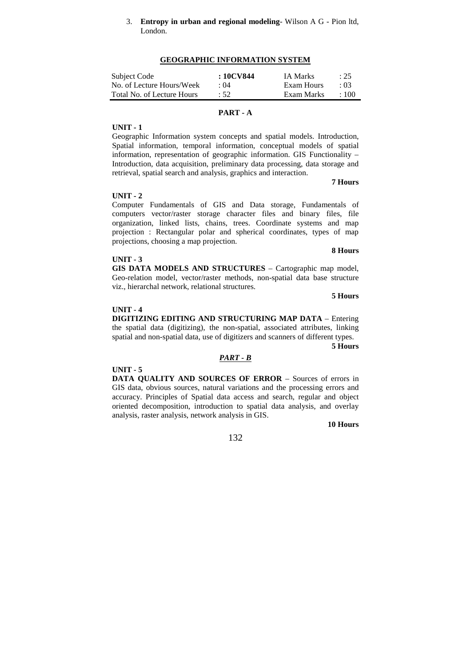3. **Entropy in urban and regional modeling**- Wilson A G - Pion ltd, London.

#### **GEOGRAPHIC INFORMATION SYSTEM**

| Subject Code               | : 10CV844 | <b>IA Marks</b> | : 25   |
|----------------------------|-----------|-----------------|--------|
| No. of Lecture Hours/Week  | : 04      | Exam Hours      | .03    |
| Total No. of Lecture Hours | :52       | Exam Marks      | $+100$ |

# **PART - A**

# **UNIT - 1**

Geographic Information system concepts and spatial models. Introduction, Spatial information, temporal information, conceptual models of spatial information, representation of geographic information. GIS Functionality – Introduction, data acquisition, preliminary data processing, data storage and retrieval, spatial search and analysis, graphics and interaction.

#### **7 Hours**

#### **UNIT - 2**

Computer Fundamentals of GIS and Data storage, Fundamentals of computers vector/raster storage character files and binary files, file organization, linked lists, chains, trees. Coordinate systems and map projection : Rectangular polar and spherical coordinates, types of map projections, choosing a map projection.

#### **UNIT - 3**

**GIS DATA MODELS AND STRUCTURES** – Cartographic map model, Geo-relation model, vector/raster methods, non-spatial data base structure viz., hierarchal network, relational structures.

**5 Hours**

**8 Hours**

#### **UNIT - 4**

**DIGITIZING EDITING AND STRUCTURING MAP DATA** – Entering the spatial data (digitizing), the non-spatial, associated attributes, linking spatial and non-spatial data, use of digitizers and scanners of different types.

**5 Hours** 

#### *PART - B*

**UNIT - 5** 

**DATA QUALITY AND SOURCES OF ERROR** – Sources of errors in GIS data, obvious sources, natural variations and the processing errors and accuracy. Principles of Spatial data access and search, regular and object oriented decomposition, introduction to spatial data analysis, and overlay analysis, raster analysis, network analysis in GIS.

**10 Hours**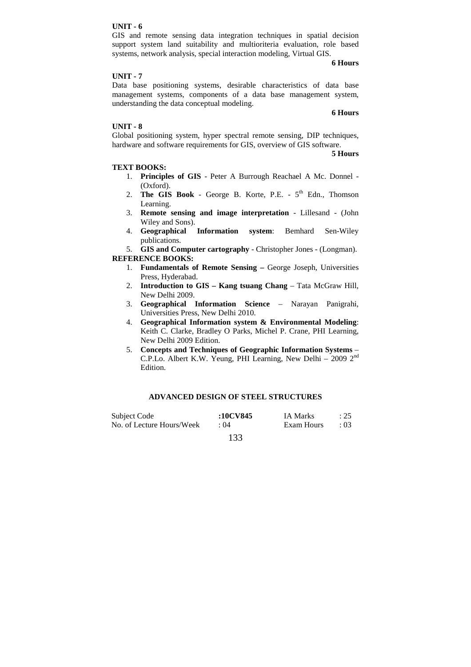GIS and remote sensing data integration techniques in spatial decision support system land suitability and multioriteria evaluation, role based systems, network analysis, special interaction modeling, Virtual GIS.

**6 Hours**

#### **UNIT - 7**

Data base positioning systems, desirable characteristics of data base management systems, components of a data base management system, understanding the data conceptual modeling.

**6 Hours**

# **UNIT - 8**

Global positioning system, hyper spectral remote sensing, DIP techniques, hardware and software requirements for GIS, overview of GIS software.

**5 Hours**

#### **TEXT BOOKS:**

- 1. **Principles of GIS**  Peter A Burrough Reachael A Mc. Donnel (Oxford).
- 2. **The GIS Book -** George B. Korte, P.E. 5<sup>th</sup> Edn., Thomson Learning.
- 3. **Remote sensing and image interpretation**  Lillesand (John Wiley and Sons).
- 4. **Geographical Information system**: Bemhard Sen-Wiley publications.

5. **GIS and Computer cartography** - Christopher Jones - (Longman). **REFERENCE BOOKS:** 

- 1. **Fundamentals of Remote Sensing** George Joseph, Universities Press, Hyderabad.
- 2. **Introduction to GIS Kang tsuang Chang**  Tata McGraw Hill, New Delhi 2009.
- 3. **Geographical Information Science**  Narayan Panigrahi, Universities Press, New Delhi 2010.
- 4. **Geographical Information system & Environmental Modeling**: Keith C. Clarke, Bradley O Parks, Michel P. Crane, PHI Learning, New Delhi 2009 Edition.
- 5. **Concepts and Techniques of Geographic Information Systems**  C.P.Lo. Albert K.W. Yeung, PHI Learning, New Delhi – 2009 2nd Edition.

# **ADVANCED DESIGN OF STEEL STRUCTURES**

| Subject Code              | :10CV845 | IA Marks   | $\therefore$ 25 |
|---------------------------|----------|------------|-----------------|
| No. of Lecture Hours/Week | : 04     | Exam Hours | $\div 03$       |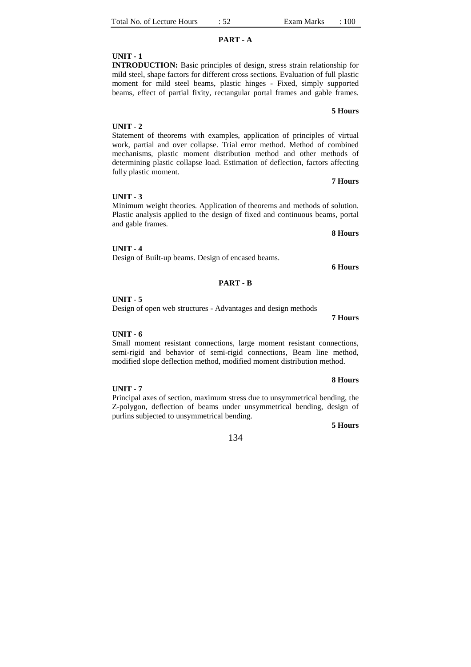# **PART - A**

# **UNIT - 1**

**INTRODUCTION:** Basic principles of design, stress strain relationship for mild steel, shape factors for different cross sections. Evaluation of full plastic moment for mild steel beams, plastic hinges - Fixed, simply supported beams, effect of partial fixity, rectangular portal frames and gable frames.

# **5 Hours**

# Statement of theorems with examples, application of principles of virtual work, partial and over collapse. Trial error method. Method of combined mechanisms, plastic moment distribution method and other methods of determining plastic collapse load. Estimation of deflection, factors affecting fully plastic moment.

# **UNIT - 3**

Minimum weight theories. Application of theorems and methods of solution. Plastic analysis applied to the design of fixed and continuous beams, portal and gable frames.

#### **UNIT - 4**

Design of Built-up beams. Design of encased beams.

**PART - B** 

#### **UNIT - 5**

**UNIT - 6** 

**UNIT - 7** 

Design of open web structures - Advantages and design methods

Small moment resistant connections, large moment resistant connections, semi-rigid and behavior of semi-rigid connections, Beam line method, modified slope deflection method, modified moment distribution method.

# **8 Hours**

Principal axes of section, maximum stress due to unsymmetrical bending, the Z-polygon, deflection of beams under unsymmetrical bending, design of purlins subjected to unsymmetrical bending.

#### **5 Hours**

# 134

# **UNIT - 2**

**7 Hours**

**8 Hours**

**6 Hours**

**7 Hours**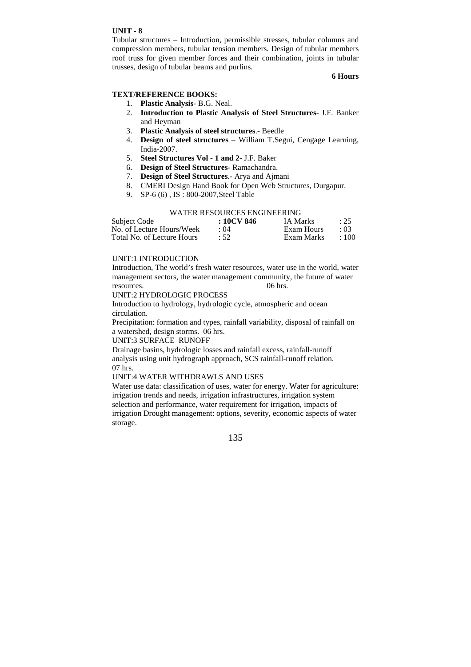Tubular structures – Introduction, permissible stresses, tubular columns and compression members, tubular tension members. Design of tubular members roof truss for given member forces and their combination, joints in tubular trusses, design of tubular beams and purlins.

# **6 Hours**

# **TEXT/REFERENCE BOOKS:**

- 1. **Plastic Analysis** B.G. Neal.
- 2. **Introduction to Plastic Analysis of Steel Structures** J.F. Banker and Heyman
- 3. **Plastic Analysis of steel structures**.- Beedle
- 4. **Design of steel structures**  William T.Segui, Cengage Learning, India-2007.
- 5. **Steel Structures Vol 1 and 2** J.F. Baker
- 6. **Design of Steel Structures** Ramachandra.
- 7. **Design of Steel Structures**.- Arya and Ajmani
- 8. CMERI Design Hand Book for Open Web Structures, Durgapur.
- 9. SP-6 (6) , IS : 800-2007,Steel Table

#### WATER RESOURCES ENGINEERING

| Subject Code               | $:10$ CV 846 | <b>IA Marks</b> | : 25        |
|----------------------------|--------------|-----------------|-------------|
| No. of Lecture Hours/Week  | : 04         | Exam Hours      | : 03        |
| Total No. of Lecture Hours | :52          | Exam Marks      | $\cdot$ 100 |

## UNIT:1 INTRODUCTION

Introduction, The world's fresh water resources, water use in the world, water management sectors, the water management community, the future of water resources. 06 hrs.

UNIT:2 HYDROLOGIC PROCESS

Introduction to hydrology, hydrologic cycle, atmospheric and ocean circulation.

Precipitation: formation and types, rainfall variability, disposal of rainfall on a watershed, design storms. 06 hrs.

UNIT:3 SURFACE RUNOFF

Drainage basins, hydrologic losses and rainfall excess, rainfall-runoff analysis using unit hydrograph approach, SCS rainfall-runoff relation. 07 hrs.

# UNIT:4 WATER WITHDRAWLS AND USES

Water use data: classification of uses, water for energy. Water for agriculture: irrigation trends and needs, irrigation infrastructures, irrigation system selection and performance, water requirement for irrigation, impacts of irrigation Drought management: options, severity, economic aspects of water storage.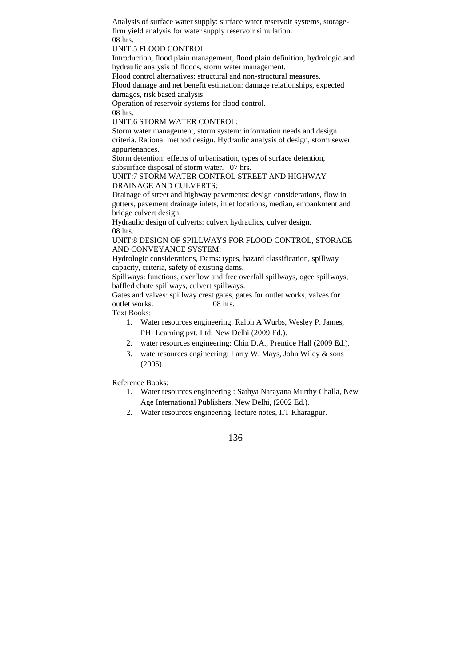Analysis of surface water supply: surface water reservoir systems, storagefirm yield analysis for water supply reservoir simulation. 08 hrs.

UNIT:5 FLOOD CONTROL

Introduction, flood plain management, flood plain definition, hydrologic and hydraulic analysis of floods, storm water management.

Flood control alternatives: structural and non-structural measures.

Flood damage and net benefit estimation: damage relationships, expected damages, risk based analysis.

Operation of reservoir systems for flood control.

08 hrs.

UNIT:6 STORM WATER CONTROL:

Storm water management, storm system: information needs and design criteria. Rational method design. Hydraulic analysis of design, storm sewer appurtenances.

Storm detention: effects of urbanisation, types of surface detention, subsurface disposal of storm water. 07 hrs.

UNIT:7 STORM WATER CONTROL STREET AND HIGHWAY DRAINAGE AND CULVERTS:

Drainage of street and highway pavements: design considerations, flow in gutters, pavement drainage inlets, inlet locations, median, embankment and bridge culvert design.

Hydraulic design of culverts: culvert hydraulics, culver design. 08 hrs.

UNIT:8 DESIGN OF SPILLWAYS FOR FLOOD CONTROL, STORAGE AND CONVEYANCE SYSTEM:

Hydrologic considerations, Dams: types, hazard classification, spillway capacity, criteria, safety of existing dams.

Spillways: functions, overflow and free overfall spillways, ogee spillways, baffled chute spillways, culvert spillways.

Gates and valves: spillway crest gates, gates for outlet works, valves for outlet works. 08 hrs.

Text Books:

- 1. Water resources engineering: Ralph A Wurbs, Wesley P. James, PHI Learning pvt. Ltd. New Delhi (2009 Ed.).
- 2. water resources engineering: Chin D.A., Prentice Hall (2009 Ed.).
- 3. wate resources engineering: Larry W. Mays, John Wiley & sons (2005).

Reference Books:

- 1. Water resources engineering : Sathya Narayana Murthy Challa, New Age International Publishers, New Delhi, (2002 Ed.).
- 2. Water resources engineering, lecture notes, IIT Kharagpur.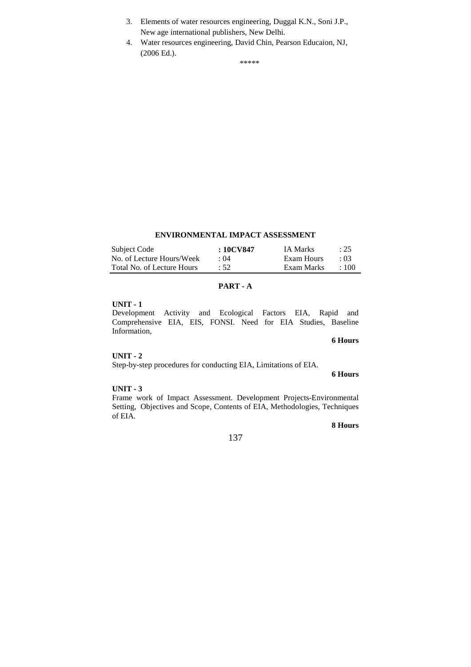- 3. Elements of water resources engineering, Duggal K.N., Soni J.P., New age international publishers, New Delhi.
- 4. Water resources engineering, David Chin, Pearson Educaion, NJ, (2006 Ed.).

\*\*\*\*\*

# **ENVIRONMENTAL IMPACT ASSESSMENT**

| Subject Code               | : 10CV847   | IA Marks   | : 25        |
|----------------------------|-------------|------------|-------------|
| No. of Lecture Hours/Week  | $\cdot$ ()4 | Exam Hours | $\cdot$ 03  |
| Total No. of Lecture Hours | :52         | Exam Marks | $\cdot$ 100 |

# **PART - A**

# **UNIT - 1**

Development Activity and Ecological Factors EIA, Rapid and Comprehensive EIA, EIS, FONSI. Need for EIA Studies, Baseline Information,

### **6 Hours**

**6 Hours**

#### **UNIT - 2**

Step-by-step procedures for conducting EIA, Limitations of EIA.

#### **UNIT - 3**

Frame work of Impact Assessment. Development Projects-Environmental Setting, Objectives and Scope, Contents of EIA, Methodologies, Techniques of EIA.

# **8 Hours**